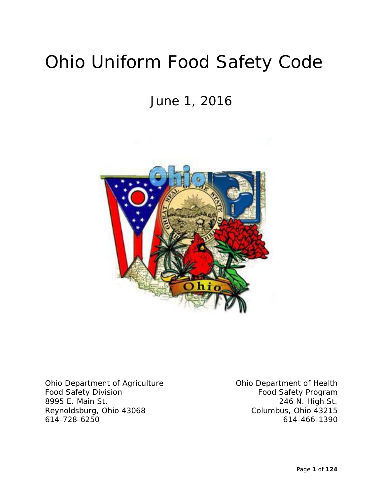# Ohio Uniform Food Safety Code

June 1, 2016



Ohio Department of Agriculture Food Safety Division 8995 E. Main St. Reynoldsburg, Ohio 43068 614-728-6250

Ohio Department of Health Food Safety Program 246 N. High St. Columbus, Ohio 43215 614-466-1390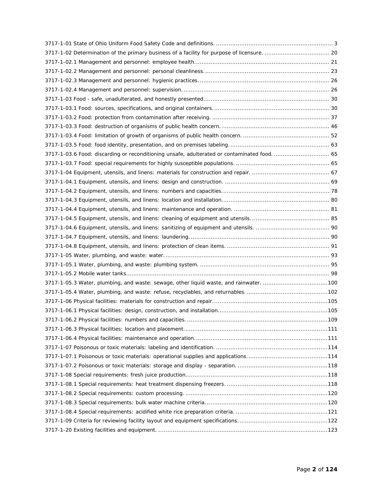| 3717-1-02 Determination of the primary business of a facility for purpose of licensure.  20 |  |
|---------------------------------------------------------------------------------------------|--|
|                                                                                             |  |
|                                                                                             |  |
|                                                                                             |  |
|                                                                                             |  |
|                                                                                             |  |
|                                                                                             |  |
|                                                                                             |  |
|                                                                                             |  |
|                                                                                             |  |
|                                                                                             |  |
| 3717-1-03.6 Food: discarding or reconditioning unsafe, adulterated or contaminated food 65  |  |
|                                                                                             |  |
|                                                                                             |  |
|                                                                                             |  |
|                                                                                             |  |
|                                                                                             |  |
|                                                                                             |  |
|                                                                                             |  |
|                                                                                             |  |
|                                                                                             |  |
|                                                                                             |  |
|                                                                                             |  |
|                                                                                             |  |
|                                                                                             |  |
| 3717-1-05.3 Water, plumbing, and waste: sewage, other liquid waste, and rainwater. 100      |  |
|                                                                                             |  |
|                                                                                             |  |
|                                                                                             |  |
|                                                                                             |  |
|                                                                                             |  |
|                                                                                             |  |
|                                                                                             |  |
|                                                                                             |  |
|                                                                                             |  |
|                                                                                             |  |
|                                                                                             |  |
|                                                                                             |  |
|                                                                                             |  |
|                                                                                             |  |
|                                                                                             |  |
|                                                                                             |  |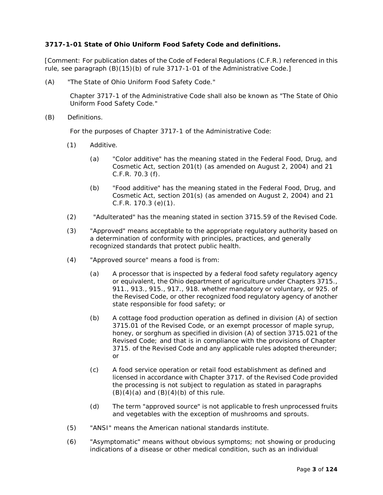# <span id="page-2-0"></span>**3717-1-01 State of Ohio Uniform Food Safety Code and definitions.**

[Comment: For publication dates of the Code of Federal Regulations (C.F.R.) referenced in this rule, see paragraph (B)(15)(b) of rule 3717-1-01 of the Administrative Code.]

(A) "The State of Ohio Uniform Food Safety Code."

Chapter 3717-1 of the Administrative Code shall also be known as "The State of Ohio Uniform Food Safety Code."

(B) Definitions.

For the purposes of Chapter 3717-1 of the Administrative Code:

- (1) Additive.
	- (a) "Color additive" has the meaning stated in the Federal Food, Drug, and Cosmetic Act, section 201(t) (as amended on August 2, 2004) and 21 C.F.R. 70.3 (f).
	- (b) "Food additive" has the meaning stated in the Federal Food, Drug, and Cosmetic Act, section 201(s) (as amended on August 2, 2004) and 21 C.F.R. 170.3 (e)(1).
- (2) "Adulterated" has the meaning stated in section 3715.59 of the Revised Code.
- (3) "Approved" means acceptable to the appropriate regulatory authority based on a determination of conformity with principles, practices, and generally recognized standards that protect public health.
- (4) "Approved source" means a food is from:
	- (a) A processor that is inspected by a federal food safety regulatory agency or equivalent, the Ohio department of agriculture under Chapters 3715., 911., 913., 915., 917., 918. whether mandatory or voluntary, or 925. of the Revised Code, or other recognized food regulatory agency of another state responsible for food safety; or
	- (b) A cottage food production operation as defined in division (A) of section 3715.01 of the Revised Code, or an exempt processor of maple syrup, honey, or sorghum as specified in division (A) of section 3715.021 of the Revised Code; and that is in compliance with the provisions of Chapter 3715. of the Revised Code and any applicable rules adopted thereunder; or
	- (c) A food service operation or retail food establishment as defined and licensed in accordance with Chapter 3717. of the Revised Code provided the processing is not subject to regulation as stated in paragraphs  $(B)(4)(a)$  and  $(B)(4)(b)$  of this rule.
	- (d) The term "approved source" is not applicable to fresh unprocessed fruits and vegetables with the exception of mushrooms and sprouts.
- (5) "ANSI" means the American national standards institute.
- (6) "Asymptomatic" means without obvious symptoms; not showing or producing indications of a disease or other medical condition, such as an individual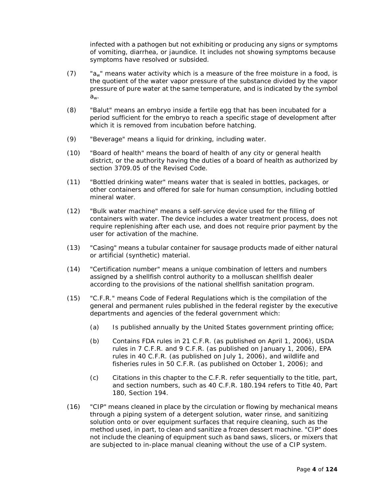infected with a pathogen but not exhibiting or producing any signs or symptoms of vomiting, diarrhea, or jaundice. It includes not showing symptoms because symptoms have resolved or subsided.

- $(7)$  "a<sub>w</sub>" means water activity which is a measure of the free moisture in a food, is the quotient of the water vapor pressure of the substance divided by the vapor pressure of pure water at the same temperature, and is indicated by the symbol  $a_w$ .
- (8) "Balut" means an embryo inside a fertile egg that has been incubated for a period sufficient for the embryo to reach a specific stage of development after which it is removed from incubation before hatching.
- (9) "Beverage" means a liquid for drinking, including water.
- (10) "Board of health" means the board of health of any city or general health district, or the authority having the duties of a board of health as authorized by section 3709.05 of the Revised Code.
- (11) "Bottled drinking water" means water that is sealed in bottles, packages, or other containers and offered for sale for human consumption, including bottled mineral water.
- (12) "Bulk water machine" means a self-service device used for the filling of containers with water. The device includes a water treatment process, does not require replenishing after each use, and does not require prior payment by the user for activation of the machine.
- (13) "Casing" means a tubular container for sausage products made of either natural or artificial (synthetic) material.
- (14) "Certification number" means a unique combination of letters and numbers assigned by a shellfish control authority to a molluscan shellfish dealer according to the provisions of the national shellfish sanitation program.
- (15) "C.F.R." means Code of Federal Regulations which is the compilation of the general and permanent rules published in the federal register by the executive departments and agencies of the federal government which:
	- (a) Is published annually by the United States government printing office;
	- (b) Contains FDA rules in 21 C.F.R. (as published on April 1, 2006), USDA rules in 7 C.F.R. and 9 C.F.R. (as published on January 1, 2006), EPA rules in 40 C.F.R. (as published on July 1, 2006), and wildlife and fisheries rules in 50 C.F.R. (as published on October 1, 2006); and
	- (c) Citations in this chapter to the C.F.R. refer sequentially to the title, part, and section numbers, such as 40 C.F.R. 180.194 refers to Title 40, Part 180, Section 194.
- (16) "CIP" means cleaned in place by the circulation or flowing by mechanical means through a piping system of a detergent solution, water rinse, and sanitizing solution onto or over equipment surfaces that require cleaning, such as the method used, in part, to clean and sanitize a frozen dessert machine. "CIP" does not include the cleaning of equipment such as band saws, slicers, or mixers that are subjected to in-place manual cleaning without the use of a CIP system.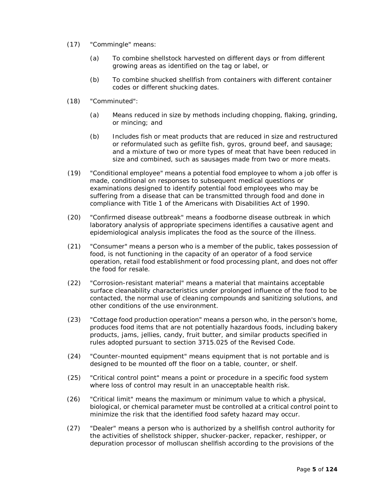- (17) "Commingle" means:
	- (a) To combine shellstock harvested on different days or from different growing areas as identified on the tag or label, or
	- (b) To combine shucked shellfish from containers with different container codes or different shucking dates.
- (18) "Comminuted":
	- (a) Means reduced in size by methods including chopping, flaking, grinding, or mincing; and
	- (b) Includes fish or meat products that are reduced in size and restructured or reformulated such as gefilte fish, gyros, ground beef, and sausage; and a mixture of two or more types of meat that have been reduced in size and combined, such as sausages made from two or more meats.
- (19) "Conditional employee" means a potential food employee to whom a job offer is made, conditional on responses to subsequent medical questions or examinations designed to identify potential food employees who may be suffering from a disease that can be transmitted through food and done in compliance with Title 1 of the Americans with Disabilities Act of 1990.
- (20) "Confirmed disease outbreak" means a foodborne disease outbreak in which laboratory analysis of appropriate specimens identifies a causative agent and epidemiological analysis implicates the food as the source of the illness.
- (21) "Consumer" means a person who is a member of the public, takes possession of food, is not functioning in the capacity of an operator of a food service operation, retail food establishment or food processing plant, and does not offer the food for resale.
- (22) "Corrosion-resistant material" means a material that maintains acceptable surface cleanability characteristics under prolonged influence of the food to be contacted, the normal use of cleaning compounds and sanitizing solutions, and other conditions of the use environment.
- (23) "Cottage food production operation" means a person who, in the person's home, produces food items that are not potentially hazardous foods, including bakery products, jams, jellies, candy, fruit butter, and similar products specified in rules adopted pursuant to section 3715.025 of the Revised Code.
- (24) "Counter-mounted equipment" means equipment that is not portable and is designed to be mounted off the floor on a table, counter, or shelf.
- (25) "Critical control point" means a point or procedure in a specific food system where loss of control may result in an unacceptable health risk.
- (26) "Critical limit" means the maximum or minimum value to which a physical, biological, or chemical parameter must be controlled at a critical control point to minimize the risk that the identified food safety hazard may occur.
- (27) "Dealer" means a person who is authorized by a shellfish control authority for the activities of shellstock shipper, shucker-packer, repacker, reshipper, or depuration processor of molluscan shellfish according to the provisions of the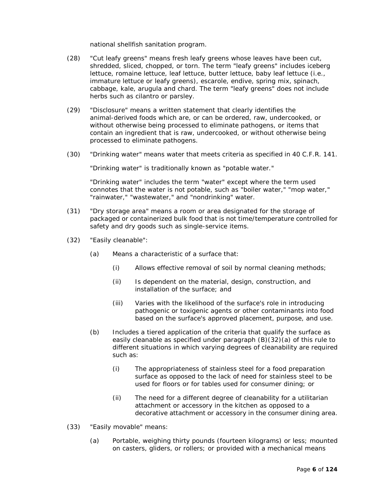national shellfish sanitation program.

- (28) "Cut leafy greens" means fresh leafy greens whose leaves have been cut, shredded, sliced, chopped, or torn. The term "leafy greens" includes iceberg lettuce, romaine lettuce, leaf lettuce, butter lettuce, baby leaf lettuce (i.e., immature lettuce or leafy greens), escarole, endive, spring mix, spinach, cabbage, kale, arugula and chard. The term "leafy greens" does not include herbs such as cilantro or parsley.
- (29) "Disclosure" means a written statement that clearly identifies the animal-derived foods which are, or can be ordered, raw, undercooked, or without otherwise being processed to eliminate pathogens, or items that contain an ingredient that is raw, undercooked, or without otherwise being processed to eliminate pathogens.
- (30) "Drinking water" means water that meets criteria as specified in 40 C.F.R. 141.

"Drinking water" is traditionally known as "potable water."

"Drinking water" includes the term "water" except where the term used connotes that the water is not potable, such as "boiler water," "mop water," "rainwater," "wastewater," and "nondrinking" water.

- (31) "Dry storage area" means a room or area designated for the storage of packaged or containerized bulk food that is not time/temperature controlled for safety and dry goods such as single-service items.
- (32) "Easily cleanable":
	- (a) Means a characteristic of a surface that:
		- (i) Allows effective removal of soil by normal cleaning methods;
		- (ii) Is dependent on the material, design, construction, and installation of the surface; and
		- (iii) Varies with the likelihood of the surface's role in introducing pathogenic or toxigenic agents or other contaminants into food based on the surface's approved placement, purpose, and use.
	- (b) Includes a tiered application of the criteria that qualify the surface as easily cleanable as specified under paragraph (B)(32)(a) of this rule to different situations in which varying degrees of cleanability are required such as:
		- (i) The appropriateness of stainless steel for a food preparation surface as opposed to the lack of need for stainless steel to be used for floors or for tables used for consumer dining; or
		- (ii) The need for a different degree of cleanability for a utilitarian attachment or accessory in the kitchen as opposed to a decorative attachment or accessory in the consumer dining area.
- (33) "Easily movable" means:
	- (a) Portable, weighing thirty pounds (fourteen kilograms) or less; mounted on casters, gliders, or rollers; or provided with a mechanical means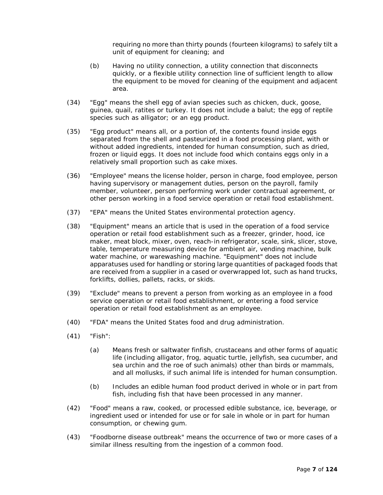requiring no more than thirty pounds (fourteen kilograms) to safely tilt a unit of equipment for cleaning; and

- (b) Having no utility connection, a utility connection that disconnects quickly, or a flexible utility connection line of sufficient length to allow the equipment to be moved for cleaning of the equipment and adjacent area.
- (34) "Egg" means the shell egg of avian species such as chicken, duck, goose, guinea, quail, ratites or turkey. It does not include a balut; the egg of reptile species such as alligator; or an egg product.
- (35) "Egg product" means all, or a portion of, the contents found inside eggs separated from the shell and pasteurized in a food processing plant, with or without added ingredients, intended for human consumption, such as dried, frozen or liquid eggs. It does not include food which contains eggs only in a relatively small proportion such as cake mixes.
- (36) "Employee" means the license holder, person in charge, food employee, person having supervisory or management duties, person on the payroll, family member, volunteer, person performing work under contractual agreement, or other person working in a food service operation or retail food establishment.
- (37) "EPA" means the United States environmental protection agency.
- (38) "Equipment" means an article that is used in the operation of a food service operation or retail food establishment such as a freezer, grinder, hood, ice maker, meat block, mixer, oven, reach-in refrigerator, scale, sink, slicer, stove, table, temperature measuring device for ambient air, vending machine, bulk water machine, or warewashing machine. "Equipment" does not include apparatuses used for handling or storing large quantities of packaged foods that are received from a supplier in a cased or overwrapped lot, such as hand trucks, forklifts, dollies, pallets, racks, or skids.
- (39) "Exclude" means to prevent a person from working as an employee in a food service operation or retail food establishment, or entering a food service operation or retail food establishment as an employee.
- (40) "FDA" means the United States food and drug administration.
- (41) "Fish":
	- (a) Means fresh or saltwater finfish, crustaceans and other forms of aquatic life (including alligator, frog, aquatic turtle, jellyfish, sea cucumber, and sea urchin and the roe of such animals) other than birds or mammals, and all mollusks, if such animal life is intended for human consumption.
	- (b) Includes an edible human food product derived in whole or in part from fish, including fish that have been processed in any manner.
- (42) "Food" means a raw, cooked, or processed edible substance, ice, beverage, or ingredient used or intended for use or for sale in whole or in part for human consumption, or chewing gum.
- (43) "Foodborne disease outbreak" means the occurrence of two or more cases of a similar illness resulting from the ingestion of a common food.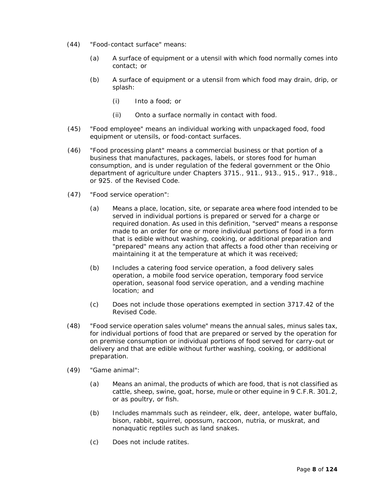- (44) "Food-contact surface" means:
	- (a) A surface of equipment or a utensil with which food normally comes into contact; or
	- (b) A surface of equipment or a utensil from which food may drain, drip, or splash:
		- (i) Into a food; or
		- (ii) Onto a surface normally in contact with food.
- (45) "Food employee" means an individual working with unpackaged food, food equipment or utensils, or food-contact surfaces.
- (46) "Food processing plant" means a commercial business or that portion of a business that manufactures, packages, labels, or stores food for human consumption, and is under regulation of the federal government or the Ohio department of agriculture under Chapters 3715., 911., 913., 915., 917., 918., or 925. of the Revised Code.
- (47) "Food service operation":
	- (a) Means a place, location, site, or separate area where food intended to be served in individual portions is prepared or served for a charge or required donation. As used in this definition, "served" means a response made to an order for one or more individual portions of food in a form that is edible without washing, cooking, or additional preparation and "prepared" means any action that affects a food other than receiving or maintaining it at the temperature at which it was received;
	- (b) Includes a catering food service operation, a food delivery sales operation, a mobile food service operation, temporary food service operation, seasonal food service operation, and a vending machine location; and
	- (c) Does not include those operations exempted in section 3717.42 of the Revised Code.
- (48) "Food service operation sales volume" means the annual sales, minus sales tax, for individual portions of food that are prepared or served by the operation for on premise consumption or individual portions of food served for carry-out or delivery and that are edible without further washing, cooking, or additional preparation.
- (49) "Game animal":
	- (a) Means an animal, the products of which are food, that is not classified as cattle, sheep, swine, goat, horse, mule or other equine in 9 C.F.R. 301.2, or as poultry, or fish.
	- (b) Includes mammals such as reindeer, elk, deer, antelope, water buffalo, bison, rabbit, squirrel, opossum, raccoon, nutria, or muskrat, and nonaquatic reptiles such as land snakes.
	- (c) Does not include ratites.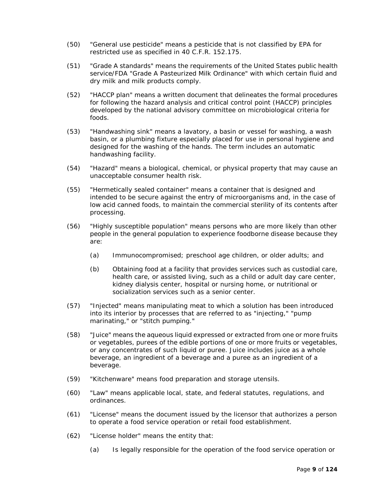- (50) "General use pesticide" means a pesticide that is not classified by EPA for restricted use as specified in 40 C.F.R. 152.175.
- (51) "Grade A standards" means the requirements of the United States public health service/FDA "Grade A Pasteurized Milk Ordinance" with which certain fluid and dry milk and milk products comply.
- (52) "HACCP plan" means a written document that delineates the formal procedures for following the hazard analysis and critical control point (HACCP) principles developed by the national advisory committee on microbiological criteria for foods.
- (53) "Handwashing sink" means a lavatory, a basin or vessel for washing, a wash basin, or a plumbing fixture especially placed for use in personal hygiene and designed for the washing of the hands. The term includes an automatic handwashing facility.
- (54) "Hazard" means a biological, chemical, or physical property that may cause an unacceptable consumer health risk.
- (55) "Hermetically sealed container" means a container that is designed and intended to be secure against the entry of microorganisms and, in the case of low acid canned foods, to maintain the commercial sterility of its contents after processing.
- (56) "Highly susceptible population" means persons who are more likely than other people in the general population to experience foodborne disease because they are:
	- (a) Immunocompromised; preschool age children, or older adults; and
	- (b) Obtaining food at a facility that provides services such as custodial care, health care, or assisted living, such as a child or adult day care center, kidney dialysis center, hospital or nursing home, or nutritional or socialization services such as a senior center.
- (57) "Injected" means manipulating meat to which a solution has been introduced into its interior by processes that are referred to as "injecting," "pump marinating," or "stitch pumping."
- (58) "Juice" means the aqueous liquid expressed or extracted from one or more fruits or vegetables, purees of the edible portions of one or more fruits or vegetables, or any concentrates of such liquid or puree. Juice includes juice as a whole beverage, an ingredient of a beverage and a puree as an ingredient of a beverage.
- (59) "Kitchenware" means food preparation and storage utensils.
- (60) "Law" means applicable local, state, and federal statutes, regulations, and ordinances.
- (61) "License" means the document issued by the licensor that authorizes a person to operate a food service operation or retail food establishment.
- (62) "License holder" means the entity that:
	- (a) Is legally responsible for the operation of the food service operation or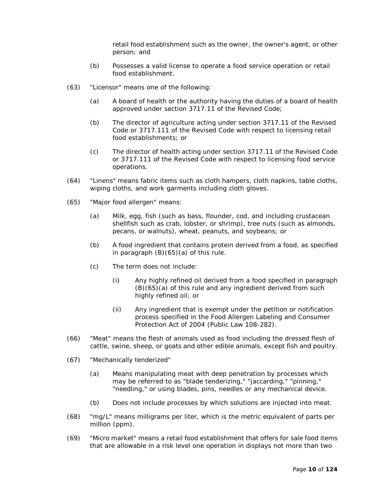retail food establishment such as the owner, the owner's agent, or other person; and

- (b) Possesses a valid license to operate a food service operation or retail food establishment.
- (63) "Licensor" means one of the following:
	- (a) A board of health or the authority having the duties of a board of health approved under section 3717.11 of the Revised Code;
	- (b) The director of agriculture acting under section 3717.11 of the Revised Code or 3717.111 of the Revised Code with respect to licensing retail food establishments; or
	- (c) The director of health acting under section 3717.11 of the Revised Code or 3717.111 of the Revised Code with respect to licensing food service operations.
- (64) "Linens" means fabric items such as cloth hampers, cloth napkins, table cloths, wiping cloths, and work garments including cloth gloves.
- (65) "Major food allergen" means:
	- (a) Milk, egg, fish (such as bass, flounder, cod, and including crustacean shellfish such as crab, lobster, or shrimp), tree nuts (such as almonds, pecans, or walnuts), wheat, peanuts, and soybeans; or
	- (b) A food ingredient that contains protein derived from a food, as specified in paragraph (B)(65)(a) of this rule.
	- (c) The term does not include:
		- (i) Any highly refined oil derived from a food specified in paragraph (B)(65)(a) of this rule and any ingredient derived from such highly refined oil; or
		- (ii) Any ingredient that is exempt under the petition or notification process specified in the Food Allergen Labeling and Consumer Protection Act of 2004 (Public Law 108-282).
- (66) "Meat" means the flesh of animals used as food including the dressed flesh of cattle, swine, sheep, or goats and other edible animals, except fish and poultry.
- (67) "Mechanically tenderized"
	- (a) Means manipulating meat with deep penetration by processes which may be referred to as "blade tenderizing," "jaccarding," "pinning," "needling," or using blades, pins, needles or any mechanical device.
	- (b) Does not include processes by which solutions are injected into meat.
- (68) "mg/L" means milligrams per liter, which is the metric equivalent of parts per million (ppm).
- (69) "Micro market" means a retail food establishment that offers for sale food items that are allowable in a risk level one operation in displays not more than two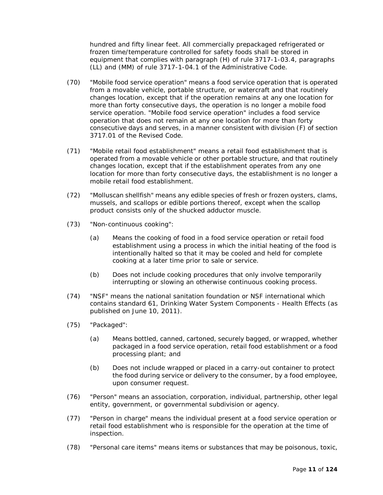hundred and fifty linear feet. All commercially prepackaged refrigerated or frozen time/temperature controlled for safety foods shall be stored in equipment that complies with paragraph (H) of rule 3717-1-03.4, paragraphs (LL) and (MM) of rule 3717-1-04.1 of the Administrative Code.

- (70) "Mobile food service operation" means a food service operation that is operated from a movable vehicle, portable structure, or watercraft and that routinely changes location, except that if the operation remains at any one location for more than forty consecutive days, the operation is no longer a mobile food service operation. "Mobile food service operation" includes a food service operation that does not remain at any one location for more than forty consecutive days and serves, in a manner consistent with division (F) of section 3717.01 of the Revised Code.
- (71) "Mobile retail food establishment" means a retail food establishment that is operated from a movable vehicle or other portable structure, and that routinely changes location, except that if the establishment operates from any one location for more than forty consecutive days, the establishment is no longer a mobile retail food establishment.
- (72) "Molluscan shellfish" means any edible species of fresh or frozen oysters, clams, mussels, and scallops or edible portions thereof, except when the scallop product consists only of the shucked adductor muscle.
- (73) "Non-continuous cooking":
	- (a) Means the cooking of food in a food service operation or retail food establishment using a process in which the initial heating of the food is intentionally halted so that it may be cooled and held for complete cooking at a later time prior to sale or service.
	- (b) Does not include cooking procedures that only involve temporarily interrupting or slowing an otherwise continuous cooking process.
- (74) "NSF" means the national sanitation foundation or NSF international which contains standard 61, Drinking Water System Components - Health Effects (as published on June 10, 2011).
- (75) "Packaged":
	- (a) Means bottled, canned, cartoned, securely bagged, or wrapped, whether packaged in a food service operation, retail food establishment or a food processing plant; and
	- (b) Does not include wrapped or placed in a carry-out container to protect the food during service or delivery to the consumer, by a food employee, upon consumer request.
- (76) "Person" means an association, corporation, individual, partnership, other legal entity, government, or governmental subdivision or agency.
- (77) "Person in charge" means the individual present at a food service operation or retail food establishment who is responsible for the operation at the time of inspection.
- (78) "Personal care items" means items or substances that may be poisonous, toxic,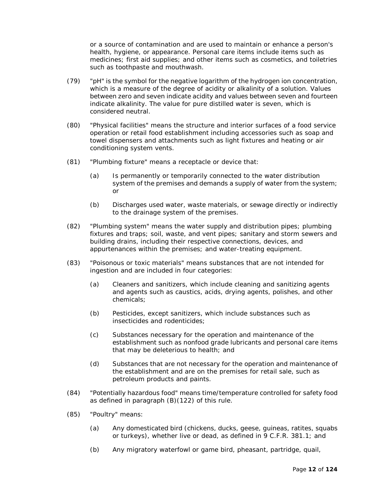or a source of contamination and are used to maintain or enhance a person's health, hygiene, or appearance. Personal care items include items such as medicines; first aid supplies; and other items such as cosmetics, and toiletries such as toothpaste and mouthwash.

- (79) "pH" is the symbol for the negative logarithm of the hydrogen ion concentration, which is a measure of the degree of acidity or alkalinity of a solution. Values between zero and seven indicate acidity and values between seven and fourteen indicate alkalinity. The value for pure distilled water is seven, which is considered neutral.
- (80) "Physical facilities" means the structure and interior surfaces of a food service operation or retail food establishment including accessories such as soap and towel dispensers and attachments such as light fixtures and heating or air conditioning system vents.
- (81) "Plumbing fixture" means a receptacle or device that:
	- (a) Is permanently or temporarily connected to the water distribution system of the premises and demands a supply of water from the system; or
	- (b) Discharges used water, waste materials, or sewage directly or indirectly to the drainage system of the premises.
- (82) "Plumbing system" means the water supply and distribution pipes; plumbing fixtures and traps; soil, waste, and vent pipes; sanitary and storm sewers and building drains, including their respective connections, devices, and appurtenances within the premises; and water-treating equipment.
- (83) "Poisonous or toxic materials" means substances that are not intended for ingestion and are included in four categories:
	- (a) Cleaners and sanitizers, which include cleaning and sanitizing agents and agents such as caustics, acids, drying agents, polishes, and other chemicals;
	- (b) Pesticides, except sanitizers, which include substances such as insecticides and rodenticides;
	- (c) Substances necessary for the operation and maintenance of the establishment such as nonfood grade lubricants and personal care items that may be deleterious to health; and
	- (d) Substances that are not necessary for the operation and maintenance of the establishment and are on the premises for retail sale, such as petroleum products and paints.
- (84) "Potentially hazardous food" means time/temperature controlled for safety food as defined in paragraph (B)(122) of this rule.
- (85) "Poultry" means:
	- (a) Any domesticated bird (chickens, ducks, geese, guineas, ratites, squabs or turkeys), whether live or dead, as defined in 9 C.F.R. 381.1; and
	- (b) Any migratory waterfowl or game bird, pheasant, partridge, quail,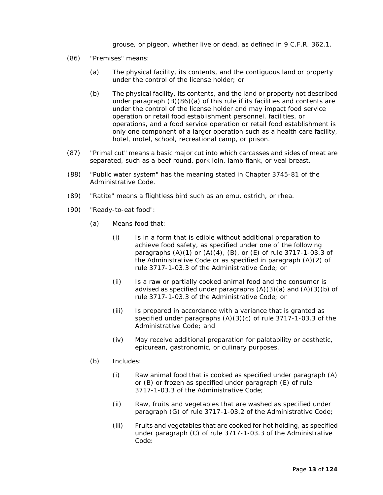grouse, or pigeon, whether live or dead, as defined in 9 C.F.R. 362.1.

- (86) "Premises" means:
	- (a) The physical facility, its contents, and the contiguous land or property under the control of the license holder; or
	- (b) The physical facility, its contents, and the land or property not described under paragraph (B)(86)(a) of this rule if its facilities and contents are under the control of the license holder and may impact food service operation or retail food establishment personnel, facilities, or operations, and a food service operation or retail food establishment is only one component of a larger operation such as a health care facility, hotel, motel, school, recreational camp, or prison.
- (87) "Primal cut" means a basic major cut into which carcasses and sides of meat are separated, such as a beef round, pork loin, lamb flank, or veal breast.
- (88) "Public water system" has the meaning stated in Chapter 3745-81 of the Administrative Code.
- (89) "Ratite" means a flightless bird such as an emu, ostrich, or rhea.
- (90) "Ready-to-eat food":
	- (a) Means food that:
		- (i) Is in a form that is edible without additional preparation to achieve food safety, as specified under one of the following paragraphs  $(A)(1)$  or  $(A)(4)$ ,  $(B)$ , or  $(E)$  of rule 3717-1-03.3 of the Administrative Code or as specified in paragraph (A)(2) of rule 3717-1-03.3 of the Administrative Code; or
		- (ii) Is a raw or partially cooked animal food and the consumer is advised as specified under paragraphs  $(A)(3)(a)$  and  $(A)(3)(b)$  of rule 3717-1-03.3 of the Administrative Code; or
		- (iii) Is prepared in accordance with a variance that is granted as specified under paragraphs (A)(3)(c) of rule 3717-1-03.3 of the Administrative Code; and
		- (iv) May receive additional preparation for palatability or aesthetic, epicurean, gastronomic, or culinary purposes.

#### (b) Includes:

- (i) Raw animal food that is cooked as specified under paragraph (A) or (B) or frozen as specified under paragraph (E) of rule 3717-1-03.3 of the Administrative Code;
- (ii) Raw, fruits and vegetables that are washed as specified under paragraph (G) of rule 3717-1-03.2 of the Administrative Code;
- (iii) Fruits and vegetables that are cooked for hot holding, as specified under paragraph (C) of rule 3717-1-03.3 of the Administrative Code: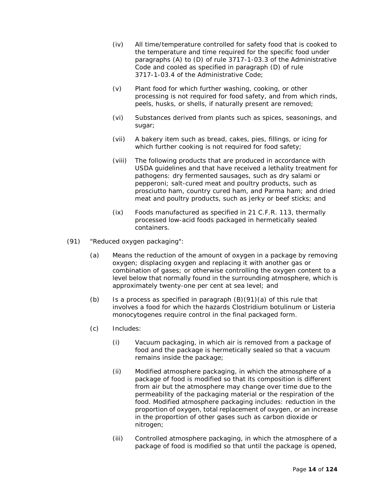- (iv) All time/temperature controlled for safety food that is cooked to the temperature and time required for the specific food under paragraphs (A) to (D) of rule 3717-1-03.3 of the Administrative Code and cooled as specified in paragraph (D) of rule 3717-1-03.4 of the Administrative Code;
- (v) Plant food for which further washing, cooking, or other processing is not required for food safety, and from which rinds, peels, husks, or shells, if naturally present are removed;
- (vi) Substances derived from plants such as spices, seasonings, and sugar;
- (vii) A bakery item such as bread, cakes, pies, fillings, or icing for which further cooking is not required for food safety;
- (viii) The following products that are produced in accordance with USDA guidelines and that have received a lethality treatment for pathogens: dry fermented sausages, such as dry salami or pepperoni; salt-cured meat and poultry products, such as prosciutto ham, country cured ham, and Parma ham; and dried meat and poultry products, such as jerky or beef sticks; and
- (ix) Foods manufactured as specified in 21 C.F.R. 113, thermally processed low-acid foods packaged in hermetically sealed containers.
- (91) "Reduced oxygen packaging":
	- (a) Means the reduction of the amount of oxygen in a package by removing oxygen; displacing oxygen and replacing it with another gas or combination of gases; or otherwise controlling the oxygen content to a level below that normally found in the surrounding atmosphere, which is approximately twenty-one per cent at sea level; and
	- (b) Is a process as specified in paragraph  $(B)(91)(a)$  of this rule that involves a food for which the hazards Clostridium botulinum or Listeria monocytogenes require control in the final packaged form.
	- (c) Includes:
		- (i) Vacuum packaging, in which air is removed from a package of food and the package is hermetically sealed so that a vacuum remains inside the package;
		- (ii) Modified atmosphere packaging, in which the atmosphere of a package of food is modified so that its composition is different from air but the atmosphere may change over time due to the permeability of the packaging material or the respiration of the food. Modified atmosphere packaging includes: reduction in the proportion of oxygen, total replacement of oxygen, or an increase in the proportion of other gases such as carbon dioxide or nitrogen;
		- (iii) Controlled atmosphere packaging, in which the atmosphere of a package of food is modified so that until the package is opened,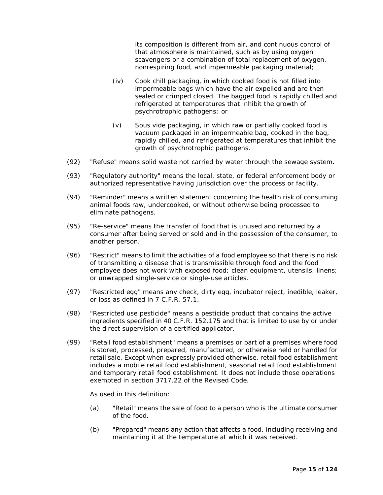its composition is different from air, and continuous control of that atmosphere is maintained, such as by using oxygen scavengers or a combination of total replacement of oxygen, nonrespiring food, and impermeable packaging material;

- (iv) Cook chill packaging, in which cooked food is hot filled into impermeable bags which have the air expelled and are then sealed or crimped closed. The bagged food is rapidly chilled and refrigerated at temperatures that inhibit the growth of psychrotrophic pathogens; or
- (v) Sous vide packaging, in which raw or partially cooked food is vacuum packaged in an impermeable bag, cooked in the bag, rapidly chilled, and refrigerated at temperatures that inhibit the growth of psychrotrophic pathogens.
- (92) "Refuse" means solid waste not carried by water through the sewage system.
- (93) "Regulatory authority" means the local, state, or federal enforcement body or authorized representative having jurisdiction over the process or facility.
- (94) "Reminder" means a written statement concerning the health risk of consuming animal foods raw, undercooked, or without otherwise being processed to eliminate pathogens.
- (95) "Re-service" means the transfer of food that is unused and returned by a consumer after being served or sold and in the possession of the consumer, to another person.
- (96) "Restrict" means to limit the activities of a food employee so that there is no risk of transmitting a disease that is transmissible through food and the food employee does not work with exposed food; clean equipment, utensils, linens; or unwrapped single-service or single-use articles.
- (97) "Restricted egg" means any check, dirty egg, incubator reject, inedible, leaker, or loss as defined in 7 C.F.R. 57.1.
- (98) "Restricted use pesticide" means a pesticide product that contains the active ingredients specified in 40 C.F.R. 152.175 and that is limited to use by or under the direct supervision of a certified applicator.
- (99) "Retail food establishment" means a premises or part of a premises where food is stored, processed, prepared, manufactured, or otherwise held or handled for retail sale. Except when expressly provided otherwise, retail food establishment includes a mobile retail food establishment, seasonal retail food establishment and temporary retail food establishment. It does not include those operations exempted in section 3717.22 of the Revised Code.

As used in this definition:

- (a) "Retail" means the sale of food to a person who is the ultimate consumer of the food.
- (b) "Prepared" means any action that affects a food, including receiving and maintaining it at the temperature at which it was received.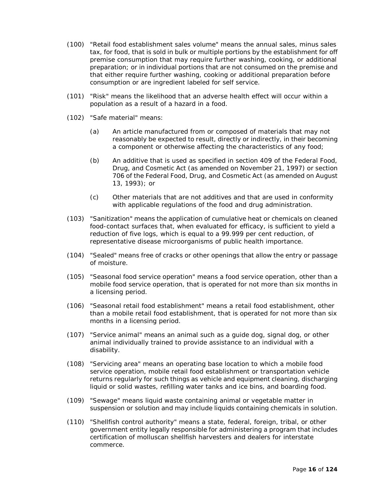- (100) "Retail food establishment sales volume" means the annual sales, minus sales tax, for food, that is sold in bulk or multiple portions by the establishment for off premise consumption that may require further washing, cooking, or additional preparation; or in individual portions that are not consumed on the premise and that either require further washing, cooking or additional preparation before consumption or are ingredient labeled for self service.
- (101) "Risk" means the likelihood that an adverse health effect will occur within a population as a result of a hazard in a food.
- (102) "Safe material" means:
	- (a) An article manufactured from or composed of materials that may not reasonably be expected to result, directly or indirectly, in their becoming a component or otherwise affecting the characteristics of any food;
	- (b) An additive that is used as specified in section 409 of the Federal Food, Drug, and Cosmetic Act (as amended on November 21, 1997) or section 706 of the Federal Food, Drug, and Cosmetic Act (as amended on August 13, 1993); or
	- (c) Other materials that are not additives and that are used in conformity with applicable regulations of the food and drug administration.
- (103) "Sanitization" means the application of cumulative heat or chemicals on cleaned food-contact surfaces that, when evaluated for efficacy, is sufficient to yield a reduction of five logs, which is equal to a 99.999 per cent reduction, of representative disease microorganisms of public health importance.
- (104) "Sealed" means free of cracks or other openings that allow the entry or passage of moisture.
- (105) "Seasonal food service operation" means a food service operation, other than a mobile food service operation, that is operated for not more than six months in a licensing period.
- (106) "Seasonal retail food establishment" means a retail food establishment, other than a mobile retail food establishment, that is operated for not more than six months in a licensing period.
- (107) "Service animal" means an animal such as a guide dog, signal dog, or other animal individually trained to provide assistance to an individual with a disability.
- (108) "Servicing area" means an operating base location to which a mobile food service operation, mobile retail food establishment or transportation vehicle returns regularly for such things as vehicle and equipment cleaning, discharging liquid or solid wastes, refilling water tanks and ice bins, and boarding food.
- (109) "Sewage" means liquid waste containing animal or vegetable matter in suspension or solution and may include liquids containing chemicals in solution.
- (110) "Shellfish control authority" means a state, federal, foreign, tribal, or other government entity legally responsible for administering a program that includes certification of molluscan shellfish harvesters and dealers for interstate commerce.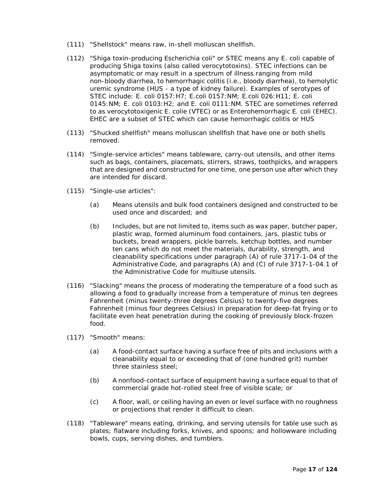- (111) "Shellstock" means raw, in-shell molluscan shellfish.
- (112) "Shiga toxin-producing Escherichia coli" or STEC means any E. coli capable of producing Shiga toxins (also called verocytotoxins). STEC infections can be asymptomatic or may result in a spectrum of illness ranging from mild non-bloody diarrhea, to hemorrhagic colitis (i.e., bloody diarrhea), to hemolytic uremic syndrome (HUS - a type of kidney failure). Examples of serotypes of STEC include: E. coli 0157:H7; E.coli 0157:NM; E.coli 026:H11; E. coli 0145:NM; E. coli 0103:H2; and E. coli 0111:NM. STEC are sometimes referred to as verocytotoxigenic E. colie (VTEC) or as Enterohemorrhagic E. coli (EHEC). EHEC are a subset of STEC which can cause hemorrhagic colitis or HUS
- (113) "Shucked shellfish" means molluscan shellfish that have one or both shells removed.
- (114) "Single-service articles" means tableware, carry-out utensils, and other items such as bags, containers, placemats, stirrers, straws, toothpicks, and wrappers that are designed and constructed for one time, one person use after which they are intended for discard.
- (115) "Single-use articles":
	- (a) Means utensils and bulk food containers designed and constructed to be used once and discarded; and
	- (b) Includes, but are not limited to, items such as wax paper, butcher paper, plastic wrap, formed aluminum food containers, jars, plastic tubs or buckets, bread wrappers, pickle barrels, ketchup bottles, and number ten cans which do not meet the materials, durability, strength, and cleanability specifications under paragraph (A) of rule 3717-1-04 of the Administrative Code, and paragraphs (A) and (C) of rule 3717-1-04.1 of the Administrative Code for multiuse utensils.
- (116) "Slacking" means the process of moderating the temperature of a food such as allowing a food to gradually increase from a temperature of minus ten degrees Fahrenheit (minus twenty-three degrees Celsius) to twenty-five degrees Fahrenheit (minus four degrees Celsius) in preparation for deep-fat frying or to facilitate even heat penetration during the cooking of previously block-frozen food.
- (117) "Smooth" means:
	- (a) A food-contact surface having a surface free of pits and inclusions with a cleanability equal to or exceeding that of (one hundred grit) number three stainless steel;
	- (b) A nonfood-contact surface of equipment having a surface equal to that of commercial grade hot-rolled steel free of visible scale; or
	- (c) A floor, wall, or ceiling having an even or level surface with no roughness or projections that render it difficult to clean.
- (118) "Tableware" means eating, drinking, and serving utensils for table use such as plates; flatware including forks, knives, and spoons; and hollowware including bowls, cups, serving dishes, and tumblers.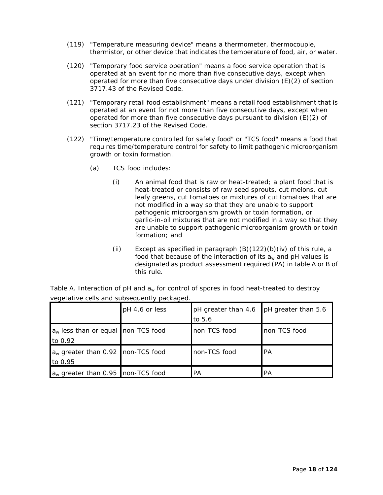- (119) "Temperature measuring device" means a thermometer, thermocouple, thermistor, or other device that indicates the temperature of food, air, or water.
- (120) "Temporary food service operation" means a food service operation that is operated at an event for no more than five consecutive days, except when operated for more than five consecutive days under division (E)(2) of section 3717.43 of the Revised Code.
- (121) "Temporary retail food establishment" means a retail food establishment that is operated at an event for not more than five consecutive days, except when operated for more than five consecutive days pursuant to division (E)(2) of section 3717.23 of the Revised Code.
- (122) "Time/temperature controlled for safety food" or "TCS food" means a food that requires time/temperature control for safety to limit pathogenic microorganism growth or toxin formation.
	- (a) TCS food includes:

to 0.92

to 0.95

- (i) An animal food that is raw or heat-treated; a plant food that is heat-treated or consists of raw seed sprouts, cut melons, cut leafy greens, cut tomatoes or mixtures of cut tomatoes that are not modified in a way so that they are unable to support pathogenic microorganism growth or toxin formation, or garlic-in-oil mixtures that are not modified in a way so that they are unable to support pathogenic microorganism growth or toxin formation; and
- (ii) Except as specified in paragraph (B)(122)(b)(iv) of this rule, a food that because of the interaction of its  $a_w$  and pH values is designated as product assessment required (PA) in table A or B of this rule.

| vegetative cells and subsequently packaged. |  |                                         |              |  |  |  |  |
|---------------------------------------------|--|-----------------------------------------|--------------|--|--|--|--|
| pH 4.6 or less                              |  | pH greater than 4.6 pH greater than 5.6 |              |  |  |  |  |
|                                             |  | to $5.6$                                |              |  |  |  |  |
| $a_w$ less than or equal non-TCS food       |  | non-TCS food                            | non-TCS food |  |  |  |  |

a<sub>w</sub> greater than 0.92 non-TCS food non-TCS food PA

 $a_w$  greater than 0.95 non-TCS food  $PA$  PA PA

Table A. Interaction of pH and  $a_w$  for control of spores in food heat-treated to destroy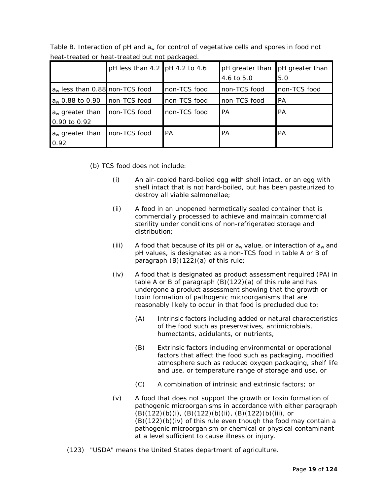|                                    | pH less than $4.2$ pH $4.2$ to $4.6$ |              | pH greater than<br>4.6 to 5.0 | pH greater than<br>5.0 |  |  |  |
|------------------------------------|--------------------------------------|--------------|-------------------------------|------------------------|--|--|--|
| $a_w$ less than 0.88 non-TCS food  |                                      | non-TCS food | non-TCS food                  | non-TCS food           |  |  |  |
| $a_{w}$ 0.88 to 0.90               | non-TCS food                         | non-TCS food | non-TCS food                  | <b>PA</b>              |  |  |  |
| $a_w$ greater than<br>0.90 to 0.92 | Inon-TCS food                        | non-TCS food | <b>PA</b>                     | PА                     |  |  |  |
| $a_w$ greater than<br>0.92         | non-TCS food                         | PА           | PA                            | <b>PA</b>              |  |  |  |

Table B. Interaction of pH and  $a_w$  for control of vegetative cells and spores in food not heat-treated or heat-treated but not packaged.

(b) TCS food does not include:

- (i) An air-cooled hard-boiled egg with shell intact, or an egg with shell intact that is not hard-boiled, but has been pasteurized to destroy all viable salmonellae;
- (ii) A food in an unopened hermetically sealed container that is commercially processed to achieve and maintain commercial sterility under conditions of non-refrigerated storage and distribution;
- (iii) A food that because of its pH or  $a_w$  value, or interaction of  $a_w$  and pH values, is designated as a non-TCS food in table A or B of paragraph (B)(122)(a) of this rule;
- (iv) A food that is designated as product assessment required (PA) in table A or B of paragraph (B)(122)(a) of this rule and has undergone a product assessment showing that the growth or toxin formation of pathogenic microorganisms that are reasonably likely to occur in that food is precluded due to:
	- (A) Intrinsic factors including added or natural characteristics of the food such as preservatives, antimicrobials, humectants, acidulants, or nutrients,
	- (B) Extrinsic factors including environmental or operational factors that affect the food such as packaging, modified atmosphere such as reduced oxygen packaging, shelf life and use, or temperature range of storage and use, or
	- (C) A combination of intrinsic and extrinsic factors; or
- (v) A food that does not support the growth or toxin formation of pathogenic microorganisms in accordance with either paragraph (B)(122)(b)(i), (B)(122)(b)(ii), (B)(122)(b)(iii), or (B)(122)(b)(iv) of this rule even though the food may contain a pathogenic microorganism or chemical or physical contaminant at a level sufficient to cause illness or injury.
- (123) "USDA" means the United States department of agriculture.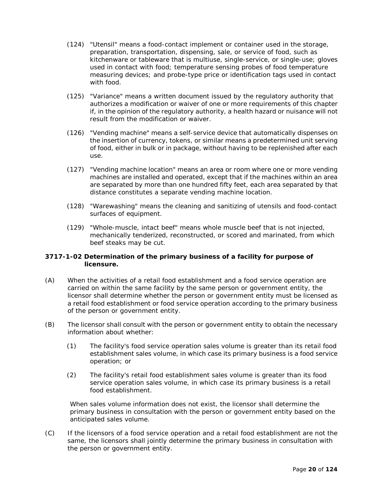- (124) "Utensil" means a food-contact implement or container used in the storage, preparation, transportation, dispensing, sale, or service of food, such as kitchenware or tableware that is multiuse, single-service, or single-use; gloves used in contact with food; temperature sensing probes of food temperature measuring devices; and probe-type price or identification tags used in contact with food.
- (125) "Variance" means a written document issued by the regulatory authority that authorizes a modification or waiver of one or more requirements of this chapter if, in the opinion of the regulatory authority, a health hazard or nuisance will not result from the modification or waiver.
- (126) "Vending machine" means a self-service device that automatically dispenses on the insertion of currency, tokens, or similar means a predetermined unit serving of food, either in bulk or in package, without having to be replenished after each use.
- (127) "Vending machine location" means an area or room where one or more vending machines are installed and operated, except that if the machines within an area are separated by more than one hundred fifty feet, each area separated by that distance constitutes a separate vending machine location.
- (128) "Warewashing" means the cleaning and sanitizing of utensils and food-contact surfaces of equipment.
- (129) "Whole-muscle, intact beef" means whole muscle beef that is not injected, mechanically tenderized, reconstructed, or scored and marinated, from which beef steaks may be cut.

## <span id="page-19-0"></span>**3717-1-02 Determination of the primary business of a facility for purpose of licensure.**

- (A) When the activities of a retail food establishment and a food service operation are carried on within the same facility by the same person or government entity, the licensor shall determine whether the person or government entity must be licensed as a retail food establishment or food service operation according to the primary business of the person or government entity.
- (B) The licensor shall consult with the person or government entity to obtain the necessary information about whether:
	- (1) The facility's food service operation sales volume is greater than its retail food establishment sales volume, in which case its primary business is a food service operation; or
	- (2) The facility's retail food establishment sales volume is greater than its food service operation sales volume, in which case its primary business is a retail food establishment.

When sales volume information does not exist, the licensor shall determine the primary business in consultation with the person or government entity based on the anticipated sales volume.

(C) If the licensors of a food service operation and a retail food establishment are not the same, the licensors shall jointly determine the primary business in consultation with the person or government entity.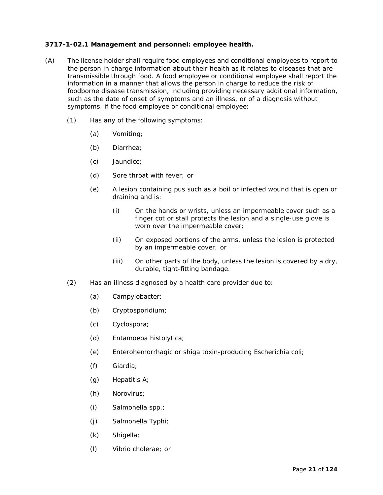# <span id="page-20-0"></span>**3717-1-02.1 Management and personnel: employee health.**

- (A) The license holder shall require food employees and conditional employees to report to the person in charge information about their health as it relates to diseases that are transmissible through food. A food employee or conditional employee shall report the information in a manner that allows the person in charge to reduce the risk of foodborne disease transmission, including providing necessary additional information, such as the date of onset of symptoms and an illness, or of a diagnosis without symptoms, if the food employee or conditional employee:
	- (1) Has any of the following symptoms:
		- (a) Vomiting;
		- (b) Diarrhea;
		- (c) Jaundice;
		- (d) Sore throat with fever; or
		- (e) A lesion containing pus such as a boil or infected wound that is open or draining and is:
			- (i) On the hands or wrists, unless an impermeable cover such as a finger cot or stall protects the lesion and a single-use glove is worn over the impermeable cover;
			- (ii) On exposed portions of the arms, unless the lesion is protected by an impermeable cover; or
			- (iii) On other parts of the body, unless the lesion is covered by a dry, durable, tight-fitting bandage.
	- (2) Has an illness diagnosed by a health care provider due to:
		- (a) Campylobacter;
		- (b) Cryptosporidium;
		- (c) Cyclospora;
		- (d) Entamoeba histolytica;
		- (e) Enterohemorrhagic or shiga toxin-producing Escherichia coli;
		- (f) Giardia;
		- (g) Hepatitis A;
		- (h) Norovirus;
		- (i) Salmonella spp.;
		- (j) Salmonella Typhi;
		- (k) Shigella;
		- (l) Vibrio cholerae; or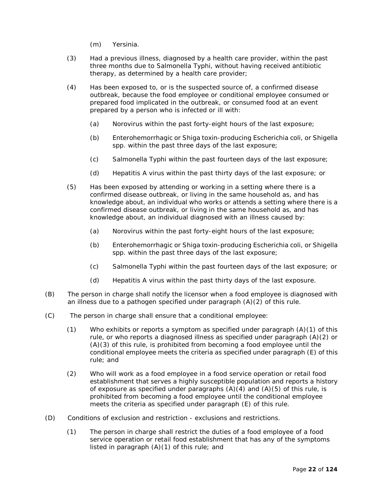- (m) Yersinia.
- (3) Had a previous illness, diagnosed by a health care provider, within the past three months due to Salmonella Typhi, without having received antibiotic therapy, as determined by a health care provider;
- (4) Has been exposed to, or is the suspected source of, a confirmed disease outbreak, because the food employee or conditional employee consumed or prepared food implicated in the outbreak, or consumed food at an event prepared by a person who is infected or ill with:
	- (a) Norovirus within the past forty-eight hours of the last exposure;
	- (b) Enterohemorrhagic or Shiga toxin-producing Escherichia coli, or Shigella spp. within the past three days of the last exposure;
	- (c) Salmonella Typhi within the past fourteen days of the last exposure;
	- (d) Hepatitis A virus within the past thirty days of the last exposure; or
- (5) Has been exposed by attending or working in a setting where there is a confirmed disease outbreak, or living in the same household as, and has knowledge about, an individual who works or attends a setting where there is a confirmed disease outbreak, or living in the same household as, and has knowledge about, an individual diagnosed with an illness caused by:
	- (a) Norovirus within the past forty-eight hours of the last exposure;
	- (b) Enterohemorrhagic or Shiga toxin-producing Escherichia coli, or Shigella spp. within the past three days of the last exposure;
	- (c) Salmonella Typhi within the past fourteen days of the last exposure; or
	- (d) Hepatitis A virus within the past thirty days of the last exposure.
- (B) The person in charge shall notify the licensor when a food employee is diagnosed with an illness due to a pathogen specified under paragraph (A)(2) of this rule.
- (C) The person in charge shall ensure that a conditional employee:
	- (1) Who exhibits or reports a symptom as specified under paragraph (A)(1) of this rule, or who reports a diagnosed illness as specified under paragraph (A)(2) or (A)(3) of this rule, is prohibited from becoming a food employee until the conditional employee meets the criteria as specified under paragraph (E) of this rule; and
	- (2) Who will work as a food employee in a food service operation or retail food establishment that serves a highly susceptible population and reports a history of exposure as specified under paragraphs  $(A)(4)$  and  $(A)(5)$  of this rule, is prohibited from becoming a food employee until the conditional employee meets the criteria as specified under paragraph (E) of this rule.
- (D) Conditions of exclusion and restriction exclusions and restrictions.
	- (1) The person in charge shall restrict the duties of a food employee of a food service operation or retail food establishment that has any of the symptoms listed in paragraph (A)(1) of this rule; and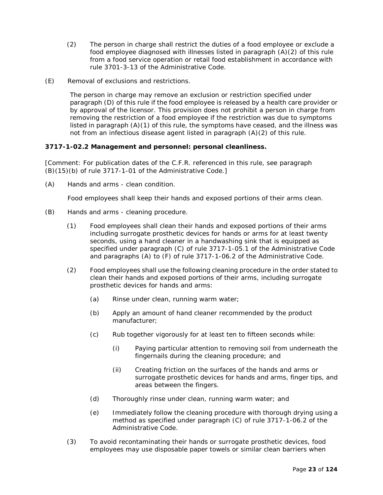- (2) The person in charge shall restrict the duties of a food employee or exclude a food employee diagnosed with illnesses listed in paragraph (A)(2) of this rule from a food service operation or retail food establishment in accordance with rule 3701-3-13 of the Administrative Code.
- (E) Removal of exclusions and restrictions.

The person in charge may remove an exclusion or restriction specified under paragraph (D) of this rule if the food employee is released by a health care provider or by approval of the licensor. This provision does not prohibit a person in charge from removing the restriction of a food employee if the restriction was due to symptoms listed in paragraph (A)(1) of this rule, the symptoms have ceased, and the illness was not from an infectious disease agent listed in paragraph (A)(2) of this rule.

## <span id="page-22-0"></span>**3717-1-02.2 Management and personnel: personal cleanliness.**

[Comment: For publication dates of the C.F.R. referenced in this rule, see paragraph (B)(15)(b) of rule 3717-1-01 of the Administrative Code.]

(A) Hands and arms - clean condition.

Food employees shall keep their hands and exposed portions of their arms clean.

- (B) Hands and arms cleaning procedure.
	- (1) Food employees shall clean their hands and exposed portions of their arms including surrogate prosthetic devices for hands or arms for at least twenty seconds, using a hand cleaner in a handwashing sink that is equipped as specified under paragraph (C) of rule 3717-1-05.1 of the Administrative Code and paragraphs (A) to (F) of rule 3717-1-06.2 of the Administrative Code.
	- (2) Food employees shall use the following cleaning procedure in the order stated to clean their hands and exposed portions of their arms, including surrogate prosthetic devices for hands and arms:
		- (a) Rinse under clean, running warm water;
		- (b) Apply an amount of hand cleaner recommended by the product manufacturer;
		- (c) Rub together vigorously for at least ten to fifteen seconds while:
			- (i) Paying particular attention to removing soil from underneath the fingernails during the cleaning procedure; and
			- (ii) Creating friction on the surfaces of the hands and arms or surrogate prosthetic devices for hands and arms, finger tips, and areas between the fingers.
		- (d) Thoroughly rinse under clean, running warm water; and
		- (e) Immediately follow the cleaning procedure with thorough drying using a method as specified under paragraph (C) of rule 3717-1-06.2 of the Administrative Code.
	- (3) To avoid recontaminating their hands or surrogate prosthetic devices, food employees may use disposable paper towels or similar clean barriers when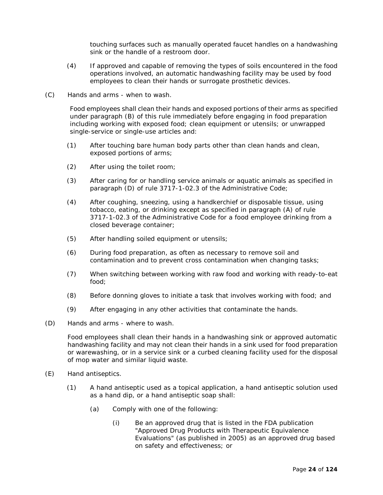touching surfaces such as manually operated faucet handles on a handwashing sink or the handle of a restroom door.

- (4) If approved and capable of removing the types of soils encountered in the food operations involved, an automatic handwashing facility may be used by food employees to clean their hands or surrogate prosthetic devices.
- (C) Hands and arms when to wash.

Food employees shall clean their hands and exposed portions of their arms as specified under paragraph (B) of this rule immediately before engaging in food preparation including working with exposed food; clean equipment or utensils; or unwrapped single-service or single-use articles and:

- (1) After touching bare human body parts other than clean hands and clean, exposed portions of arms;
- (2) After using the toilet room;
- (3) After caring for or handling service animals or aquatic animals as specified in paragraph (D) of rule 3717-1-02.3 of the Administrative Code;
- (4) After coughing, sneezing, using a handkerchief or disposable tissue, using tobacco, eating, or drinking except as specified in paragraph (A) of rule 3717-1-02.3 of the Administrative Code for a food employee drinking from a closed beverage container;
- (5) After handling soiled equipment or utensils;
- (6) During food preparation, as often as necessary to remove soil and contamination and to prevent cross contamination when changing tasks;
- (7) When switching between working with raw food and working with ready-to-eat food;
- (8) Before donning gloves to initiate a task that involves working with food; and
- (9) After engaging in any other activities that contaminate the hands.
- (D) Hands and arms where to wash.

Food employees shall clean their hands in a handwashing sink or approved automatic handwashing facility and may not clean their hands in a sink used for food preparation or warewashing, or in a service sink or a curbed cleaning facility used for the disposal of mop water and similar liquid waste.

- (E) Hand antiseptics.
	- (1) A hand antiseptic used as a topical application, a hand antiseptic solution used as a hand dip, or a hand antiseptic soap shall:
		- (a) Comply with one of the following:
			- (i) Be an approved drug that is listed in the FDA publication "Approved Drug Products with Therapeutic Equivalence Evaluations" (as published in 2005) as an approved drug based on safety and effectiveness; or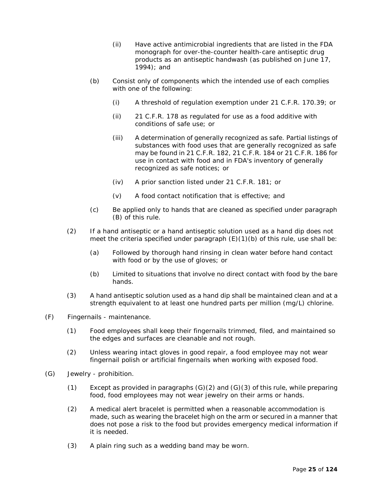- (ii) Have active antimicrobial ingredients that are listed in the FDA monograph for over-the-counter health-care antiseptic drug products as an antiseptic handwash (as published on June 17, 1994); and
- (b) Consist only of components which the intended use of each complies with one of the following:
	- (i) A threshold of regulation exemption under 21 C.F.R. 170.39; or
	- (ii) 21 C.F.R. 178 as regulated for use as a food additive with conditions of safe use; or
	- (iii) A determination of generally recognized as safe. Partial listings of substances with food uses that are generally recognized as safe may be found in 21 C.F.R. 182, 21 C.F.R. 184 or 21 C.F.R. 186 for use in contact with food and in FDA's inventory of generally recognized as safe notices; or
	- (iv) A prior sanction listed under 21 C.F.R. 181; or
	- (v) A food contact notification that is effective; and
- (c) Be applied only to hands that are cleaned as specified under paragraph (B) of this rule.
- (2) If a hand antiseptic or a hand antiseptic solution used as a hand dip does not meet the criteria specified under paragraph  $(E)(1)(b)$  of this rule, use shall be:
	- (a) Followed by thorough hand rinsing in clean water before hand contact with food or by the use of gloves; or
	- (b) Limited to situations that involve no direct contact with food by the bare hands.
- (3) A hand antiseptic solution used as a hand dip shall be maintained clean and at a strength equivalent to at least one hundred parts per million (mg/L) chlorine.
- (F) Fingernails maintenance.
	- (1) Food employees shall keep their fingernails trimmed, filed, and maintained so the edges and surfaces are cleanable and not rough.
	- (2) Unless wearing intact gloves in good repair, a food employee may not wear fingernail polish or artificial fingernails when working with exposed food.
- (G) Jewelry prohibition.
	- (1) Except as provided in paragraphs (G)(2) and (G)(3) of this rule, while preparing food, food employees may not wear jewelry on their arms or hands.
	- (2) A medical alert bracelet is permitted when a reasonable accommodation is made, such as wearing the bracelet high on the arm or secured in a manner that does not pose a risk to the food but provides emergency medical information if it is needed.
	- (3) A plain ring such as a wedding band may be worn.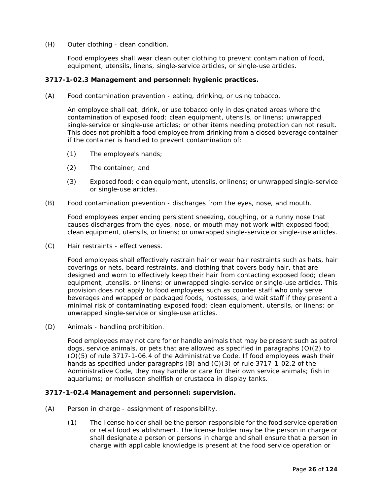(H) Outer clothing - clean condition.

Food employees shall wear clean outer clothing to prevent contamination of food, equipment, utensils, linens, single-service articles, or single-use articles.

## <span id="page-25-0"></span>**3717-1-02.3 Management and personnel: hygienic practices.**

(A) Food contamination prevention - eating, drinking, or using tobacco.

An employee shall eat, drink, or use tobacco only in designated areas where the contamination of exposed food; clean equipment, utensils, or linens; unwrapped single-service or single-use articles; or other items needing protection can not result. This does not prohibit a food employee from drinking from a closed beverage container if the container is handled to prevent contamination of:

- (1) The employee's hands;
- (2) The container; and
- (3) Exposed food; clean equipment, utensils, or linens; or unwrapped single-service or single-use articles.
- (B) Food contamination prevention discharges from the eyes, nose, and mouth.

Food employees experiencing persistent sneezing, coughing, or a runny nose that causes discharges from the eyes, nose, or mouth may not work with exposed food; clean equipment, utensils, or linens; or unwrapped single-service or single-use articles.

(C) Hair restraints - effectiveness.

Food employees shall effectively restrain hair or wear hair restraints such as hats, hair coverings or nets, beard restraints, and clothing that covers body hair, that are designed and worn to effectively keep their hair from contacting exposed food; clean equipment, utensils, or linens; or unwrapped single-service or single-use articles. This provision does not apply to food employees such as counter staff who only serve beverages and wrapped or packaged foods, hostesses, and wait staff if they present a minimal risk of contaminating exposed food; clean equipment, utensils, or linens; or unwrapped single-service or single-use articles.

(D) Animals - handling prohibition.

Food employees may not care for or handle animals that may be present such as patrol dogs, service animals, or pets that are allowed as specified in paragraphs (O)(2) to (O)(5) of rule 3717-1-06.4 of the Administrative Code. If food employees wash their hands as specified under paragraphs (B) and (C)(3) of rule 3717-1-02.2 of the Administrative Code, they may handle or care for their own service animals; fish in aquariums; or molluscan shellfish or crustacea in display tanks.

#### <span id="page-25-1"></span>**3717-1-02.4 Management and personnel: supervision.**

- (A) Person in charge assignment of responsibility.
	- (1) The license holder shall be the person responsible for the food service operation or retail food establishment. The license holder may be the person in charge or shall designate a person or persons in charge and shall ensure that a person in charge with applicable knowledge is present at the food service operation or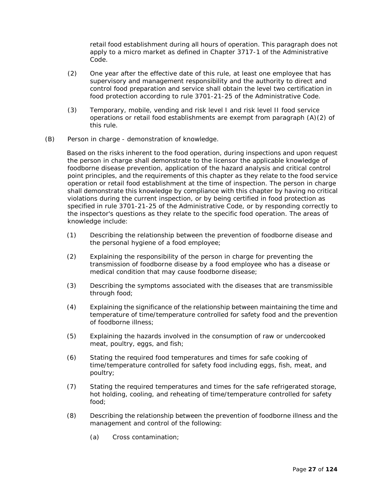retail food establishment during all hours of operation. This paragraph does not apply to a micro market as defined in Chapter 3717-1 of the Administrative Code.

- (2) One year after the effective date of this rule, at least one employee that has supervisory and management responsibility and the authority to direct and control food preparation and service shall obtain the level two certification in food protection according to rule 3701-21-25 of the Administrative Code.
- (3) Temporary, mobile, vending and risk level I and risk level II food service operations or retail food establishments are exempt from paragraph (A)(2) of this rule.
- (B) Person in charge demonstration of knowledge.

Based on the risks inherent to the food operation, during inspections and upon request the person in charge shall demonstrate to the licensor the applicable knowledge of foodborne disease prevention, application of the hazard analysis and critical control point principles, and the requirements of this chapter as they relate to the food service operation or retail food establishment at the time of inspection. The person in charge shall demonstrate this knowledge by compliance with this chapter by having no critical violations during the current inspection, or by being certified in food protection as specified in rule 3701-21-25 of the Administrative Code, or by responding correctly to the inspector's questions as they relate to the specific food operation. The areas of knowledge include:

- (1) Describing the relationship between the prevention of foodborne disease and the personal hygiene of a food employee;
- (2) Explaining the responsibility of the person in charge for preventing the transmission of foodborne disease by a food employee who has a disease or medical condition that may cause foodborne disease;
- (3) Describing the symptoms associated with the diseases that are transmissible through food;
- (4) Explaining the significance of the relationship between maintaining the time and temperature of time/temperature controlled for safety food and the prevention of foodborne illness;
- (5) Explaining the hazards involved in the consumption of raw or undercooked meat, poultry, eggs, and fish;
- (6) Stating the required food temperatures and times for safe cooking of time/temperature controlled for safety food including eggs, fish, meat, and poultry;
- (7) Stating the required temperatures and times for the safe refrigerated storage, hot holding, cooling, and reheating of time/temperature controlled for safety food;
- (8) Describing the relationship between the prevention of foodborne illness and the management and control of the following:
	- (a) Cross contamination;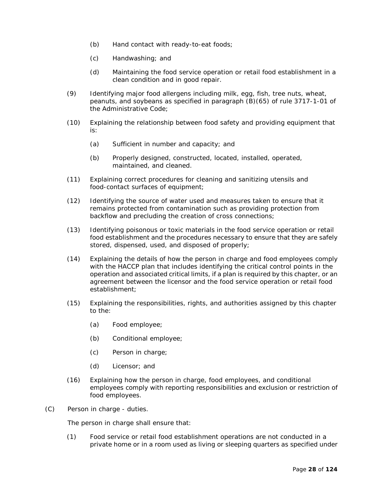- (b) Hand contact with ready-to-eat foods;
- (c) Handwashing; and
- (d) Maintaining the food service operation or retail food establishment in a clean condition and in good repair.
- (9) Identifying major food allergens including milk, egg, fish, tree nuts, wheat, peanuts, and soybeans as specified in paragraph (B)(65) of rule 3717-1-01 of the Administrative Code;
- (10) Explaining the relationship between food safety and providing equipment that is:
	- (a) Sufficient in number and capacity; and
	- (b) Properly designed, constructed, located, installed, operated, maintained, and cleaned.
- (11) Explaining correct procedures for cleaning and sanitizing utensils and food-contact surfaces of equipment;
- (12) Identifying the source of water used and measures taken to ensure that it remains protected from contamination such as providing protection from backflow and precluding the creation of cross connections;
- (13) Identifying poisonous or toxic materials in the food service operation or retail food establishment and the procedures necessary to ensure that they are safely stored, dispensed, used, and disposed of properly;
- (14) Explaining the details of how the person in charge and food employees comply with the HACCP plan that includes identifying the critical control points in the operation and associated critical limits, if a plan is required by this chapter, or an agreement between the licensor and the food service operation or retail food establishment;
- (15) Explaining the responsibilities, rights, and authorities assigned by this chapter to the:
	- (a) Food employee;
	- (b) Conditional employee;
	- (c) Person in charge;
	- (d) Licensor; and
- (16) Explaining how the person in charge, food employees, and conditional employees comply with reporting responsibilities and exclusion or restriction of food employees.
- (C) Person in charge duties.

The person in charge shall ensure that:

(1) Food service or retail food establishment operations are not conducted in a private home or in a room used as living or sleeping quarters as specified under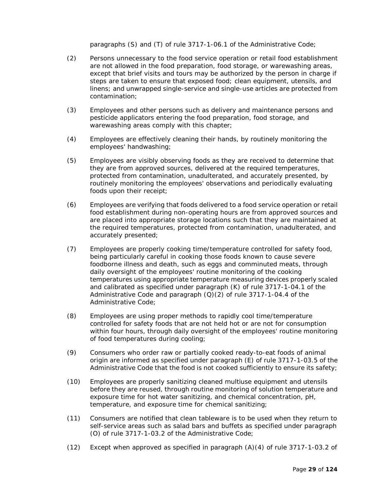paragraphs (S) and (T) of rule 3717-1-06.1 of the Administrative Code;

- (2) Persons unnecessary to the food service operation or retail food establishment are not allowed in the food preparation, food storage, or warewashing areas, except that brief visits and tours may be authorized by the person in charge if steps are taken to ensure that exposed food; clean equipment, utensils, and linens; and unwrapped single-service and single-use articles are protected from contamination;
- (3) Employees and other persons such as delivery and maintenance persons and pesticide applicators entering the food preparation, food storage, and warewashing areas comply with this chapter;
- (4) Employees are effectively cleaning their hands, by routinely monitoring the employees' handwashing;
- (5) Employees are visibly observing foods as they are received to determine that they are from approved sources, delivered at the required temperatures, protected from contamination, unadulterated, and accurately presented, by routinely monitoring the employees' observations and periodically evaluating foods upon their receipt;
- (6) Employees are verifying that foods delivered to a food service operation or retail food establishment during non-operating hours are from approved sources and are placed into appropriate storage locations such that they are maintained at the required temperatures, protected from contamination, unadulterated, and accurately presented;
- (7) Employees are properly cooking time/temperature controlled for safety food, being particularly careful in cooking those foods known to cause severe foodborne illness and death, such as eggs and comminuted meats, through daily oversight of the employees' routine monitoring of the cooking temperatures using appropriate temperature measuring devices properly scaled and calibrated as specified under paragraph (K) of rule 3717-1-04.1 of the Administrative Code and paragraph  $(Q)(2)$  of rule 3717-1-04.4 of the Administrative Code;
- (8) Employees are using proper methods to rapidly cool time/temperature controlled for safety foods that are not held hot or are not for consumption within four hours, through daily oversight of the employees' routine monitoring of food temperatures during cooling;
- (9) Consumers who order raw or partially cooked ready-to-eat foods of animal origin are informed as specified under paragraph (E) of rule 3717-1-03.5 of the Administrative Code that the food is not cooked sufficiently to ensure its safety;
- (10) Employees are properly sanitizing cleaned multiuse equipment and utensils before they are reused, through routine monitoring of solution temperature and exposure time for hot water sanitizing, and chemical concentration, pH, temperature, and exposure time for chemical sanitizing;
- (11) Consumers are notified that clean tableware is to be used when they return to self-service areas such as salad bars and buffets as specified under paragraph (O) of rule 3717-1-03.2 of the Administrative Code;
- (12) Except when approved as specified in paragraph (A)(4) of rule 3717-1-03.2 of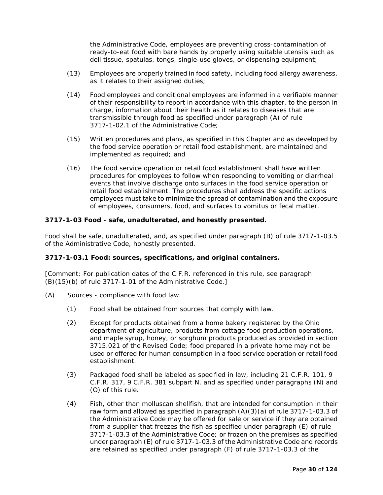the Administrative Code, employees are preventing cross-contamination of ready-to-eat food with bare hands by properly using suitable utensils such as deli tissue, spatulas, tongs, single-use gloves, or dispensing equipment;

- (13) Employees are properly trained in food safety, including food allergy awareness, as it relates to their assigned duties;
- (14) Food employees and conditional employees are informed in a verifiable manner of their responsibility to report in accordance with this chapter, to the person in charge, information about their health as it relates to diseases that are transmissible through food as specified under paragraph (A) of rule 3717-1-02.1 of the Administrative Code;
- (15) Written procedures and plans, as specified in this Chapter and as developed by the food service operation or retail food establishment, are maintained and implemented as required; and
- (16) The food service operation or retail food establishment shall have written procedures for employees to follow when responding to vomiting or diarrheal events that involve discharge onto surfaces in the food service operation or retail food establishment. The procedures shall address the specific actions employees must take to minimize the spread of contamination and the exposure of employees, consumers, food, and surfaces to vomitus or fecal matter.

## <span id="page-29-0"></span>**3717-1-03 Food - safe, unadulterated, and honestly presented.**

Food shall be safe, unadulterated, and, as specified under paragraph (B) of rule 3717-1-03.5 of the Administrative Code, honestly presented.

#### <span id="page-29-1"></span>**3717-1-03.1 Food: sources, specifications, and original containers.**

[Comment: For publication dates of the C.F.R. referenced in this rule, see paragraph (B)(15)(b) of rule 3717-1-01 of the Administrative Code.]

- (A) Sources compliance with food law.
	- (1) Food shall be obtained from sources that comply with law.
	- (2) Except for products obtained from a home bakery registered by the Ohio department of agriculture, products from cottage food production operations, and maple syrup, honey, or sorghum products produced as provided in section 3715.021 of the Revised Code; food prepared in a private home may not be used or offered for human consumption in a food service operation or retail food establishment.
	- (3) Packaged food shall be labeled as specified in law, including 21 C.F.R. 101, 9 C.F.R. 317, 9 C.F.R. 381 subpart N, and as specified under paragraphs (N) and (O) of this rule.
	- (4) Fish, other than molluscan shellfish, that are intended for consumption in their raw form and allowed as specified in paragraph (A)(3)(a) of rule 3717-1-03.3 of the Administrative Code may be offered for sale or service if they are obtained from a supplier that freezes the fish as specified under paragraph (E) of rule 3717-1-03.3 of the Administrative Code; or frozen on the premises as specified under paragraph (E) of rule 3717-1-03.3 of the Administrative Code and records are retained as specified under paragraph (F) of rule 3717-1-03.3 of the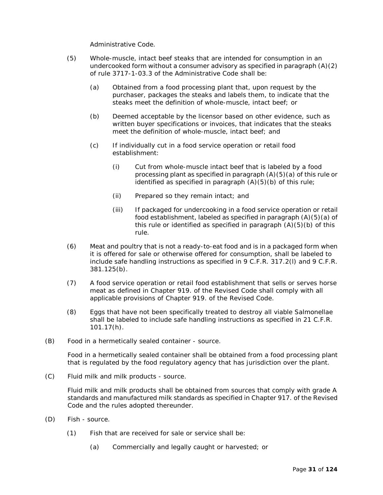Administrative Code.

- (5) Whole-muscle, intact beef steaks that are intended for consumption in an undercooked form without a consumer advisory as specified in paragraph (A)(2) of rule 3717-1-03.3 of the Administrative Code shall be:
	- (a) Obtained from a food processing plant that, upon request by the purchaser, packages the steaks and labels them, to indicate that the steaks meet the definition of whole-muscle, intact beef; or
	- (b) Deemed acceptable by the licensor based on other evidence, such as written buyer specifications or invoices, that indicates that the steaks meet the definition of whole-muscle, intact beef; and
	- (c) If individually cut in a food service operation or retail food establishment:
		- (i) Cut from whole-muscle intact beef that is labeled by a food processing plant as specified in paragraph (A)(5)(a) of this rule or identified as specified in paragraph  $(A)(5)(b)$  of this rule;
		- (ii) Prepared so they remain intact; and
		- (iii) If packaged for undercooking in a food service operation or retail food establishment, labeled as specified in paragraph (A)(5)(a) of this rule or identified as specified in paragraph  $(A)(5)(b)$  of this rule.
- (6) Meat and poultry that is not a ready-to-eat food and is in a packaged form when it is offered for sale or otherwise offered for consumption, shall be labeled to include safe handling instructions as specified in 9 C.F.R. 317.2(l) and 9 C.F.R. 381.125(b).
- (7) A food service operation or retail food establishment that sells or serves horse meat as defined in Chapter 919. of the Revised Code shall comply with all applicable provisions of Chapter 919. of the Revised Code.
- (8) Eggs that have not been specifically treated to destroy all viable Salmonellae shall be labeled to include safe handling instructions as specified in 21 C.F.R. 101.17(h).
- (B) Food in a hermetically sealed container source.

Food in a hermetically sealed container shall be obtained from a food processing plant that is regulated by the food regulatory agency that has jurisdiction over the plant.

(C) Fluid milk and milk products - source.

Fluid milk and milk products shall be obtained from sources that comply with grade A standards and manufactured milk standards as specified in Chapter 917. of the Revised Code and the rules adopted thereunder.

- (D) Fish source.
	- (1) Fish that are received for sale or service shall be:
		- (a) Commercially and legally caught or harvested; or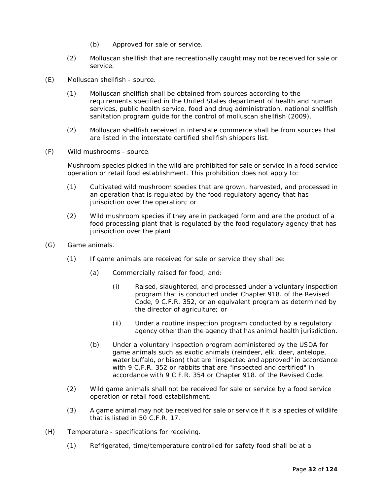- (b) Approved for sale or service.
- (2) Molluscan shellfish that are recreationally caught may not be received for sale or service.
- (E) Molluscan shellfish source.
	- (1) Molluscan shellfish shall be obtained from sources according to the requirements specified in the United States department of health and human services, public health service, food and drug administration, national shellfish sanitation program guide for the control of molluscan shellfish (2009).
	- (2) Molluscan shellfish received in interstate commerce shall be from sources that are listed in the interstate certified shellfish shippers list.
- (F) Wild mushrooms source.

Mushroom species picked in the wild are prohibited for sale or service in a food service operation or retail food establishment. This prohibition does not apply to:

- (1) Cultivated wild mushroom species that are grown, harvested, and processed in an operation that is regulated by the food regulatory agency that has jurisdiction over the operation; or
- (2) Wild mushroom species if they are in packaged form and are the product of a food processing plant that is regulated by the food regulatory agency that has jurisdiction over the plant.
- (G) Game animals.
	- (1) If game animals are received for sale or service they shall be:
		- (a) Commercially raised for food; and:
			- (i) Raised, slaughtered, and processed under a voluntary inspection program that is conducted under Chapter 918. of the Revised Code, 9 C.F.R. 352, or an equivalent program as determined by the director of agriculture; or
			- (ii) Under a routine inspection program conducted by a regulatory agency other than the agency that has animal health jurisdiction.
		- (b) Under a voluntary inspection program administered by the USDA for game animals such as exotic animals (reindeer, elk, deer, antelope, water buffalo, or bison) that are "inspected and approved" in accordance with 9 C.F.R. 352 or rabbits that are "inspected and certified" in accordance with 9 C.F.R. 354 or Chapter 918. of the Revised Code.
	- (2) Wild game animals shall not be received for sale or service by a food service operation or retail food establishment.
	- (3) A game animal may not be received for sale or service if it is a species of wildlife that is listed in  $50 \text{ C}$  F R  $17$ .
- (H) Temperature specifications for receiving.
	- (1) Refrigerated, time/temperature controlled for safety food shall be at a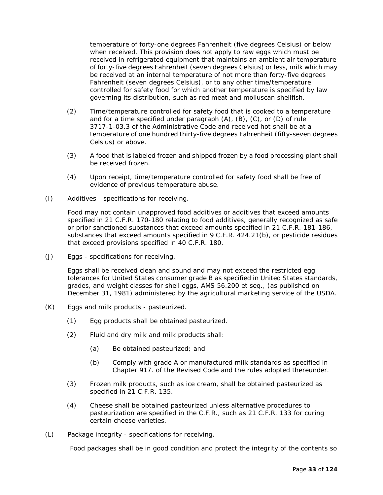temperature of forty-one degrees Fahrenheit (five degrees Celsius) or below when received. This provision does not apply to raw eggs which must be received in refrigerated equipment that maintains an ambient air temperature of forty-five degrees Fahrenheit (seven degrees Celsius) or less, milk which may be received at an internal temperature of not more than forty-five degrees Fahrenheit (seven degrees Celsius), or to any other time/temperature controlled for safety food for which another temperature is specified by law governing its distribution, such as red meat and molluscan shellfish.

- (2) Time/temperature controlled for safety food that is cooked to a temperature and for a time specified under paragraph (A), (B), (C), or (D) of rule 3717-1-03.3 of the Administrative Code and received hot shall be at a temperature of one hundred thirty-five degrees Fahrenheit (fifty-seven degrees Celsius) or above.
- (3) A food that is labeled frozen and shipped frozen by a food processing plant shall be received frozen.
- (4) Upon receipt, time/temperature controlled for safety food shall be free of evidence of previous temperature abuse.
- (I) Additives specifications for receiving.

Food may not contain unapproved food additives or additives that exceed amounts specified in 21 C.F.R. 170-180 relating to food additives, generally recognized as safe or prior sanctioned substances that exceed amounts specified in 21 C.F.R. 181-186, substances that exceed amounts specified in 9 C.F.R. 424.21(b), or pesticide residues that exceed provisions specified in 40 C.F.R. 180.

(J) Eggs - specifications for receiving.

Eggs shall be received clean and sound and may not exceed the restricted egg tolerances for United States consumer grade B as specified in United States standards, grades, and weight classes for shell eggs, AMS 56.200 et seq., (as published on December 31, 1981) administered by the agricultural marketing service of the USDA.

- (K) Eggs and milk products pasteurized.
	- (1) Egg products shall be obtained pasteurized.
	- (2) Fluid and dry milk and milk products shall:
		- (a) Be obtained pasteurized; and
		- (b) Comply with grade A or manufactured milk standards as specified in Chapter 917. of the Revised Code and the rules adopted thereunder.
	- (3) Frozen milk products, such as ice cream, shall be obtained pasteurized as specified in 21 C.F.R. 135.
	- (4) Cheese shall be obtained pasteurized unless alternative procedures to pasteurization are specified in the C.F.R., such as 21 C.F.R. 133 for curing certain cheese varieties.
- (L) Package integrity specifications for receiving.

Food packages shall be in good condition and protect the integrity of the contents so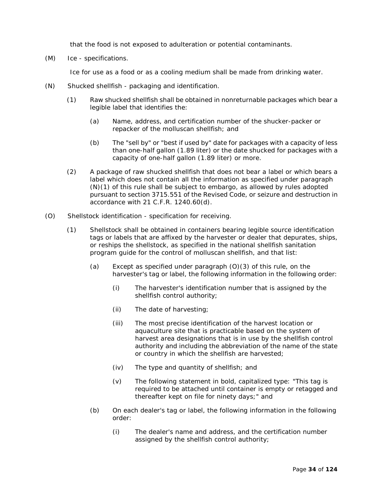that the food is not exposed to adulteration or potential contaminants.

(M) Ice - specifications.

Ice for use as a food or as a cooling medium shall be made from drinking water.

- (N) Shucked shellfish packaging and identification.
	- (1) Raw shucked shellfish shall be obtained in nonreturnable packages which bear a legible label that identifies the:
		- (a) Name, address, and certification number of the shucker-packer or repacker of the molluscan shellfish; and
		- (b) The "sell by" or "best if used by" date for packages with a capacity of less than one-half gallon (1.89 liter) or the date shucked for packages with a capacity of one-half gallon (1.89 liter) or more.
	- (2) A package of raw shucked shellfish that does not bear a label or which bears a label which does not contain all the information as specified under paragraph (N)(1) of this rule shall be subject to embargo, as allowed by rules adopted pursuant to section 3715.551 of the Revised Code, or seizure and destruction in accordance with 21 C.F.R. 1240.60(d).
- (O) Shellstock identification specification for receiving.
	- (1) Shellstock shall be obtained in containers bearing legible source identification tags or labels that are affixed by the harvester or dealer that depurates, ships, or reships the shellstock, as specified in the national shellfish sanitation program guide for the control of molluscan shellfish, and that list:
		- (a) Except as specified under paragraph (O)(3) of this rule, on the harvester's tag or label, the following information in the following order:
			- (i) The harvester's identification number that is assigned by the shellfish control authority;
			- (ii) The date of harvesting;
			- (iii) The most precise identification of the harvest location or aquaculture site that is practicable based on the system of harvest area designations that is in use by the shellfish control authority and including the abbreviation of the name of the state or country in which the shellfish are harvested;
			- (iv) The type and quantity of shellfish; and
			- (v) The following statement in bold, capitalized type: "This tag is required to be attached until container is empty or retagged and thereafter kept on file for ninety days;" and
		- (b) On each dealer's tag or label, the following information in the following order:
			- (i) The dealer's name and address, and the certification number assigned by the shellfish control authority;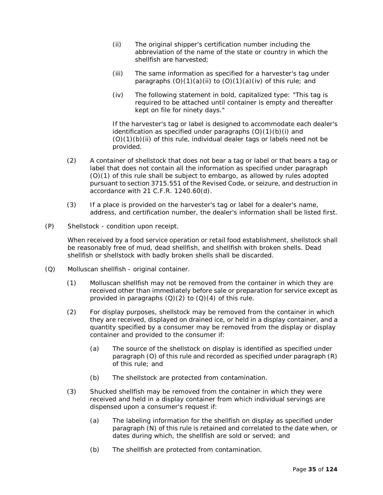- (ii) The original shipper's certification number including the abbreviation of the name of the state or country in which the shellfish are harvested;
- (iii) The same information as specified for a harvester's tag under paragraphs  $(0)(1)(a)(ii)$  to  $(0)(1)(a)(iv)$  of this rule; and
- (iv) The following statement in bold, capitalized type: "This tag is required to be attached until container is empty and thereafter kept on file for ninety days."

If the harvester's tag or label is designed to accommodate each dealer's identification as specified under paragraphs (O)(1)(b)(i) and (O)(1)(b)(ii) of this rule, individual dealer tags or labels need not be provided.

- (2) A container of shellstock that does not bear a tag or label or that bears a tag or label that does not contain all the information as specified under paragraph (O)(1) of this rule shall be subject to embargo, as allowed by rules adopted pursuant to section 3715.551 of the Revised Code, or seizure, and destruction in accordance with 21 C.F.R. 1240.60(d).
- (3) If a place is provided on the harvester's tag or label for a dealer's name, address, and certification number, the dealer's information shall be listed first.
- (P) Shellstock condition upon receipt.

When received by a food service operation or retail food establishment, shellstock shall be reasonably free of mud, dead shellfish, and shellfish with broken shells. Dead shellfish or shellstock with badly broken shells shall be discarded.

- (Q) Molluscan shellfish original container.
	- (1) Molluscan shellfish may not be removed from the container in which they are received other than immediately before sale or preparation for service except as provided in paragraphs  $(Q)(2)$  to  $(Q)(4)$  of this rule.
	- (2) For display purposes, shellstock may be removed from the container in which they are received, displayed on drained ice, or held in a display container, and a quantity specified by a consumer may be removed from the display or display container and provided to the consumer if:
		- (a) The source of the shellstock on display is identified as specified under paragraph (O) of this rule and recorded as specified under paragraph (R) of this rule; and
		- (b) The shellstock are protected from contamination.
	- (3) Shucked shellfish may be removed from the container in which they were received and held in a display container from which individual servings are dispensed upon a consumer's request if:
		- (a) The labeling information for the shellfish on display as specified under paragraph (N) of this rule is retained and correlated to the date when, or dates during which, the shellfish are sold or served; and
		- (b) The shellfish are protected from contamination.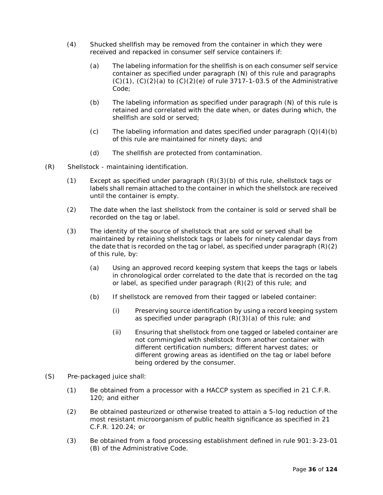- (4) Shucked shellfish may be removed from the container in which they were received and repacked in consumer self service containers if:
	- (a) The labeling information for the shellfish is on each consumer self service container as specified under paragraph (N) of this rule and paragraphs (C)(1), (C)(2)(a) to (C)(2)(e) of rule 3717-1-03.5 of the Administrative Code;
	- (b) The labeling information as specified under paragraph (N) of this rule is retained and correlated with the date when, or dates during which, the shellfish are sold or served;
	- (c) The labeling information and dates specified under paragraph  $(Q)(4)(b)$ of this rule are maintained for ninety days; and
	- (d) The shellfish are protected from contamination.
- (R) Shellstock maintaining identification.
	- (1) Except as specified under paragraph  $(R)(3)(b)$  of this rule, shellstock tags or labels shall remain attached to the container in which the shellstock are received until the container is empty.
	- (2) The date when the last shellstock from the container is sold or served shall be recorded on the tag or label.
	- (3) The identity of the source of shellstock that are sold or served shall be maintained by retaining shellstock tags or labels for ninety calendar days from the date that is recorded on the tag or label, as specified under paragraph (R)(2) of this rule, by:
		- (a) Using an approved record keeping system that keeps the tags or labels in chronological order correlated to the date that is recorded on the tag or label, as specified under paragraph (R)(2) of this rule; and
		- (b) If shellstock are removed from their tagged or labeled container:
			- (i) Preserving source identification by using a record keeping system as specified under paragraph  $(R)(3)(a)$  of this rule; and
			- (ii) Ensuring that shellstock from one tagged or labeled container are not commingled with shellstock from another container with different certification numbers; different harvest dates; or different growing areas as identified on the tag or label before being ordered by the consumer.
- (S) Pre-packaged juice shall:
	- (1) Be obtained from a processor with a HACCP system as specified in 21 C.F.R. 120; and either
	- (2) Be obtained pasteurized or otherwise treated to attain a 5-log reduction of the most resistant microorganism of public health significance as specified in 21 C.F.R. 120.24; or
	- (3) Be obtained from a food processing establishment defined in rule 901:3-23-01 (B) of the Administrative Code.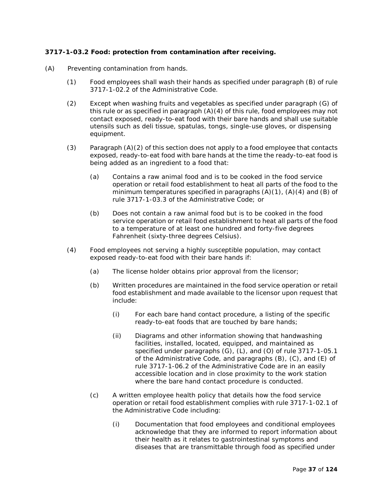# **3717-1-03.2 Food: protection from contamination after receiving.**

- (A) Preventing contamination from hands.
	- (1) Food employees shall wash their hands as specified under paragraph (B) of rule 3717-1-02.2 of the Administrative Code.
	- (2) Except when washing fruits and vegetables as specified under paragraph (G) of this rule or as specified in paragraph (A)(4) of this rule, food employees may not contact exposed, ready-to-eat food with their bare hands and shall use suitable utensils such as deli tissue, spatulas, tongs, single-use gloves, or dispensing equipment.
	- (3) Paragraph (A)(2) of this section does not apply to a food employee that contacts exposed, ready-to-eat food with bare hands at the time the ready-to-eat food is being added as an ingredient to a food that:
		- (a) Contains a raw animal food and is to be cooked in the food service operation or retail food establishment to heat all parts of the food to the minimum temperatures specified in paragraphs (A)(1), (A)(4) and (B) of rule 3717-1-03.3 of the Administrative Code; or
		- (b) Does not contain a raw animal food but is to be cooked in the food service operation or retail food establishment to heat all parts of the food to a temperature of at least one hundred and forty-five degrees Fahrenheit (sixty-three degrees Celsius).
	- (4) Food employees not serving a highly susceptible population, may contact exposed ready-to-eat food with their bare hands if:
		- (a) The license holder obtains prior approval from the licensor;
		- (b) Written procedures are maintained in the food service operation or retail food establishment and made available to the licensor upon request that include:
			- (i) For each bare hand contact procedure, a listing of the specific ready-to-eat foods that are touched by bare hands;
			- (ii) Diagrams and other information showing that handwashing facilities, installed, located, equipped, and maintained as specified under paragraphs (G), (L), and (O) of rule 3717-1-05.1 of the Administrative Code, and paragraphs (B), (C), and (E) of rule 3717-1-06.2 of the Administrative Code are in an easily accessible location and in close proximity to the work station where the bare hand contact procedure is conducted.
		- (c) A written employee health policy that details how the food service operation or retail food establishment complies with rule 3717-1-02.1 of the Administrative Code including:
			- (i) Documentation that food employees and conditional employees acknowledge that they are informed to report information about their health as it relates to gastrointestinal symptoms and diseases that are transmittable through food as specified under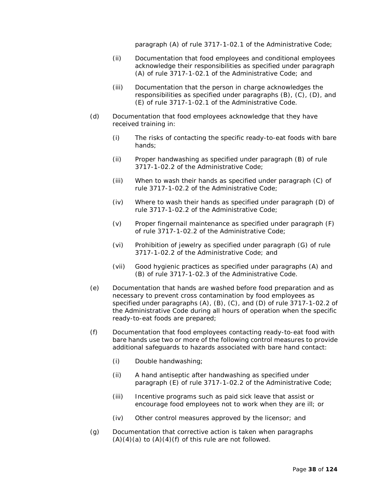paragraph (A) of rule 3717-1-02.1 of the Administrative Code;

- (ii) Documentation that food employees and conditional employees acknowledge their responsibilities as specified under paragraph (A) of rule 3717-1-02.1 of the Administrative Code; and
- (iii) Documentation that the person in charge acknowledges the responsibilities as specified under paragraphs (B), (C), (D), and (E) of rule 3717-1-02.1 of the Administrative Code.
- (d) Documentation that food employees acknowledge that they have received training in:
	- (i) The risks of contacting the specific ready-to-eat foods with bare hands;
	- (ii) Proper handwashing as specified under paragraph (B) of rule 3717-1-02.2 of the Administrative Code;
	- (iii) When to wash their hands as specified under paragraph (C) of rule 3717-1-02.2 of the Administrative Code;
	- (iv) Where to wash their hands as specified under paragraph (D) of rule 3717-1-02.2 of the Administrative Code;
	- (v) Proper fingernail maintenance as specified under paragraph (F) of rule 3717-1-02.2 of the Administrative Code;
	- (vi) Prohibition of jewelry as specified under paragraph (G) of rule 3717-1-02.2 of the Administrative Code; and
	- (vii) Good hygienic practices as specified under paragraphs (A) and (B) of rule 3717-1-02.3 of the Administrative Code.
- (e) Documentation that hands are washed before food preparation and as necessary to prevent cross contamination by food employees as specified under paragraphs (A), (B), (C), and (D) of rule 3717-1-02.2 of the Administrative Code during all hours of operation when the specific ready-to-eat foods are prepared;
- (f) Documentation that food employees contacting ready-to-eat food with bare hands use two or more of the following control measures to provide additional safeguards to hazards associated with bare hand contact:
	- (i) Double handwashing;
	- (ii) A hand antiseptic after handwashing as specified under paragraph (E) of rule 3717-1-02.2 of the Administrative Code;
	- (iii) Incentive programs such as paid sick leave that assist or encourage food employees not to work when they are ill; or
	- (iv) Other control measures approved by the licensor; and
- (g) Documentation that corrective action is taken when paragraphs  $(A)(4)(a)$  to  $(A)(4)(f)$  of this rule are not followed.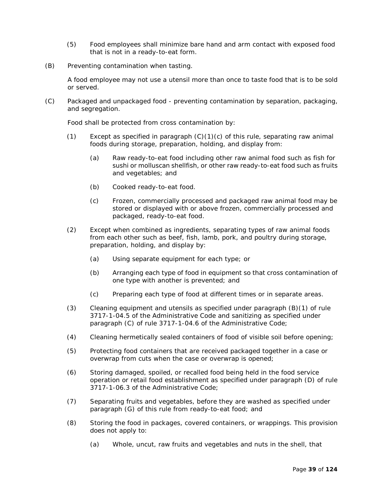- (5) Food employees shall minimize bare hand and arm contact with exposed food that is not in a ready-to-eat form.
- (B) Preventing contamination when tasting.

A food employee may not use a utensil more than once to taste food that is to be sold or served.

(C) Packaged and unpackaged food - preventing contamination by separation, packaging, and segregation.

Food shall be protected from cross contamination by:

- $(1)$  Except as specified in paragraph  $(C)(1)(c)$  of this rule, separating raw animal foods during storage, preparation, holding, and display from:
	- (a) Raw ready-to-eat food including other raw animal food such as fish for sushi or molluscan shellfish, or other raw ready-to-eat food such as fruits and vegetables; and
	- (b) Cooked ready-to-eat food.
	- (c) Frozen, commercially processed and packaged raw animal food may be stored or displayed with or above frozen, commercially processed and packaged, ready-to-eat food.
- (2) Except when combined as ingredients, separating types of raw animal foods from each other such as beef, fish, lamb, pork, and poultry during storage, preparation, holding, and display by:
	- (a) Using separate equipment for each type; or
	- (b) Arranging each type of food in equipment so that cross contamination of one type with another is prevented; and
	- (c) Preparing each type of food at different times or in separate areas.
- (3) Cleaning equipment and utensils as specified under paragraph (B)(1) of rule 3717-1-04.5 of the Administrative Code and sanitizing as specified under paragraph (C) of rule 3717-1-04.6 of the Administrative Code;
- (4) Cleaning hermetically sealed containers of food of visible soil before opening;
- (5) Protecting food containers that are received packaged together in a case or overwrap from cuts when the case or overwrap is opened;
- (6) Storing damaged, spoiled, or recalled food being held in the food service operation or retail food establishment as specified under paragraph (D) of rule 3717-1-06.3 of the Administrative Code;
- (7) Separating fruits and vegetables, before they are washed as specified under paragraph (G) of this rule from ready-to-eat food; and
- (8) Storing the food in packages, covered containers, or wrappings. This provision does not apply to:
	- (a) Whole, uncut, raw fruits and vegetables and nuts in the shell, that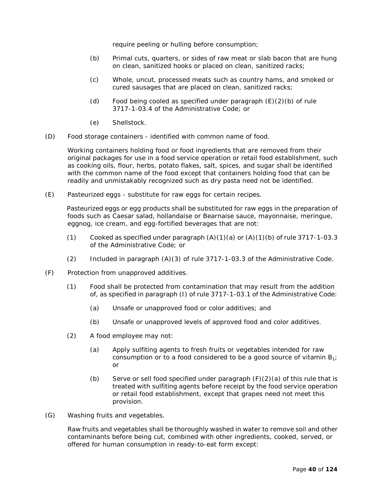require peeling or hulling before consumption;

- (b) Primal cuts, quarters, or sides of raw meat or slab bacon that are hung on clean, sanitized hooks or placed on clean, sanitized racks;
- (c) Whole, uncut, processed meats such as country hams, and smoked or cured sausages that are placed on clean, sanitized racks;
- (d) Food being cooled as specified under paragraph  $(E)(2)(b)$  of rule 3717-1-03.4 of the Administrative Code; or
- (e) Shellstock.
- (D) Food storage containers identified with common name of food.

Working containers holding food or food ingredients that are removed from their original packages for use in a food service operation or retail food establishment, such as cooking oils, flour, herbs, potato flakes, salt, spices, and sugar shall be identified with the common name of the food except that containers holding food that can be readily and unmistakably recognized such as dry pasta need not be identified.

(E) Pasteurized eggs - substitute for raw eggs for certain recipes.

Pasteurized eggs or egg products shall be substituted for raw eggs in the preparation of foods such as Caesar salad, hollandaise or Bearnaise sauce, mayonnaise, meringue, eggnog, ice cream, and egg-fortified beverages that are not:

- (1) Cooked as specified under paragraph  $(A)(1)(a)$  or  $(A)(1)(b)$  of rule 3717-1-03.3 of the Administrative Code; or
- (2) Included in paragraph (A)(3) of rule 3717-1-03.3 of the Administrative Code.
- (F) Protection from unapproved additives.
	- (1) Food shall be protected from contamination that may result from the addition of, as specified in paragraph (I) of rule 3717-1-03.1 of the Administrative Code:
		- (a) Unsafe or unapproved food or color additives; and
		- (b) Unsafe or unapproved levels of approved food and color additives.
	- (2) A food employee may not:
		- (a) Apply sulfiting agents to fresh fruits or vegetables intended for raw consumption or to a food considered to be a good source of vitamin  $B_{1i}$ or
		- (b) Serve or sell food specified under paragraph  $(F)(2)(a)$  of this rule that is treated with sulfiting agents before receipt by the food service operation or retail food establishment, except that grapes need not meet this provision.
- (G) Washing fruits and vegetables.

Raw fruits and vegetables shall be thoroughly washed in water to remove soil and other contaminants before being cut, combined with other ingredients, cooked, served, or offered for human consumption in ready-to-eat form except: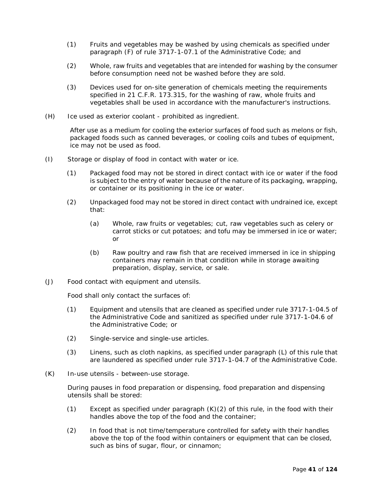- (1) Fruits and vegetables may be washed by using chemicals as specified under paragraph (F) of rule 3717-1-07.1 of the Administrative Code; and
- (2) Whole, raw fruits and vegetables that are intended for washing by the consumer before consumption need not be washed before they are sold.
- (3) Devices used for on-site generation of chemicals meeting the requirements specified in 21 C.F.R. 173.315, for the washing of raw, whole fruits and vegetables shall be used in accordance with the manufacturer's instructions.
- (H) Ice used as exterior coolant prohibited as ingredient.

After use as a medium for cooling the exterior surfaces of food such as melons or fish, packaged foods such as canned beverages, or cooling coils and tubes of equipment, ice may not be used as food.

- (I) Storage or display of food in contact with water or ice.
	- (1) Packaged food may not be stored in direct contact with ice or water if the food is subject to the entry of water because of the nature of its packaging, wrapping, or container or its positioning in the ice or water.
	- (2) Unpackaged food may not be stored in direct contact with undrained ice, except that:
		- (a) Whole, raw fruits or vegetables; cut, raw vegetables such as celery or carrot sticks or cut potatoes; and tofu may be immersed in ice or water; or
		- (b) Raw poultry and raw fish that are received immersed in ice in shipping containers may remain in that condition while in storage awaiting preparation, display, service, or sale.
- (J) Food contact with equipment and utensils.

Food shall only contact the surfaces of:

- (1) Equipment and utensils that are cleaned as specified under rule 3717-1-04.5 of the Administrative Code and sanitized as specified under rule 3717-1-04.6 of the Administrative Code; or
- (2) Single-service and single-use articles.
- (3) Linens, such as cloth napkins, as specified under paragraph (L) of this rule that are laundered as specified under rule 3717-1-04.7 of the Administrative Code.
- (K) In-use utensils between-use storage.

During pauses in food preparation or dispensing, food preparation and dispensing utensils shall be stored:

- $(1)$  Except as specified under paragraph  $(K)(2)$  of this rule, in the food with their handles above the top of the food and the container;
- (2) In food that is not time/temperature controlled for safety with their handles above the top of the food within containers or equipment that can be closed, such as bins of sugar, flour, or cinnamon;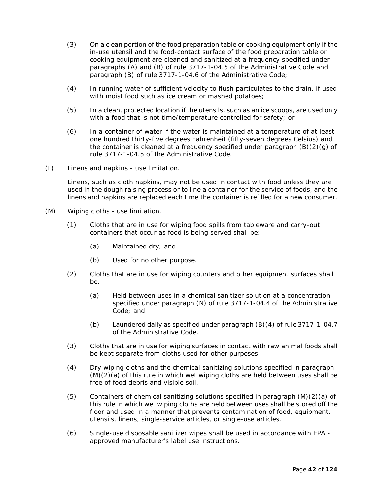- (3) On a clean portion of the food preparation table or cooking equipment only if the in-use utensil and the food-contact surface of the food preparation table or cooking equipment are cleaned and sanitized at a frequency specified under paragraphs (A) and (B) of rule 3717-1-04.5 of the Administrative Code and paragraph (B) of rule 3717-1-04.6 of the Administrative Code;
- (4) In running water of sufficient velocity to flush particulates to the drain, if used with moist food such as ice cream or mashed potatoes;
- (5) In a clean, protected location if the utensils, such as an ice scoops, are used only with a food that is not time/temperature controlled for safety; or
- (6) In a container of water if the water is maintained at a temperature of at least one hundred thirty-five degrees Fahrenheit (fifty-seven degrees Celsius) and the container is cleaned at a frequency specified under paragraph  $(B)(2)(q)$  of rule 3717-1-04.5 of the Administrative Code.
- (L) Linens and napkins use limitation.

Linens, such as cloth napkins, may not be used in contact with food unless they are used in the dough raising process or to line a container for the service of foods, and the linens and napkins are replaced each time the container is refilled for a new consumer.

- (M) Wiping cloths use limitation.
	- (1) Cloths that are in use for wiping food spills from tableware and carry-out containers that occur as food is being served shall be:
		- (a) Maintained dry; and
		- (b) Used for no other purpose.
	- (2) Cloths that are in use for wiping counters and other equipment surfaces shall be:
		- (a) Held between uses in a chemical sanitizer solution at a concentration specified under paragraph (N) of rule 3717-1-04.4 of the Administrative Code; and
		- (b) Laundered daily as specified under paragraph (B)(4) of rule 3717-1-04.7 of the Administrative Code.
	- (3) Cloths that are in use for wiping surfaces in contact with raw animal foods shall be kept separate from cloths used for other purposes.
	- (4) Dry wiping cloths and the chemical sanitizing solutions specified in paragraph (M)(2)(a) of this rule in which wet wiping cloths are held between uses shall be free of food debris and visible soil.
	- (5) Containers of chemical sanitizing solutions specified in paragraph (M)(2)(a) of this rule in which wet wiping cloths are held between uses shall be stored off the floor and used in a manner that prevents contamination of food, equipment, utensils, linens, single-service articles, or single-use articles.
	- (6) Single-use disposable sanitizer wipes shall be used in accordance with EPA approved manufacturer's label use instructions.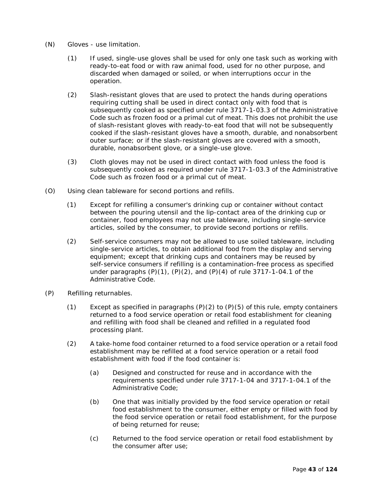- (N) Gloves use limitation.
	- (1) If used, single-use gloves shall be used for only one task such as working with ready-to-eat food or with raw animal food, used for no other purpose, and discarded when damaged or soiled, or when interruptions occur in the operation.
	- (2) Slash-resistant gloves that are used to protect the hands during operations requiring cutting shall be used in direct contact only with food that is subsequently cooked as specified under rule 3717-1-03.3 of the Administrative Code such as frozen food or a primal cut of meat. This does not prohibit the use of slash-resistant gloves with ready-to-eat food that will not be subsequently cooked if the slash-resistant gloves have a smooth, durable, and nonabsorbent outer surface; or if the slash-resistant gloves are covered with a smooth, durable, nonabsorbent glove, or a single-use glove.
	- (3) Cloth gloves may not be used in direct contact with food unless the food is subsequently cooked as required under rule 3717-1-03.3 of the Administrative Code such as frozen food or a primal cut of meat.
- (O) Using clean tableware for second portions and refills.
	- (1) Except for refilling a consumer's drinking cup or container without contact between the pouring utensil and the lip-contact area of the drinking cup or container, food employees may not use tableware, including single-service articles, soiled by the consumer, to provide second portions or refills.
	- (2) Self-service consumers may not be allowed to use soiled tableware, including single-service articles, to obtain additional food from the display and serving equipment; except that drinking cups and containers may be reused by self-service consumers if refilling is a contamination-free process as specified under paragraphs  $(P)(1)$ ,  $(P)(2)$ , and  $(P)(4)$  of rule 3717-1-04.1 of the Administrative Code.
- (P) Refilling returnables.
	- (1) Except as specified in paragraphs  $(P)(2)$  to  $(P)(5)$  of this rule, empty containers returned to a food service operation or retail food establishment for cleaning and refilling with food shall be cleaned and refilled in a regulated food processing plant.
	- (2) A take-home food container returned to a food service operation or a retail food establishment may be refilled at a food service operation or a retail food establishment with food if the food container is:
		- (a) Designed and constructed for reuse and in accordance with the requirements specified under rule 3717-1-04 and 3717-1-04.1 of the Administrative Code;
		- (b) One that was initially provided by the food service operation or retail food establishment to the consumer, either empty or filled with food by the food service operation or retail food establishment, for the purpose of being returned for reuse;
		- (c) Returned to the food service operation or retail food establishment by the consumer after use;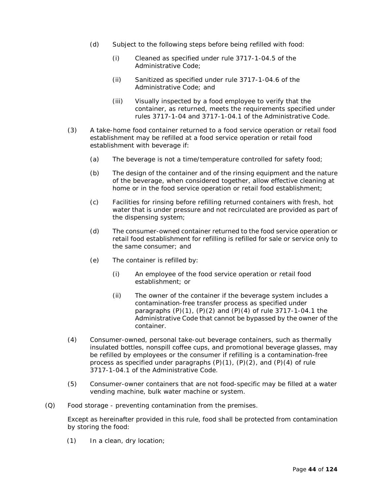- (d) Subject to the following steps before being refilled with food:
	- (i) Cleaned as specified under rule 3717-1-04.5 of the Administrative Code;
	- (ii) Sanitized as specified under rule 3717-1-04.6 of the Administrative Code; and
	- (iii) Visually inspected by a food employee to verify that the container, as returned, meets the requirements specified under rules 3717-1-04 and 3717-1-04.1 of the Administrative Code.
- (3) A take-home food container returned to a food service operation or retail food establishment may be refilled at a food service operation or retail food establishment with beverage if:
	- (a) The beverage is not a time/temperature controlled for safety food;
	- (b) The design of the container and of the rinsing equipment and the nature of the beverage, when considered together, allow effective cleaning at home or in the food service operation or retail food establishment;
	- (c) Facilities for rinsing before refilling returned containers with fresh, hot water that is under pressure and not recirculated are provided as part of the dispensing system;
	- (d) The consumer-owned container returned to the food service operation or retail food establishment for refilling is refilled for sale or service only to the same consumer; and
	- (e) The container is refilled by:
		- (i) An employee of the food service operation or retail food establishment; or
		- (ii) The owner of the container if the beverage system includes a contamination-free transfer process as specified under paragraphs  $(P)(1)$ ,  $(P)(2)$  and  $(P)(4)$  of rule 3717-1-04.1 the Administrative Code that cannot be bypassed by the owner of the container.
- (4) Consumer-owned, personal take-out beverage containers, such as thermally insulated bottles, nonspill coffee cups, and promotional beverage glasses, may be refilled by employees or the consumer if refilling is a contamination-free process as specified under paragraphs (P)(1), (P)(2), and (P)(4) of rule 3717-1-04.1 of the Administrative Code.
- (5) Consumer-owner containers that are not food-specific may be filled at a water vending machine, bulk water machine or system.
- (Q) Food storage preventing contamination from the premises.

Except as hereinafter provided in this rule, food shall be protected from contamination by storing the food:

(1) In a clean, dry location;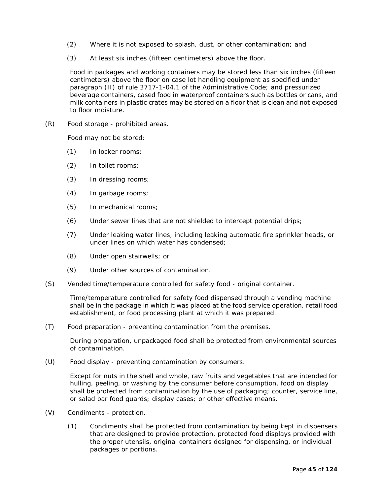- (2) Where it is not exposed to splash, dust, or other contamination; and
- (3) At least six inches (fifteen centimeters) above the floor.

Food in packages and working containers may be stored less than six inches (fifteen centimeters) above the floor on case lot handling equipment as specified under paragraph (II) of rule 3717-1-04.1 of the Administrative Code; and pressurized beverage containers, cased food in waterproof containers such as bottles or cans, and milk containers in plastic crates may be stored on a floor that is clean and not exposed to floor moisture.

(R) Food storage - prohibited areas.

Food may not be stored:

- (1) In locker rooms;
- (2) In toilet rooms;
- (3) In dressing rooms;
- (4) In garbage rooms;
- (5) In mechanical rooms;
- (6) Under sewer lines that are not shielded to intercept potential drips;
- (7) Under leaking water lines, including leaking automatic fire sprinkler heads, or under lines on which water has condensed;
- (8) Under open stairwells; or
- (9) Under other sources of contamination.
- (S) Vended time/temperature controlled for safety food original container.

Time/temperature controlled for safety food dispensed through a vending machine shall be in the package in which it was placed at the food service operation, retail food establishment, or food processing plant at which it was prepared.

(T) Food preparation - preventing contamination from the premises.

During preparation, unpackaged food shall be protected from environmental sources of contamination.

(U) Food display - preventing contamination by consumers.

Except for nuts in the shell and whole, raw fruits and vegetables that are intended for hulling, peeling, or washing by the consumer before consumption, food on display shall be protected from contamination by the use of packaging; counter, service line, or salad bar food guards; display cases; or other effective means.

- (V) Condiments protection.
	- (1) Condiments shall be protected from contamination by being kept in dispensers that are designed to provide protection, protected food displays provided with the proper utensils, original containers designed for dispensing, or individual packages or portions.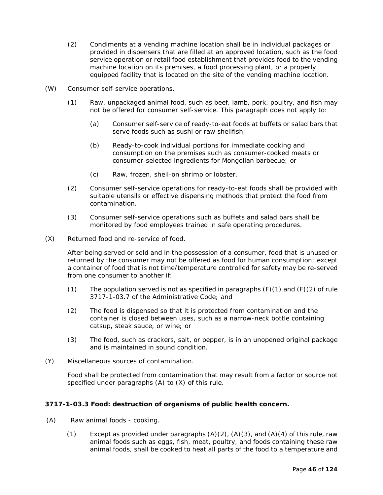- (2) Condiments at a vending machine location shall be in individual packages or provided in dispensers that are filled at an approved location, such as the food service operation or retail food establishment that provides food to the vending machine location on its premises, a food processing plant, or a properly equipped facility that is located on the site of the vending machine location.
- (W) Consumer self-service operations.
	- (1) Raw, unpackaged animal food, such as beef, lamb, pork, poultry, and fish may not be offered for consumer self-service. This paragraph does not apply to:
		- (a) Consumer self-service of ready-to-eat foods at buffets or salad bars that serve foods such as sushi or raw shellfish;
		- (b) Ready-to-cook individual portions for immediate cooking and consumption on the premises such as consumer-cooked meats or consumer-selected ingredients for Mongolian barbecue; or
		- (c) Raw, frozen, shell-on shrimp or lobster.
	- (2) Consumer self-service operations for ready-to-eat foods shall be provided with suitable utensils or effective dispensing methods that protect the food from contamination.
	- (3) Consumer self-service operations such as buffets and salad bars shall be monitored by food employees trained in safe operating procedures.
- (X) Returned food and re-service of food.

After being served or sold and in the possession of a consumer, food that is unused or returned by the consumer may not be offered as food for human consumption; except a container of food that is not time/temperature controlled for safety may be re-served from one consumer to another if:

- (1) The population served is not as specified in paragraphs  $(F)(1)$  and  $(F)(2)$  of rule 3717-1-03.7 of the Administrative Code; and
- (2) The food is dispensed so that it is protected from contamination and the container is closed between uses, such as a narrow-neck bottle containing catsup, steak sauce, or wine; or
- (3) The food, such as crackers, salt, or pepper, is in an unopened original package and is maintained in sound condition.
- (Y) Miscellaneous sources of contamination.

Food shall be protected from contamination that may result from a factor or source not specified under paragraphs (A) to (X) of this rule.

# **3717-1-03.3 Food: destruction of organisms of public health concern.**

- (A) Raw animal foods cooking.
	- (1) Except as provided under paragraphs  $(A)(2)$ ,  $(A)(3)$ , and  $(A)(4)$  of this rule, raw animal foods such as eggs, fish, meat, poultry, and foods containing these raw animal foods, shall be cooked to heat all parts of the food to a temperature and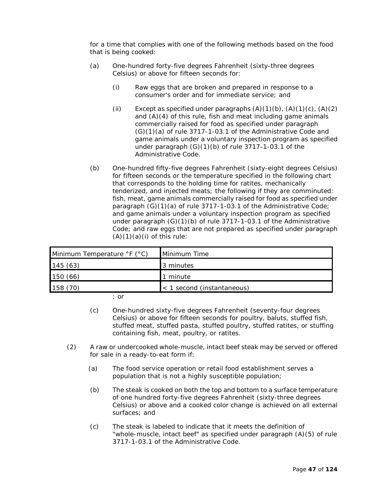for a time that complies with one of the following methods based on the food that is being cooked:

- (a) One-hundred forty-five degrees Fahrenheit (sixty-three degrees Celsius) or above for fifteen seconds for:
	- (i) Raw eggs that are broken and prepared in response to a consumer's order and for immediate service; and
	- (ii) Except as specified under paragraphs  $(A)(1)(b)$ ,  $(A)(1)(c)$ ,  $(A)(2)$ and (A)(4) of this rule, fish and meat including game animals commercially raised for food as specified under paragraph (G)(1)(a) of rule 3717-1-03.1 of the Administrative Code and game animals under a voluntary inspection program as specified under paragraph (G)(1)(b) of rule 3717-1-03.1 of the Administrative Code.
- (b) One-hundred fifty-five degrees Fahrenheit (sixty-eight degrees Celsius) for fifteen seconds or the temperature specified in the following chart that corresponds to the holding time for ratites, mechanically tenderized, and injected meats; the following if they are comminuted: fish, meat, game animals commercially raised for food as specified under paragraph  $(G)(1)(a)$  of rule 3717-1-03.1 of the Administrative Code; and game animals under a voluntary inspection program as specified under paragraph (G)(1)(b) of rule 3717-1-03.1 of the Administrative Code; and raw eggs that are not prepared as specified under paragraph  $(A)(1)(a)(i)$  of this rule:

| Minimum Temperature °F (°C) | Minimum Time               |
|-----------------------------|----------------------------|
| 145(63)                     | 3 minutes                  |
| 150(66)                     | 1 minute                   |
| 158 (70)                    | < 1 second (instantaneous) |

; or

- (c) One-hundred sixty-five degrees Fahrenheit (seventy-four degrees Celsius) or above for fifteen seconds for poultry, baluts, stuffed fish, stuffed meat, stuffed pasta, stuffed poultry, stuffed ratites, or stuffing containing fish, meat, poultry, or ratites.
- (2) A raw or undercooked whole-muscle, intact beef steak may be served or offered for sale in a ready-to-eat form if:
	- (a) The food service operation or retail food establishment serves a population that is not a highly susceptible population;
	- (b) The steak is cooked on both the top and bottom to a surface temperature of one hundred forty-five degrees Fahrenheit (sixty-three degrees Celsius) or above and a cooked color change is achieved on all external surfaces; and
	- (c) The steak is labeled to indicate that it meets the definition of "whole-muscle, intact beef" as specified under paragraph (A)(5) of rule 3717-1-03.1 of the Administrative Code.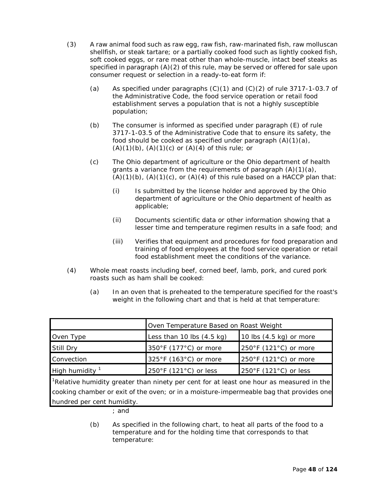- (3) A raw animal food such as raw egg, raw fish, raw-marinated fish, raw molluscan shellfish, or steak tartare; or a partially cooked food such as lightly cooked fish, soft cooked eggs, or rare meat other than whole-muscle, intact beef steaks as specified in paragraph (A)(2) of this rule, may be served or offered for sale upon consumer request or selection in a ready-to-eat form if:
	- (a) As specified under paragraphs (C)(1) and (C)(2) of rule 3717-1-03.7 of the Administrative Code, the food service operation or retail food establishment serves a population that is not a highly susceptible population;
	- (b) The consumer is informed as specified under paragraph (E) of rule 3717-1-03.5 of the Administrative Code that to ensure its safety, the food should be cooked as specified under paragraph (A)(1)(a),  $(A)(1)(b)$ ,  $(A)(1)(c)$  or  $(A)(4)$  of this rule; or
	- (c) The Ohio department of agriculture or the Ohio department of health grants a variance from the requirements of paragraph (A)(1)(a),  $(A)(1)(b)$ ,  $(A)(1)(c)$ , or  $(A)(4)$  of this rule based on a HACCP plan that:
		- (i) Is submitted by the license holder and approved by the Ohio department of agriculture or the Ohio department of health as applicable;
		- (ii) Documents scientific data or other information showing that a lesser time and temperature regimen results in a safe food; and
		- (iii) Verifies that equipment and procedures for food preparation and training of food employees at the food service operation or retail food establishment meet the conditions of the variance.
- (4) Whole meat roasts including beef, corned beef, lamb, pork, and cured pork roasts such as ham shall be cooked:
	- (a) In an oven that is preheated to the temperature specified for the roast's weight in the following chart and that is held at that temperature:

|                                                                                                      | Oven Temperature Based on Roast Weight |                                   |  |  |
|------------------------------------------------------------------------------------------------------|----------------------------------------|-----------------------------------|--|--|
| Oven Type                                                                                            | Less than 10 lbs $(4.5 \text{ kg})$    | 10 lbs $(4.5 \text{ kg})$ or more |  |  |
| <b>Still Dry</b>                                                                                     | 350°F (177°C) or more                  | 250°F (121°C) or more             |  |  |
| Convection                                                                                           | 325°F (163°C) or more                  | 250°F (121°C) or more             |  |  |
| High humidity <sup>1</sup>                                                                           | 250°F (121°C) or less                  | 250°F (121°C) or less             |  |  |
| <sup>1</sup> Relative humidity greater than ninety per cent for at least one hour as measured in the |                                        |                                   |  |  |

cooking chamber or exit of the oven; or in a moisture-impermeable bag that provides one hundred per cent humidity.

- ; and
- (b) As specified in the following chart, to heat all parts of the food to a temperature and for the holding time that corresponds to that temperature: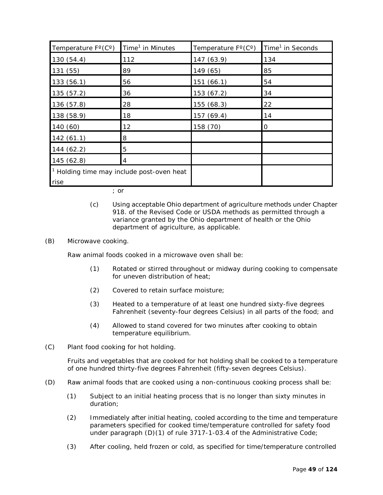| Temperature F°(C°)                      | Time <sup>1</sup> in Minutes | Temperature $F^{\circ}(C^{\circ})$ | Time <sup>1</sup> in Seconds |
|-----------------------------------------|------------------------------|------------------------------------|------------------------------|
| 130(54.4)                               | 112                          | 147 (63.9)                         | 134                          |
| 131 (55)                                | 89                           | 149 (65)                           | 85                           |
| 133 (56.1)                              | 56                           | 151 (66.1)                         | 54                           |
| 135 (57.2)                              | 36                           | 153 (67.2)                         | 34                           |
| 136 (57.8)                              | 28                           | 155 (68.3)                         | 22                           |
| 138 (58.9)                              | 18                           | 157 (69.4)                         | 14                           |
| 140(60)                                 | 12                           | 158 (70)                           | 0                            |
| 142(61.1)                               | 8                            |                                    |                              |
| 144(62.2)                               | 5                            |                                    |                              |
| 145 (62.8)                              | 4                            |                                    |                              |
| Holding time may include post-oven heat |                              |                                    |                              |
| rise                                    |                              |                                    |                              |

- ; or
- (c) Using acceptable Ohio department of agriculture methods under Chapter 918. of the Revised Code or USDA methods as permitted through a variance granted by the Ohio department of health or the Ohio department of agriculture, as applicable.

### (B) Microwave cooking.

Raw animal foods cooked in a microwave oven shall be:

- (1) Rotated or stirred throughout or midway during cooking to compensate for uneven distribution of heat;
- (2) Covered to retain surface moisture;
- (3) Heated to a temperature of at least one hundred sixty-five degrees Fahrenheit (seventy-four degrees Celsius) in all parts of the food; and
- (4) Allowed to stand covered for two minutes after cooking to obtain temperature equilibrium.
- (C) Plant food cooking for hot holding.

Fruits and vegetables that are cooked for hot holding shall be cooked to a temperature of one hundred thirty-five degrees Fahrenheit (fifty-seven degrees Celsius).

- (D) Raw animal foods that are cooked using a non-continuous cooking process shall be:
	- (1) Subject to an initial heating process that is no longer than sixty minutes in duration;
	- (2) Immediately after initial heating, cooled according to the time and temperature parameters specified for cooked time/temperature controlled for safety food under paragraph (D)(1) of rule 3717-1-03.4 of the Administrative Code;
	- (3) After cooling, held frozen or cold, as specified for time/temperature controlled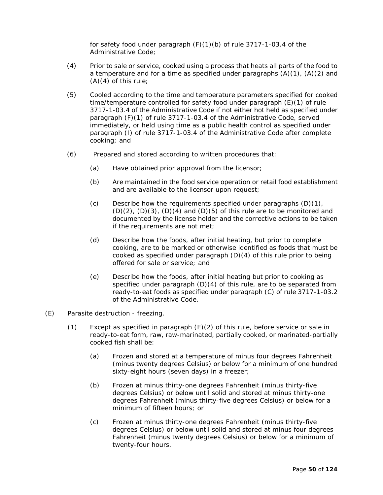for safety food under paragraph  $(F)(1)(b)$  of rule 3717-1-03.4 of the Administrative Code;

- (4) Prior to sale or service, cooked using a process that heats all parts of the food to a temperature and for a time as specified under paragraphs  $(A)(1)$ ,  $(A)(2)$  and  $(A)(4)$  of this rule;
- (5) Cooled according to the time and temperature parameters specified for cooked time/temperature controlled for safety food under paragraph (E)(1) of rule 3717-1-03.4 of the Administrative Code if not either hot held as specified under paragraph (F)(1) of rule 3717-1-03.4 of the Administrative Code, served immediately, or held using time as a public health control as specified under paragraph (I) of rule 3717-1-03.4 of the Administrative Code after complete cooking; and
- (6) Prepared and stored according to written procedures that:
	- (a) Have obtained prior approval from the licensor;
	- (b) Are maintained in the food service operation or retail food establishment and are available to the licensor upon request;
	- (c) Describe how the requirements specified under paragraphs  $(D)(1)$ ,  $(D)(2)$ ,  $(D)(3)$ ,  $(D)(4)$  and  $(D)(5)$  of this rule are to be monitored and documented by the license holder and the corrective actions to be taken if the requirements are not met;
	- (d) Describe how the foods, after initial heating, but prior to complete cooking, are to be marked or otherwise identified as foods that must be cooked as specified under paragraph (D)(4) of this rule prior to being offered for sale or service; and
	- (e) Describe how the foods, after initial heating but prior to cooking as specified under paragraph (D)(4) of this rule, are to be separated from ready-to-eat foods as specified under paragraph (C) of rule 3717-1-03.2 of the Administrative Code.
- (E) Parasite destruction freezing.
	- (1) Except as specified in paragraph (E)(2) of this rule, before service or sale in ready-to-eat form, raw, raw-marinated, partially cooked, or marinated-partially cooked fish shall be:
		- (a) Frozen and stored at a temperature of minus four degrees Fahrenheit (minus twenty degrees Celsius) or below for a minimum of one hundred sixty-eight hours (seven days) in a freezer;
		- (b) Frozen at minus thirty-one degrees Fahrenheit (minus thirty-five degrees Celsius) or below until solid and stored at minus thirty-one degrees Fahrenheit (minus thirty-five degrees Celsius) or below for a minimum of fifteen hours; or
		- (c) Frozen at minus thirty-one degrees Fahrenheit (minus thirty-five degrees Celsius) or below until solid and stored at minus four degrees Fahrenheit (minus twenty degrees Celsius) or below for a minimum of twenty-four hours.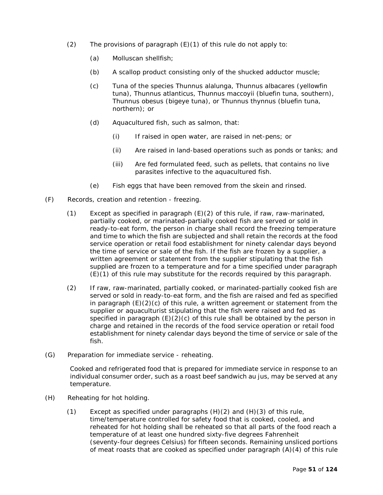- (2) The provisions of paragraph  $(E)(1)$  of this rule do not apply to:
	- (a) Molluscan shellfish;
	- (b) A scallop product consisting only of the shucked adductor muscle;
	- (c) Tuna of the species Thunnus alalunga, Thunnus albacares (yellowfin tuna), Thunnus atlanticus, Thunnus maccoyii (bluefin tuna, southern), Thunnus obesus (bigeye tuna), or Thunnus thynnus (bluefin tuna, northern); or
	- (d) Aquacultured fish, such as salmon, that:
		- (i) If raised in open water, are raised in net-pens; or
		- (ii) Are raised in land-based operations such as ponds or tanks; and
		- (iii) Are fed formulated feed, such as pellets, that contains no live parasites infective to the aquacultured fish.
	- (e) Fish eggs that have been removed from the skein and rinsed.
- (F) Records, creation and retention freezing.
	- (1) Except as specified in paragraph (E)(2) of this rule, if raw, raw-marinated, partially cooked, or marinated-partially cooked fish are served or sold in ready-to-eat form, the person in charge shall record the freezing temperature and time to which the fish are subjected and shall retain the records at the food service operation or retail food establishment for ninety calendar days beyond the time of service or sale of the fish. If the fish are frozen by a supplier, a written agreement or statement from the supplier stipulating that the fish supplied are frozen to a temperature and for a time specified under paragraph (E)(1) of this rule may substitute for the records required by this paragraph.
	- (2) If raw, raw-marinated, partially cooked, or marinated-partially cooked fish are served or sold in ready-to-eat form, and the fish are raised and fed as specified in paragraph  $(E)(2)(c)$  of this rule, a written agreement or statement from the supplier or aquaculturist stipulating that the fish were raised and fed as specified in paragraph  $(E)(2)(c)$  of this rule shall be obtained by the person in charge and retained in the records of the food service operation or retail food establishment for ninety calendar days beyond the time of service or sale of the fish.
- (G) Preparation for immediate service reheating.

Cooked and refrigerated food that is prepared for immediate service in response to an individual consumer order, such as a roast beef sandwich au jus, may be served at any temperature.

- (H) Reheating for hot holding.
	- (1) Except as specified under paragraphs (H)(2) and (H)(3) of this rule, time/temperature controlled for safety food that is cooked, cooled, and reheated for hot holding shall be reheated so that all parts of the food reach a temperature of at least one hundred sixty-five degrees Fahrenheit (seventy-four degrees Celsius) for fifteen seconds. Remaining unsliced portions of meat roasts that are cooked as specified under paragraph (A)(4) of this rule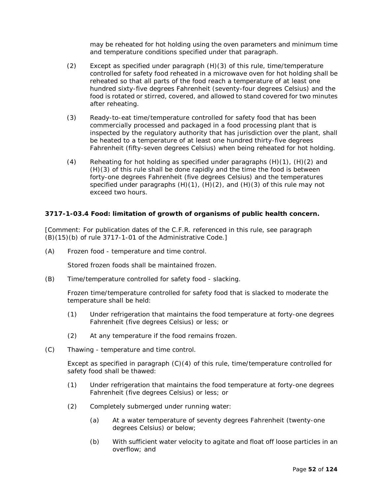may be reheated for hot holding using the oven parameters and minimum time and temperature conditions specified under that paragraph.

- (2) Except as specified under paragraph (H)(3) of this rule, time/temperature controlled for safety food reheated in a microwave oven for hot holding shall be reheated so that all parts of the food reach a temperature of at least one hundred sixty-five degrees Fahrenheit (seventy-four degrees Celsius) and the food is rotated or stirred, covered, and allowed to stand covered for two minutes after reheating.
- (3) Ready-to-eat time/temperature controlled for safety food that has been commercially processed and packaged in a food processing plant that is inspected by the regulatory authority that has jurisdiction over the plant, shall be heated to a temperature of at least one hundred thirty-five degrees Fahrenheit (fifty-seven degrees Celsius) when being reheated for hot holding.
- (4) Reheating for hot holding as specified under paragraphs (H)(1), (H)(2) and (H)(3) of this rule shall be done rapidly and the time the food is between forty-one degrees Fahrenheit (five degrees Celsius) and the temperatures specified under paragraphs  $(H)(1)$ ,  $(H)(2)$ , and  $(H)(3)$  of this rule may not exceed two hours.

# **3717-1-03.4 Food: limitation of growth of organisms of public health concern.**

[Comment: For publication dates of the C.F.R. referenced in this rule, see paragraph  $(B)(15)(b)$  of rule 3717-1-01 of the Administrative Code.]

(A) Frozen food - temperature and time control.

Stored frozen foods shall be maintained frozen.

(B) Time/temperature controlled for safety food - slacking.

Frozen time/temperature controlled for safety food that is slacked to moderate the temperature shall be held:

- (1) Under refrigeration that maintains the food temperature at forty-one degrees Fahrenheit (five degrees Celsius) or less; or
- (2) At any temperature if the food remains frozen.
- (C) Thawing temperature and time control.

Except as specified in paragraph  $(C)(4)$  of this rule, time/temperature controlled for safety food shall be thawed:

- (1) Under refrigeration that maintains the food temperature at forty-one degrees Fahrenheit (five degrees Celsius) or less; or
- (2) Completely submerged under running water:
	- (a) At a water temperature of seventy degrees Fahrenheit (twenty-one degrees Celsius) or below;
	- (b) With sufficient water velocity to agitate and float off loose particles in an overflow; and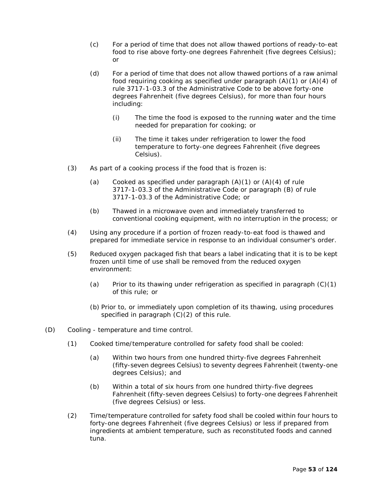- (c) For a period of time that does not allow thawed portions of ready-to-eat food to rise above forty-one degrees Fahrenheit (five degrees Celsius); or
- (d) For a period of time that does not allow thawed portions of a raw animal food requiring cooking as specified under paragraph  $(A)(1)$  or  $(A)(4)$  of rule 3717-1-03.3 of the Administrative Code to be above forty-one degrees Fahrenheit (five degrees Celsius), for more than four hours including:
	- (i) The time the food is exposed to the running water and the time needed for preparation for cooking; or
	- (ii) The time it takes under refrigeration to lower the food temperature to forty-one degrees Fahrenheit (five degrees Celsius).
- (3) As part of a cooking process if the food that is frozen is:
	- (a) Cooked as specified under paragraph  $(A)(1)$  or  $(A)(4)$  of rule 3717-1-03.3 of the Administrative Code or paragraph (B) of rule 3717-1-03.3 of the Administrative Code; or
	- (b) Thawed in a microwave oven and immediately transferred to conventional cooking equipment, with no interruption in the process; or
- (4) Using any procedure if a portion of frozen ready-to-eat food is thawed and prepared for immediate service in response to an individual consumer's order.
- (5) Reduced oxygen packaged fish that bears a label indicating that it is to be kept frozen until time of use shall be removed from the reduced oxygen environment:
	- (a) Prior to its thawing under refrigeration as specified in paragraph (C)(1) of this rule; or
	- (b) Prior to, or immediately upon completion of its thawing, using procedures specified in paragraph (C)(2) of this rule.
- (D) Cooling temperature and time control.
	- (1) Cooked time/temperature controlled for safety food shall be cooled:
		- (a) Within two hours from one hundred thirty-five degrees Fahrenheit (fifty-seven degrees Celsius) to seventy degrees Fahrenheit (twenty-one degrees Celsius); and
		- (b) Within a total of six hours from one hundred thirty-five degrees Fahrenheit (fifty-seven degrees Celsius) to forty-one degrees Fahrenheit (five degrees Celsius) or less.
	- (2) Time/temperature controlled for safety food shall be cooled within four hours to forty-one degrees Fahrenheit (five degrees Celsius) or less if prepared from ingredients at ambient temperature, such as reconstituted foods and canned tuna.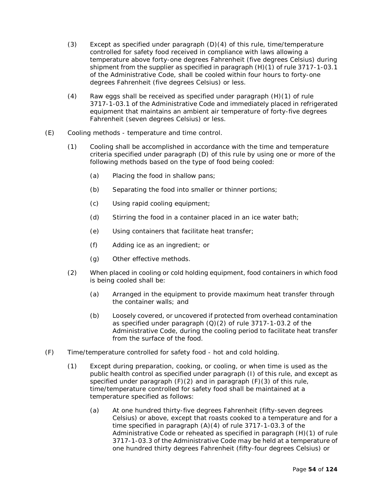- (3) Except as specified under paragraph (D)(4) of this rule, time/temperature controlled for safety food received in compliance with laws allowing a temperature above forty-one degrees Fahrenheit (five degrees Celsius) during shipment from the supplier as specified in paragraph (H)(1) of rule 3717-1-03.1 of the Administrative Code, shall be cooled within four hours to forty-one degrees Fahrenheit (five degrees Celsius) or less.
- (4) Raw eggs shall be received as specified under paragraph (H)(1) of rule 3717-1-03.1 of the Administrative Code and immediately placed in refrigerated equipment that maintains an ambient air temperature of forty-five degrees Fahrenheit (seven degrees Celsius) or less.
- (E) Cooling methods temperature and time control.
	- (1) Cooling shall be accomplished in accordance with the time and temperature criteria specified under paragraph (D) of this rule by using one or more of the following methods based on the type of food being cooled:
		- (a) Placing the food in shallow pans;
		- (b) Separating the food into smaller or thinner portions;
		- (c) Using rapid cooling equipment;
		- (d) Stirring the food in a container placed in an ice water bath;
		- (e) Using containers that facilitate heat transfer;
		- (f) Adding ice as an ingredient; or
		- (g) Other effective methods.
	- (2) When placed in cooling or cold holding equipment, food containers in which food is being cooled shall be:
		- (a) Arranged in the equipment to provide maximum heat transfer through the container walls; and
		- (b) Loosely covered, or uncovered if protected from overhead contamination as specified under paragraph (Q)(2) of rule 3717-1-03.2 of the Administrative Code, during the cooling period to facilitate heat transfer from the surface of the food.
- (F) Time/temperature controlled for safety food hot and cold holding.
	- (1) Except during preparation, cooking, or cooling, or when time is used as the public health control as specified under paragraph (I) of this rule, and except as specified under paragraph  $(F)(2)$  and in paragraph  $(F)(3)$  of this rule, time/temperature controlled for safety food shall be maintained at a temperature specified as follows:
		- (a) At one hundred thirty-five degrees Fahrenheit (fifty-seven degrees Celsius) or above, except that roasts cooked to a temperature and for a time specified in paragraph (A)(4) of rule 3717-1-03.3 of the Administrative Code or reheated as specified in paragraph (H)(1) of rule 3717-1-03.3 of the Administrative Code may be held at a temperature of one hundred thirty degrees Fahrenheit (fifty-four degrees Celsius) or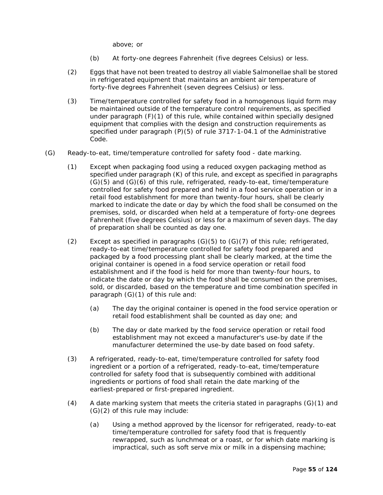above; or

- (b) At forty-one degrees Fahrenheit (five degrees Celsius) or less.
- (2) Eggs that have not been treated to destroy all viable Salmonellae shall be stored in refrigerated equipment that maintains an ambient air temperature of forty-five degrees Fahrenheit (seven degrees Celsius) or less.
- (3) Time/temperature controlled for safety food in a homogenous liquid form may be maintained outside of the temperature control requirements, as specified under paragraph (F)(1) of this rule, while contained within specially designed equipment that complies with the design and construction requirements as specified under paragraph (P)(5) of rule 3717-1-04.1 of the Administrative Code.
- (G) Ready-to-eat, time/temperature controlled for safety food date marking.
	- (1) Except when packaging food using a reduced oxygen packaging method as specified under paragraph (K) of this rule, and except as specified in paragraphs (G)(5) and (G)(6) of this rule, refrigerated, ready-to-eat, time/temperature controlled for safety food prepared and held in a food service operation or in a retail food establishment for more than twenty-four hours, shall be clearly marked to indicate the date or day by which the food shall be consumed on the premises, sold, or discarded when held at a temperature of forty-one degrees Fahrenheit (five degrees Celsius) or less for a maximum of seven days. The day of preparation shall be counted as day one.
	- (2) Except as specified in paragraphs  $(G)(5)$  to  $(G)(7)$  of this rule; refrigerated, ready-to-eat time/temperature controlled for safety food prepared and packaged by a food processing plant shall be clearly marked, at the time the original container is opened in a food service operation or retail food establishment and if the food is held for more than twenty-four hours, to indicate the date or day by which the food shall be consumed on the premises, sold, or discarded, based on the temperature and time combination specifed in paragraph (G)(1) of this rule and:
		- (a) The day the original container is opened in the food service operation or retail food establishment shall be counted as day one; and
		- (b) The day or date marked by the food service operation or retail food establishment may not exceed a manufacturer's use-by date if the manufacturer determined the use-by date based on food safety.
	- (3) A refrigerated, ready-to-eat, time/temperature controlled for safety food ingredient or a portion of a refrigerated, ready-to-eat, time/temperature controlled for safety food that is subsequently combined with additional ingredients or portions of food shall retain the date marking of the earliest-prepared or first-prepared ingredient.
	- (4) A date marking system that meets the criteria stated in paragraphs (G)(1) and (G)(2) of this rule may include:
		- (a) Using a method approved by the licensor for refrigerated, ready-to-eat time/temperature controlled for safety food that is frequently rewrapped, such as lunchmeat or a roast, or for which date marking is impractical, such as soft serve mix or milk in a dispensing machine;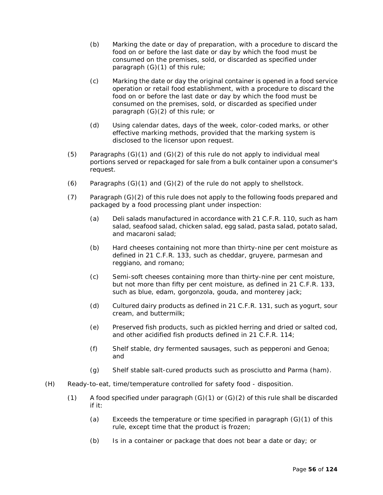- (b) Marking the date or day of preparation, with a procedure to discard the food on or before the last date or day by which the food must be consumed on the premises, sold, or discarded as specified under paragraph (G)(1) of this rule;
- (c) Marking the date or day the original container is opened in a food service operation or retail food establishment, with a procedure to discard the food on or before the last date or day by which the food must be consumed on the premises, sold, or discarded as specified under paragraph (G)(2) of this rule; or
- (d) Using calendar dates, days of the week, color-coded marks, or other effective marking methods, provided that the marking system is disclosed to the licensor upon request.
- $(5)$  Paragraphs  $(G)(1)$  and  $(G)(2)$  of this rule do not apply to individual meal portions served or repackaged for sale from a bulk container upon a consumer's request.
- (6) Paragraphs  $(G)(1)$  and  $(G)(2)$  of the rule do not apply to shellstock.
- (7) Paragraph (G)(2) of this rule does not apply to the following foods prepared and packaged by a food processing plant under inspection:
	- (a) Deli salads manufactured in accordance with 21 C.F.R. 110, such as ham salad, seafood salad, chicken salad, egg salad, pasta salad, potato salad, and macaroni salad;
	- (b) Hard cheeses containing not more than thirty-nine per cent moisture as defined in 21 C.F.R. 133, such as cheddar, gruyere, parmesan and reggiano, and romano;
	- (c) Semi-soft cheeses containing more than thirty-nine per cent moisture, but not more than fifty per cent moisture, as defined in 21 C.F.R. 133, such as blue, edam, gorgonzola, gouda, and monterey jack;
	- (d) Cultured dairy products as defined in 21 C.F.R. 131, such as yogurt, sour cream, and buttermilk;
	- (e) Preserved fish products, such as pickled herring and dried or salted cod, and other acidified fish products defined in 21 C.F.R. 114;
	- (f) Shelf stable, dry fermented sausages, such as pepperoni and Genoa; and
	- (g) Shelf stable salt-cured products such as prosciutto and Parma (ham).
- (H) Ready-to-eat, time/temperature controlled for safety food disposition.
	- (1) A food specified under paragraph  $(G)(1)$  or  $(G)(2)$  of this rule shall be discarded if it:
		- (a) Exceeds the temperature or time specified in paragraph  $(G)(1)$  of this rule, except time that the product is frozen;
		- (b) Is in a container or package that does not bear a date or day; or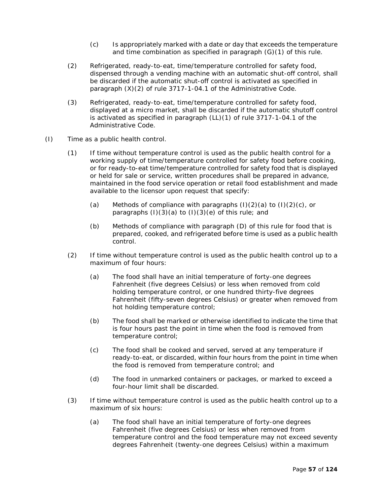- (c) Is appropriately marked with a date or day that exceeds the temperature and time combination as specified in paragraph (G)(1) of this rule.
- (2) Refrigerated, ready-to-eat, time/temperature controlled for safety food, dispensed through a vending machine with an automatic shut-off control, shall be discarded if the automatic shut-off control is activated as specified in paragraph (X)(2) of rule 3717-1-04.1 of the Administrative Code.
- (3) Refrigerated, ready-to-eat, time/temperature controlled for safety food, displayed at a micro market, shall be discarded if the automatic shutoff control is activated as specified in paragraph (LL)(1) of rule 3717-1-04.1 of the Administrative Code.
- (I) Time as a public health control.
	- (1) If time without temperature control is used as the public health control for a working supply of time/temperature controlled for safety food before cooking, or for ready-to-eat time/temperature controlled for safety food that is displayed or held for sale or service, written procedures shall be prepared in advance, maintained in the food service operation or retail food establishment and made available to the licensor upon request that specify:
		- (a) Methods of compliance with paragraphs  $(1)(2)(a)$  to  $(1)(2)(c)$ , or paragraphs  $(I)(3)(a)$  to  $(I)(3)(e)$  of this rule; and
		- (b) Methods of compliance with paragraph (D) of this rule for food that is prepared, cooked, and refrigerated before time is used as a public health control.
	- (2) If time without temperature control is used as the public health control up to a maximum of four hours:
		- (a) The food shall have an initial temperature of forty-one degrees Fahrenheit (five degrees Celsius) or less when removed from cold holding temperature control, or one hundred thirty-five degrees Fahrenheit (fifty-seven degrees Celsius) or greater when removed from hot holding temperature control;
		- (b) The food shall be marked or otherwise identified to indicate the time that is four hours past the point in time when the food is removed from temperature control;
		- (c) The food shall be cooked and served, served at any temperature if ready-to-eat, or discarded, within four hours from the point in time when the food is removed from temperature control; and
		- (d) The food in unmarked containers or packages, or marked to exceed a four-hour limit shall be discarded.
	- (3) If time without temperature control is used as the public health control up to a maximum of six hours:
		- (a) The food shall have an initial temperature of forty-one degrees Fahrenheit (five degrees Celsius) or less when removed from temperature control and the food temperature may not exceed seventy degrees Fahrenheit (twenty-one degrees Celsius) within a maximum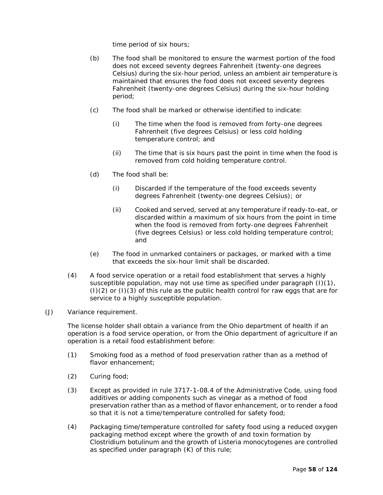time period of six hours;

- (b) The food shall be monitored to ensure the warmest portion of the food does not exceed seventy degrees Fahrenheit (twenty-one degrees Celsius) during the six-hour period, unless an ambient air temperature is maintained that ensures the food does not exceed seventy degrees Fahrenheit (twenty-one degrees Celsius) during the six-hour holding period;
- (c) The food shall be marked or otherwise identified to indicate:
	- (i) The time when the food is removed from forty-one degrees Fahrenheit (five degrees Celsius) or less cold holding temperature control; and
	- (ii) The time that is six hours past the point in time when the food is removed from cold holding temperature control.
- (d) The food shall be:
	- (i) Discarded if the temperature of the food exceeds seventy degrees Fahrenheit (twenty-one degrees Celsius); or
	- (ii) Cooked and served, served at any temperature if ready-to-eat, or discarded within a maximum of six hours from the point in time when the food is removed from forty-one degrees Fahrenheit (five degrees Celsius) or less cold holding temperature control; and
- (e) The food in unmarked containers or packages, or marked with a time that exceeds the six-hour limit shall be discarded.
- (4) A food service operation or a retail food establishment that serves a highly susceptible population, may not use time as specified under paragraph (I)(1),  $(1)(2)$  or  $(1)(3)$  of this rule as the public health control for raw eggs that are for service to a highly susceptible population.
- (J) Variance requirement.

The license holder shall obtain a variance from the Ohio department of health if an operation is a food service operation, or from the Ohio department of agriculture if an operation is a retail food establishment before:

- (1) Smoking food as a method of food preservation rather than as a method of flavor enhancement;
- (2) Curing food;
- (3) Except as provided in rule 3717-1-08.4 of the Administrative Code, using food additives or adding components such as vinegar as a method of food preservation rather than as a method of flavor enhancement, or to render a food so that it is not a time/temperature controlled for safety food;
- (4) Packaging time/temperature controlled for safety food using a reduced oxygen packaging method except where the growth of and toxin formation by Clostridium botulinum and the growth of Listeria monocytogenes are controlled as specified under paragraph (K) of this rule;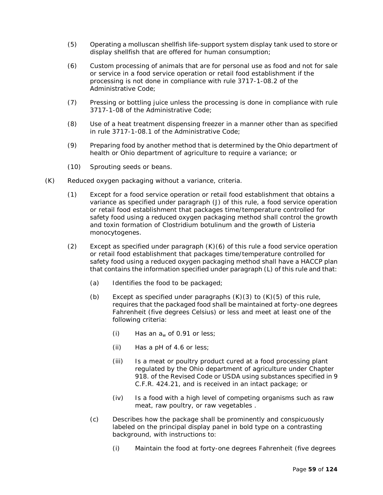- (5) Operating a molluscan shellfish life-support system display tank used to store or display shellfish that are offered for human consumption;
- (6) Custom processing of animals that are for personal use as food and not for sale or service in a food service operation or retail food establishment if the processing is not done in compliance with rule 3717-1-08.2 of the Administrative Code;
- (7) Pressing or bottling juice unless the processing is done in compliance with rule 3717-1-08 of the Administrative Code;
- (8) Use of a heat treatment dispensing freezer in a manner other than as specified in rule 3717-1-08.1 of the Administrative Code;
- (9) Preparing food by another method that is determined by the Ohio department of health or Ohio department of agriculture to require a variance; or
- (10) Sprouting seeds or beans.
- (K) Reduced oxygen packaging without a variance, criteria.
	- (1) Except for a food service operation or retail food establishment that obtains a variance as specified under paragraph (J) of this rule, a food service operation or retail food establishment that packages time/temperature controlled for safety food using a reduced oxygen packaging method shall control the growth and toxin formation of Clostridium botulinum and the growth of Listeria monocytogenes.
	- $(2)$  Except as specified under paragraph  $(K)(6)$  of this rule a food service operation or retail food establishment that packages time/temperature controlled for safety food using a reduced oxygen packaging method shall have a HACCP plan that contains the information specified under paragraph (L) of this rule and that:
		- (a) Identifies the food to be packaged;
		- (b) Except as specified under paragraphs  $(K)(3)$  to  $(K)(5)$  of this rule, requires that the packaged food shall be maintained at forty-one degrees Fahrenheit (five degrees Celsius) or less and meet at least one of the following criteria:
			- (i) Has an  $a_w$  of 0.91 or less;
			- (ii) Has a pH of 4.6 or less;
			- (iii) Is a meat or poultry product cured at a food processing plant regulated by the Ohio department of agriculture under Chapter 918. of the Revised Code or USDA using substances specified in 9 C.F.R. 424.21, and is received in an intact package; or
			- (iv) Is a food with a high level of competing organisms such as raw meat, raw poultry, or raw vegetables .
		- (c) Describes how the package shall be prominently and conspicuously labeled on the principal display panel in bold type on a contrasting background, with instructions to:
			- (i) Maintain the food at forty-one degrees Fahrenheit (five degrees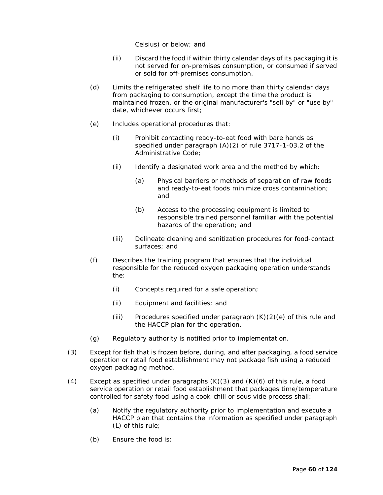Celsius) or below; and

- (ii) Discard the food if within thirty calendar days of its packaging it is not served for on-premises consumption, or consumed if served or sold for off-premises consumption.
- (d) Limits the refrigerated shelf life to no more than thirty calendar days from packaging to consumption, except the time the product is maintained frozen, or the original manufacturer's "sell by" or "use by" date, whichever occurs first;
- (e) Includes operational procedures that:
	- (i) Prohibit contacting ready-to-eat food with bare hands as specified under paragraph (A)(2) of rule 3717-1-03.2 of the Administrative Code;
	- (ii) Identify a designated work area and the method by which:
		- (*a*) Physical barriers or methods of separation of raw foods and ready-to-eat foods minimize cross contamination; and
		- (*b*) Access to the processing equipment is limited to responsible trained personnel familiar with the potential hazards of the operation; and
	- (iii) Delineate cleaning and sanitization procedures for food-contact surfaces; and
- (f) Describes the training program that ensures that the individual responsible for the reduced oxygen packaging operation understands the:
	- (i) Concepts required for a safe operation;
	- (ii) Equipment and facilities; and
	- (iii) Procedures specified under paragraph  $(K)(2)$ (e) of this rule and the HACCP plan for the operation.
- (g) Regulatory authority is notified prior to implementation.
- (3) Except for fish that is frozen before, during, and after packaging, a food service operation or retail food establishment may not package fish using a reduced oxygen packaging method.
- (4) Except as specified under paragraphs  $(K)(3)$  and  $(K)(6)$  of this rule, a food service operation or retail food establishment that packages time/temperature controlled for safety food using a cook-chill or sous vide process shall:
	- (a) Notify the regulatory authority prior to implementation and execute a HACCP plan that contains the information as specified under paragraph (L) of this rule;
	- (b) Ensure the food is: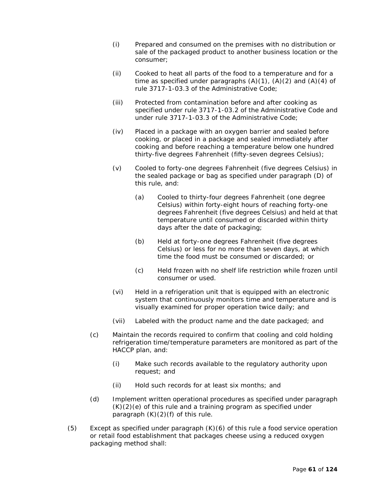- (i) Prepared and consumed on the premises with no distribution or sale of the packaged product to another business location or the consumer;
- (ii) Cooked to heat all parts of the food to a temperature and for a time as specified under paragraphs  $(A)(1)$ ,  $(A)(2)$  and  $(A)(4)$  of rule 3717-1-03.3 of the Administrative Code;
- (iii) Protected from contamination before and after cooking as specified under rule 3717-1-03.2 of the Administrative Code and under rule 3717-1-03.3 of the Administrative Code;
- (iv) Placed in a package with an oxygen barrier and sealed before cooking, or placed in a package and sealed immediately after cooking and before reaching a temperature below one hundred thirty-five degrees Fahrenheit (fifty-seven degrees Celsius);
- (v) Cooled to forty-one degrees Fahrenheit (five degrees Celsius) in the sealed package or bag as specified under paragraph (D) of this rule, and:
	- (*a*) Cooled to thirty-four degrees Fahrenheit (one degree Celsius) within forty-eight hours of reaching forty-one degrees Fahrenheit (five degrees Celsius) and held at that temperature until consumed or discarded within thirty days after the date of packaging;
	- (*b*) Held at forty-one degrees Fahrenheit (five degrees Celsius) or less for no more than seven days, at which time the food must be consumed or discarded; or
	- (*c*) Held frozen with no shelf life restriction while frozen until consumer or used.
- (vi) Held in a refrigeration unit that is equipped with an electronic system that continuously monitors time and temperature and is visually examined for proper operation twice daily; and
- (vii) Labeled with the product name and the date packaged; and
- (c) Maintain the records required to confirm that cooling and cold holding refrigeration time/temperature parameters are monitored as part of the HACCP plan, and:
	- (i) Make such records available to the regulatory authority upon request; and
	- (ii) Hold such records for at least six months; and
- (d) Implement written operational procedures as specified under paragraph  $(K)(2)(e)$  of this rule and a training program as specified under paragraph  $(K)(2)(f)$  of this rule.
- (5) Except as specified under paragraph (K)(6) of this rule a food service operation or retail food establishment that packages cheese using a reduced oxygen packaging method shall: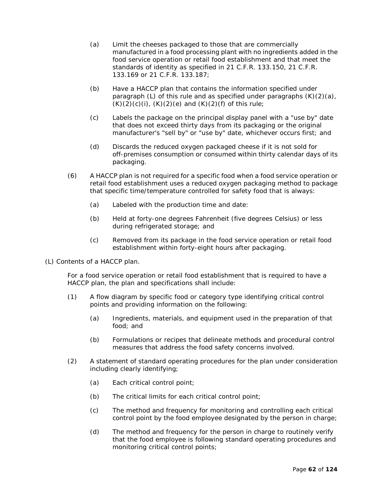- (a) Limit the cheeses packaged to those that are commercially manufactured in a food processing plant with no ingredients added in the food service operation or retail food establishment and that meet the standards of identity as specified in 21 C.F.R. 133.150, 21 C.F.R. 133.169 or 21 C.F.R. 133.187;
- (b) Have a HACCP plan that contains the information specified under paragraph (L) of this rule and as specified under paragraphs (K)(2)(a),  $(K)(2)(c)(i)$ ,  $(K)(2)(e)$  and  $(K)(2)(f)$  of this rule;
- (c) Labels the package on the principal display panel with a "use by" date that does not exceed thirty days from its packaging or the original manufacturer's "sell by" or "use by" date, whichever occurs first; and
- (d) Discards the reduced oxygen packaged cheese if it is not sold for off-premises consumption or consumed within thirty calendar days of its packaging.
- (6) A HACCP plan is not required for a specific food when a food service operation or retail food establishment uses a reduced oxygen packaging method to package that specific time/temperature controlled for safety food that is always:
	- (a) Labeled with the production time and date:
	- (b) Held at forty-one degrees Fahrenheit (five degrees Celsius) or less during refrigerated storage; and
	- (c) Removed from its package in the food service operation or retail food establishment within forty-eight hours after packaging.
- (L) Contents of a HACCP plan.

For a food service operation or retail food establishment that is required to have a HACCP plan, the plan and specifications shall include:

- (1) A flow diagram by specific food or category type identifying critical control points and providing information on the following:
	- (a) Ingredients, materials, and equipment used in the preparation of that food; and
	- (b) Formulations or recipes that delineate methods and procedural control measures that address the food safety concerns involved.
- (2) A statement of standard operating procedures for the plan under consideration including clearly identifying;
	- (a) Each critical control point;
	- (b) The critical limits for each critical control point;
	- (c) The method and frequency for monitoring and controlling each critical control point by the food employee designated by the person in charge;
	- (d) The method and frequency for the person in charge to routinely verify that the food employee is following standard operating procedures and monitoring critical control points;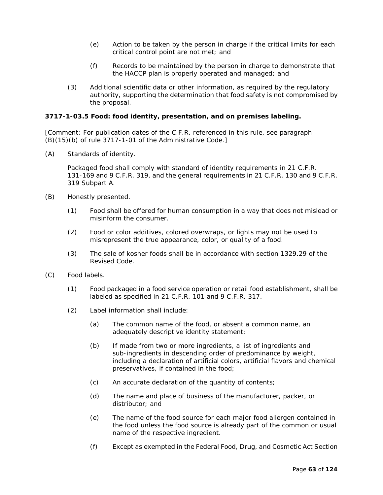- (e) Action to be taken by the person in charge if the critical limits for each critical control point are not met; and
- (f) Records to be maintained by the person in charge to demonstrate that the HACCP plan is properly operated and managed; and
- (3) Additional scientific data or other information, as required by the regulatory authority, supporting the determination that food safety is not compromised by the proposal.

### **3717-1-03.5 Food: food identity, presentation, and on premises labeling.**

[Comment: For publication dates of the C.F.R. referenced in this rule, see paragraph (B)(15)(b) of rule 3717-1-01 of the Administrative Code.]

(A) Standards of identity.

Packaged food shall comply with standard of identity requirements in 21 C.F.R. 131-169 and 9 C.F.R. 319, and the general requirements in 21 C.F.R. 130 and 9 C.F.R. 319 Subpart A.

- (B) Honestly presented.
	- (1) Food shall be offered for human consumption in a way that does not mislead or misinform the consumer.
	- (2) Food or color additives, colored overwraps, or lights may not be used to misrepresent the true appearance, color, or quality of a food.
	- (3) The sale of kosher foods shall be in accordance with section 1329.29 of the Revised Code.
- (C) Food labels.
	- (1) Food packaged in a food service operation or retail food establishment, shall be labeled as specified in 21 C.F.R. 101 and 9 C.F.R. 317.
	- (2) Label information shall include:
		- (a) The common name of the food, or absent a common name, an adequately descriptive identity statement;
		- (b) If made from two or more ingredients, a list of ingredients and sub-ingredients in descending order of predominance by weight, including a declaration of artificial colors, artificial flavors and chemical preservatives, if contained in the food;
		- (c) An accurate declaration of the quantity of contents;
		- (d) The name and place of business of the manufacturer, packer, or distributor; and
		- (e) The name of the food source for each major food allergen contained in the food unless the food source is already part of the common or usual name of the respective ingredient.
		- (f) Except as exempted in the Federal Food, Drug, and Cosmetic Act Section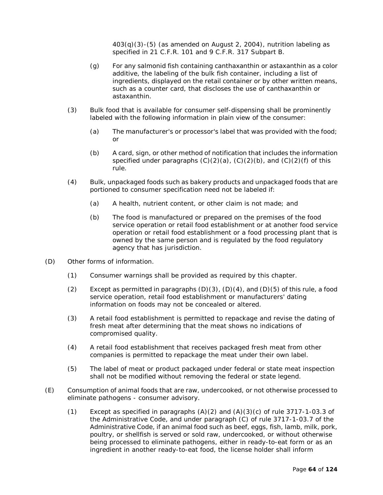$403(q)(3)-(5)$  (as amended on August 2, 2004), nutrition labeling as specified in 21 C.F.R. 101 and 9 C.F.R. 317 Subpart B.

- (g) For any salmonid fish containing canthaxanthin or astaxanthin as a color additive, the labeling of the bulk fish container, including a list of ingredients, displayed on the retail container or by other written means, such as a counter card, that discloses the use of canthaxanthin or astaxanthin.
- (3) Bulk food that is available for consumer self-dispensing shall be prominently labeled with the following information in plain view of the consumer:
	- (a) The manufacturer's or processor's label that was provided with the food; or
	- (b) A card, sign, or other method of notification that includes the information specified under paragraphs  $(C)(2)(a)$ ,  $(C)(2)(b)$ , and  $(C)(2)(f)$  of this rule.
- (4) Bulk, unpackaged foods such as bakery products and unpackaged foods that are portioned to consumer specification need not be labeled if:
	- (a) A health, nutrient content, or other claim is not made; and
	- (b) The food is manufactured or prepared on the premises of the food service operation or retail food establishment or at another food service operation or retail food establishment or a food processing plant that is owned by the same person and is regulated by the food regulatory agency that has jurisdiction.
- (D) Other forms of information.
	- (1) Consumer warnings shall be provided as required by this chapter.
	- (2) Except as permitted in paragraphs  $(D)(3)$ ,  $(D)(4)$ , and  $(D)(5)$  of this rule, a food service operation, retail food establishment or manufacturers' dating information on foods may not be concealed or altered.
	- (3) A retail food establishment is permitted to repackage and revise the dating of fresh meat after determining that the meat shows no indications of compromised quality.
	- (4) A retail food establishment that receives packaged fresh meat from other companies is permitted to repackage the meat under their own label.
	- (5) The label of meat or product packaged under federal or state meat inspection shall not be modified without removing the federal or state legend.
- (E) Consumption of animal foods that are raw, undercooked, or not otherwise processed to eliminate pathogens - consumer advisory.
	- (1) Except as specified in paragraphs (A)(2) and (A)(3)(c) of rule 3717-1-03.3 of the Administrative Code, and under paragraph (C) of rule 3717-1-03.7 of the Administrative Code, if an animal food such as beef, eggs, fish, lamb, milk, pork, poultry, or shellfish is served or sold raw, undercooked, or without otherwise being processed to eliminate pathogens, either in ready-to-eat form or as an ingredient in another ready-to-eat food, the license holder shall inform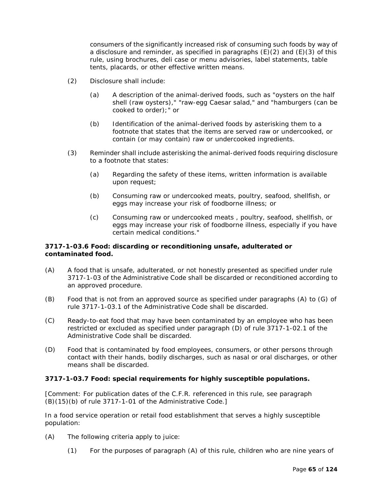consumers of the significantly increased risk of consuming such foods by way of a disclosure and reminder, as specified in paragraphs  $(E)(2)$  and  $(E)(3)$  of this rule, using brochures, deli case or menu advisories, label statements, table tents, placards, or other effective written means.

- (2) Disclosure shall include:
	- (a) A description of the animal-derived foods, such as "oysters on the half shell (raw oysters)," "raw-egg Caesar salad," and "hamburgers (can be cooked to order);" or
	- (b) Identification of the animal-derived foods by asterisking them to a footnote that states that the items are served raw or undercooked, or contain (or may contain) raw or undercooked ingredients.
- (3) Reminder shall include asterisking the animal-derived foods requiring disclosure to a footnote that states:
	- (a) Regarding the safety of these items, written information is available upon request;
	- (b) Consuming raw or undercooked meats, poultry, seafood, shellfish, or eggs may increase your risk of foodborne illness; or
	- (c) Consuming raw or undercooked meats , poultry, seafood, shellfish, or eggs may increase your risk of foodborne illness, especially if you have certain medical conditions."

# **3717-1-03.6 Food: discarding or reconditioning unsafe, adulterated or contaminated food.**

- (A) A food that is unsafe, adulterated, or not honestly presented as specified under rule 3717-1-03 of the Administrative Code shall be discarded or reconditioned according to an approved procedure.
- (B) Food that is not from an approved source as specified under paragraphs (A) to (G) of rule 3717-1-03.1 of the Administrative Code shall be discarded.
- (C) Ready-to-eat food that may have been contaminated by an employee who has been restricted or excluded as specified under paragraph (D) of rule 3717-1-02.1 of the Administrative Code shall be discarded.
- (D) Food that is contaminated by food employees, consumers, or other persons through contact with their hands, bodily discharges, such as nasal or oral discharges, or other means shall be discarded.

# **3717-1-03.7 Food: special requirements for highly susceptible populations.**

[Comment: For publication dates of the C.F.R. referenced in this rule, see paragraph (B)(15)(b) of rule 3717-1-01 of the Administrative Code.]

In a food service operation or retail food establishment that serves a highly susceptible population:

- (A) The following criteria apply to juice:
	- (1) For the purposes of paragraph (A) of this rule, children who are nine years of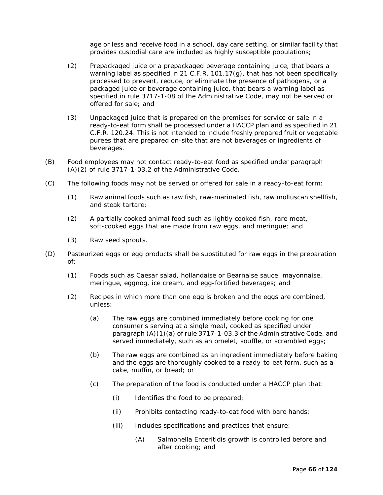age or less and receive food in a school, day care setting, or similar facility that provides custodial care are included as highly susceptible populations;

- (2) Prepackaged juice or a prepackaged beverage containing juice, that bears a warning label as specified in 21 C.F.R. 101.17(g), that has not been specifically processed to prevent, reduce, or eliminate the presence of pathogens, or a packaged juice or beverage containing juice, that bears a warning label as specified in rule 3717-1-08 of the Administrative Code, may not be served or offered for sale; and
- (3) Unpackaged juice that is prepared on the premises for service or sale in a ready-to-eat form shall be processed under a HACCP plan and as specified in 21 C.F.R. 120.24. This is not intended to include freshly prepared fruit or vegetable purees that are prepared on-site that are not beverages or ingredients of beverages.
- (B) Food employees may not contact ready-to-eat food as specified under paragraph (A)(2) of rule 3717-1-03.2 of the Administrative Code.
- (C) The following foods may not be served or offered for sale in a ready-to-eat form:
	- (1) Raw animal foods such as raw fish, raw-marinated fish, raw molluscan shellfish, and steak tartare;
	- (2) A partially cooked animal food such as lightly cooked fish, rare meat, soft-cooked eggs that are made from raw eggs, and meringue; and
	- (3) Raw seed sprouts.
- (D) Pasteurized eggs or egg products shall be substituted for raw eggs in the preparation of:
	- (1) Foods such as Caesar salad, hollandaise or Bearnaise sauce, mayonnaise, meringue, eggnog, ice cream, and egg-fortified beverages; and
	- (2) Recipes in which more than one egg is broken and the eggs are combined, unless:
		- (a) The raw eggs are combined immediately before cooking for one consumer's serving at a single meal, cooked as specified under paragraph (A)(1)(a) of rule 3717-1-03.3 of the Administrative Code, and served immediately, such as an omelet, souffle, or scrambled eggs;
		- (b) The raw eggs are combined as an ingredient immediately before baking and the eggs are thoroughly cooked to a ready-to-eat form, such as a cake, muffin, or bread; or
		- (c) The preparation of the food is conducted under a HACCP plan that:
			- (i) Identifies the food to be prepared;
			- (ii) Prohibits contacting ready-to-eat food with bare hands;
			- (iii) Includes specifications and practices that ensure:
				- (A) Salmonella Enteritidis growth is controlled before and after cooking; and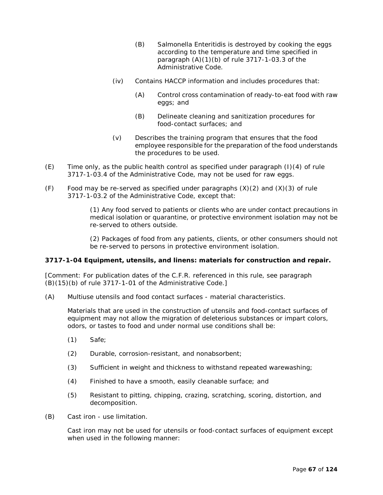- (B) Salmonella Enteritidis is destroyed by cooking the eggs according to the temperature and time specified in paragraph  $(A)(1)(b)$  of rule 3717-1-03.3 of the Administrative Code.
- (iv) Contains HACCP information and includes procedures that:
	- (A) Control cross contamination of ready-to-eat food with raw eggs; and
	- (B) Delineate cleaning and sanitization procedures for food-contact surfaces; and
- (v) Describes the training program that ensures that the food employee responsible for the preparation of the food understands the procedures to be used.
- $(E)$  Time only, as the public health control as specified under paragraph  $(1)(4)$  of rule 3717-1-03.4 of the Administrative Code, may not be used for raw eggs.
- (F) Food may be re-served as specified under paragraphs  $(X)(2)$  and  $(X)(3)$  of rule 3717-1-03.2 of the Administrative Code, except that:

(1) Any food served to patients or clients who are under contact precautions in medical isolation or quarantine, or protective environment isolation may not be re-served to others outside.

(2) Packages of food from any patients, clients, or other consumers should not be re-served to persons in protective environment isolation.

# **3717-1-04 Equipment, utensils, and linens: materials for construction and repair.**

[Comment: For publication dates of the C.F.R. referenced in this rule, see paragraph (B)(15)(b) of rule 3717-1-01 of the Administrative Code.]

(A) Multiuse utensils and food contact surfaces - material characteristics.

Materials that are used in the construction of utensils and food-contact surfaces of equipment may not allow the migration of deleterious substances or impart colors, odors, or tastes to food and under normal use conditions shall be:

- (1) Safe;
- (2) Durable, corrosion-resistant, and nonabsorbent;
- (3) Sufficient in weight and thickness to withstand repeated warewashing;
- (4) Finished to have a smooth, easily cleanable surface; and
- (5) Resistant to pitting, chipping, crazing, scratching, scoring, distortion, and decomposition.
- (B) Cast iron use limitation.

Cast iron may not be used for utensils or food-contact surfaces of equipment except when used in the following manner: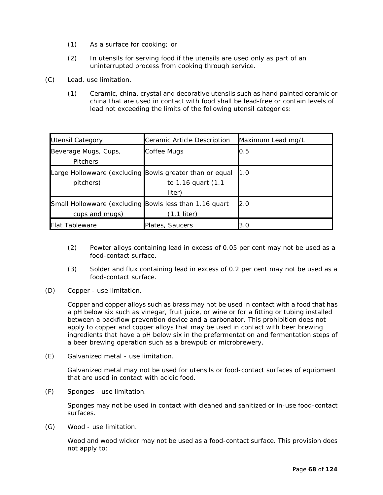- (1) As a surface for cooking; or
- (2) In utensils for serving food if the utensils are used only as part of an uninterrupted process from cooking through service.
- (C) Lead, use limitation.
	- (1) Ceramic, china, crystal and decorative utensils such as hand painted ceramic or china that are used in contact with food shall be lead-free or contain levels of lead not exceeding the limits of the following utensil categories:

| <b>Utensil Category</b>                                                  | Ceramic Article Description   | Maximum Lead mg/L |  |
|--------------------------------------------------------------------------|-------------------------------|-------------------|--|
| Beverage Mugs, Cups,<br>Pitchers                                         | Coffee Mugs                   | 0.5               |  |
| Large Hollowware (excluding Bowls greater than or equal<br>pitchers)     | to 1.16 quart (1.1)<br>liter) | 1.0               |  |
| Small Hollowware (excluding Bowls less than 1.16 quart<br>cups and mugs) | (1.1 liter)                   | 2.0               |  |
| <b>Flat Tableware</b>                                                    | Plates, Saucers               | 3.0               |  |

- (2) Pewter alloys containing lead in excess of 0.05 per cent may not be used as a food-contact surface.
- (3) Solder and flux containing lead in excess of 0.2 per cent may not be used as a food-contact surface.
- (D) Copper use limitation.

Copper and copper alloys such as brass may not be used in contact with a food that has a pH below six such as vinegar, fruit juice, or wine or for a fitting or tubing installed between a backflow prevention device and a carbonator. This prohibition does not apply to copper and copper alloys that may be used in contact with beer brewing ingredients that have a pH below six in the prefermentation and fermentation steps of a beer brewing operation such as a brewpub or microbrewery.

(E) Galvanized metal - use limitation.

Galvanized metal may not be used for utensils or food-contact surfaces of equipment that are used in contact with acidic food.

(F) Sponges - use limitation.

Sponges may not be used in contact with cleaned and sanitized or in-use food-contact surfaces.

(G) Wood - use limitation.

Wood and wood wicker may not be used as a food-contact surface. This provision does not apply to: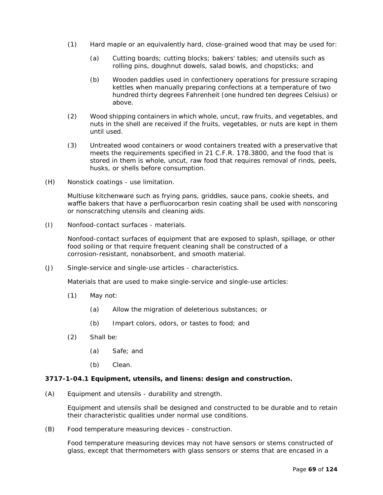- (1) Hard maple or an equivalently hard, close-grained wood that may be used for:
	- (a) Cutting boards; cutting blocks; bakers' tables; and utensils such as rolling pins, doughnut dowels, salad bowls, and chopsticks; and
	- (b) Wooden paddles used in confectionery operations for pressure scraping kettles when manually preparing confections at a temperature of two hundred thirty degrees Fahrenheit (one hundred ten degrees Celsius) or above.
- (2) Wood shipping containers in which whole, uncut, raw fruits, and vegetables, and nuts in the shell are received if the fruits, vegetables, or nuts are kept in them until used.
- (3) Untreated wood containers or wood containers treated with a preservative that meets the requirements specified in 21 C.F.R. 178.3800, and the food that is stored in them is whole, uncut, raw food that requires removal of rinds, peels, husks, or shells before consumption.
- (H) Nonstick coatings use limitation.

Multiuse kitchenware such as frying pans, griddles, sauce pans, cookie sheets, and waffle bakers that have a perfluorocarbon resin coating shall be used with nonscoring or nonscratching utensils and cleaning aids.

(I) Nonfood-contact surfaces - materials.

Nonfood-contact surfaces of equipment that are exposed to splash, spillage, or other food soiling or that require frequent cleaning shall be constructed of a corrosion-resistant, nonabsorbent, and smooth material.

(J) Single-service and single-use articles - characteristics.

Materials that are used to make single-service and single-use articles:

- (1) May not:
	- (a) Allow the migration of deleterious substances; or
	- (b) Impart colors, odors, or tastes to food; and
- (2) Shall be:
	- (a) Safe; and
	- (b) Clean.

#### **3717-1-04.1 Equipment, utensils, and linens: design and construction.**

(A) Equipment and utensils - durability and strength.

Equipment and utensils shall be designed and constructed to be durable and to retain their characteristic qualities under normal use conditions.

(B) Food temperature measuring devices - construction.

Food temperature measuring devices may not have sensors or stems constructed of glass, except that thermometers with glass sensors or stems that are encased in a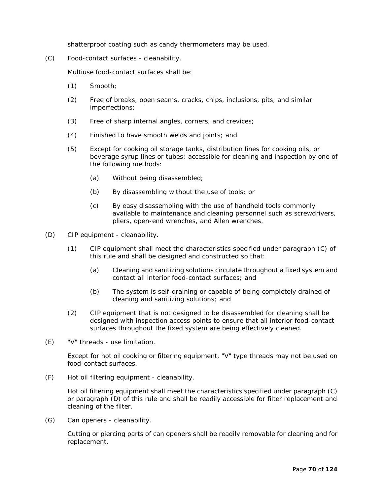shatterproof coating such as candy thermometers may be used.

(C) Food-contact surfaces - cleanability.

Multiuse food-contact surfaces shall be:

- (1) Smooth;
- (2) Free of breaks, open seams, cracks, chips, inclusions, pits, and similar imperfections;
- (3) Free of sharp internal angles, corners, and crevices;
- (4) Finished to have smooth welds and joints; and
- (5) Except for cooking oil storage tanks, distribution lines for cooking oils, or beverage syrup lines or tubes; accessible for cleaning and inspection by one of the following methods:
	- (a) Without being disassembled;
	- (b) By disassembling without the use of tools; or
	- (c) By easy disassembling with the use of handheld tools commonly available to maintenance and cleaning personnel such as screwdrivers, pliers, open-end wrenches, and Allen wrenches.
- (D) CIP equipment cleanability.
	- (1) CIP equipment shall meet the characteristics specified under paragraph (C) of this rule and shall be designed and constructed so that:
		- (a) Cleaning and sanitizing solutions circulate throughout a fixed system and contact all interior food-contact surfaces; and
		- (b) The system is self-draining or capable of being completely drained of cleaning and sanitizing solutions; and
	- (2) CIP equipment that is not designed to be disassembled for cleaning shall be designed with inspection access points to ensure that all interior food-contact surfaces throughout the fixed system are being effectively cleaned.
- (E) "V" threads use limitation.

Except for hot oil cooking or filtering equipment, "V" type threads may not be used on food-contact surfaces.

(F) Hot oil filtering equipment - cleanability.

Hot oil filtering equipment shall meet the characteristics specified under paragraph (C) or paragraph (D) of this rule and shall be readily accessible for filter replacement and cleaning of the filter.

(G) Can openers - cleanability.

Cutting or piercing parts of can openers shall be readily removable for cleaning and for replacement.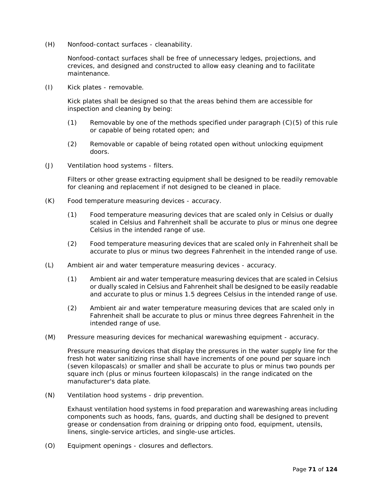(H) Nonfood-contact surfaces - cleanability.

Nonfood-contact surfaces shall be free of unnecessary ledges, projections, and crevices, and designed and constructed to allow easy cleaning and to facilitate maintenance.

(I) Kick plates - removable.

Kick plates shall be designed so that the areas behind them are accessible for inspection and cleaning by being:

- (1) Removable by one of the methods specified under paragraph (C)(5) of this rule or capable of being rotated open; and
- (2) Removable or capable of being rotated open without unlocking equipment doors.
- (J) Ventilation hood systems filters.

Filters or other grease extracting equipment shall be designed to be readily removable for cleaning and replacement if not designed to be cleaned in place.

- (K) Food temperature measuring devices accuracy.
	- (1) Food temperature measuring devices that are scaled only in Celsius or dually scaled in Celsius and Fahrenheit shall be accurate to plus or minus one degree Celsius in the intended range of use.
	- (2) Food temperature measuring devices that are scaled only in Fahrenheit shall be accurate to plus or minus two degrees Fahrenheit in the intended range of use.
- (L) Ambient air and water temperature measuring devices accuracy.
	- (1) Ambient air and water temperature measuring devices that are scaled in Celsius or dually scaled in Celsius and Fahrenheit shall be designed to be easily readable and accurate to plus or minus 1.5 degrees Celsius in the intended range of use.
	- (2) Ambient air and water temperature measuring devices that are scaled only in Fahrenheit shall be accurate to plus or minus three degrees Fahrenheit in the intended range of use.
- (M) Pressure measuring devices for mechanical warewashing equipment accuracy.

Pressure measuring devices that display the pressures in the water supply line for the fresh hot water sanitizing rinse shall have increments of one pound per square inch (seven kilopascals) or smaller and shall be accurate to plus or minus two pounds per square inch (plus or minus fourteen kilopascals) in the range indicated on the manufacturer's data plate.

(N) Ventilation hood systems - drip prevention.

Exhaust ventilation hood systems in food preparation and warewashing areas including components such as hoods, fans, guards, and ducting shall be designed to prevent grease or condensation from draining or dripping onto food, equipment, utensils, linens, single-service articles, and single-use articles.

(O) Equipment openings - closures and deflectors.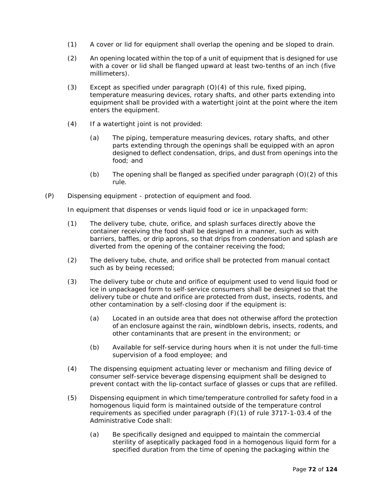- (1) A cover or lid for equipment shall overlap the opening and be sloped to drain.
- (2) An opening located within the top of a unit of equipment that is designed for use with a cover or lid shall be flanged upward at least two-tenths of an inch (five millimeters).
- (3) Except as specified under paragraph  $(0)(4)$  of this rule, fixed piping, temperature measuring devices, rotary shafts, and other parts extending into equipment shall be provided with a watertight joint at the point where the item enters the equipment.
- (4) If a watertight joint is not provided:
	- (a) The piping, temperature measuring devices, rotary shafts, and other parts extending through the openings shall be equipped with an apron designed to deflect condensation, drips, and dust from openings into the food; and
	- (b) The opening shall be flanged as specified under paragraph  $(0)(2)$  of this rule.
- (P) Dispensing equipment protection of equipment and food.

In equipment that dispenses or vends liquid food or ice in unpackaged form:

- (1) The delivery tube, chute, orifice, and splash surfaces directly above the container receiving the food shall be designed in a manner, such as with barriers, baffles, or drip aprons, so that drips from condensation and splash are diverted from the opening of the container receiving the food;
- (2) The delivery tube, chute, and orifice shall be protected from manual contact such as by being recessed;
- (3) The delivery tube or chute and orifice of equipment used to vend liquid food or ice in unpackaged form to self-service consumers shall be designed so that the delivery tube or chute and orifice are protected from dust, insects, rodents, and other contamination by a self-closing door if the equipment is:
	- (a) Located in an outside area that does not otherwise afford the protection of an enclosure against the rain, windblown debris, insects, rodents, and other contaminants that are present in the environment; or
	- (b) Available for self-service during hours when it is not under the full-time supervision of a food employee; and
- (4) The dispensing equipment actuating lever or mechanism and filling device of consumer self-service beverage dispensing equipment shall be designed to prevent contact with the lip-contact surface of glasses or cups that are refilled.
- (5) Dispensing equipment in which time/temperature controlled for safety food in a homogenous liquid form is maintained outside of the temperature control requirements as specified under paragraph (F)(1) of rule 3717-1-03.4 of the Administrative Code shall:
	- (a) Be specifically designed and equipped to maintain the commercial sterility of aseptically packaged food in a homogenous liquid form for a specified duration from the time of opening the packaging within the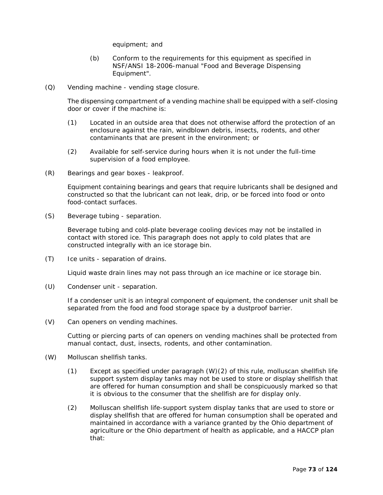equipment; and

- (b) Conform to the requirements for this equipment as specified in NSF/ANSI 18-2006-manual "Food and Beverage Dispensing Equipment".
- (Q) Vending machine vending stage closure.

The dispensing compartment of a vending machine shall be equipped with a self-closing door or cover if the machine is:

- (1) Located in an outside area that does not otherwise afford the protection of an enclosure against the rain, windblown debris, insects, rodents, and other contaminants that are present in the environment; or
- (2) Available for self-service during hours when it is not under the full-time supervision of a food employee.
- (R) Bearings and gear boxes leakproof.

Equipment containing bearings and gears that require lubricants shall be designed and constructed so that the lubricant can not leak, drip, or be forced into food or onto food-contact surfaces.

(S) Beverage tubing - separation.

Beverage tubing and cold-plate beverage cooling devices may not be installed in contact with stored ice. This paragraph does not apply to cold plates that are constructed integrally with an ice storage bin.

(T) Ice units - separation of drains.

Liquid waste drain lines may not pass through an ice machine or ice storage bin.

(U) Condenser unit - separation.

If a condenser unit is an integral component of equipment, the condenser unit shall be separated from the food and food storage space by a dustproof barrier.

(V) Can openers on vending machines.

Cutting or piercing parts of can openers on vending machines shall be protected from manual contact, dust, insects, rodents, and other contamination.

- (W) Molluscan shellfish tanks.
	- (1) Except as specified under paragraph (W)(2) of this rule, molluscan shellfish life support system display tanks may not be used to store or display shellfish that are offered for human consumption and shall be conspicuously marked so that it is obvious to the consumer that the shellfish are for display only.
	- (2) Molluscan shellfish life-support system display tanks that are used to store or display shellfish that are offered for human consumption shall be operated and maintained in accordance with a variance granted by the Ohio department of agriculture or the Ohio department of health as applicable, and a HACCP plan that: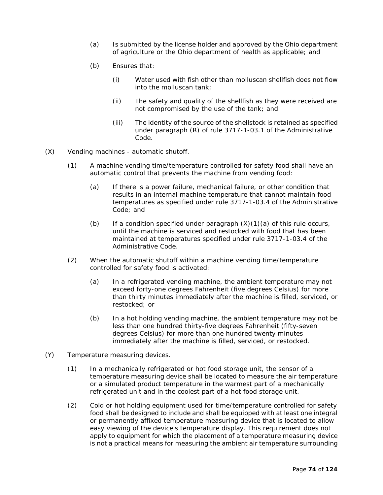- (a) Is submitted by the license holder and approved by the Ohio department of agriculture or the Ohio department of health as applicable; and
- (b) Ensures that:
	- (i) Water used with fish other than molluscan shellfish does not flow into the molluscan tank;
	- (ii) The safety and quality of the shellfish as they were received are not compromised by the use of the tank; and
	- (iii) The identity of the source of the shellstock is retained as specified under paragraph (R) of rule 3717-1-03.1 of the Administrative Code.
- (X) Vending machines automatic shutoff.
	- (1) A machine vending time/temperature controlled for safety food shall have an automatic control that prevents the machine from vending food:
		- (a) If there is a power failure, mechanical failure, or other condition that results in an internal machine temperature that cannot maintain food temperatures as specified under rule 3717-1-03.4 of the Administrative Code; and
		- (b) If a condition specified under paragraph  $(X)(1)(a)$  of this rule occurs, until the machine is serviced and restocked with food that has been maintained at temperatures specified under rule 3717-1-03.4 of the Administrative Code.
	- (2) When the automatic shutoff within a machine vending time/temperature controlled for safety food is activated:
		- (a) In a refrigerated vending machine, the ambient temperature may not exceed forty-one degrees Fahrenheit (five degrees Celsius) for more than thirty minutes immediately after the machine is filled, serviced, or restocked; or
		- (b) In a hot holding vending machine, the ambient temperature may not be less than one hundred thirty-five degrees Fahrenheit (fifty-seven degrees Celsius) for more than one hundred twenty minutes immediately after the machine is filled, serviced, or restocked.
- (Y) Temperature measuring devices.
	- (1) In a mechanically refrigerated or hot food storage unit, the sensor of a temperature measuring device shall be located to measure the air temperature or a simulated product temperature in the warmest part of a mechanically refrigerated unit and in the coolest part of a hot food storage unit.
	- (2) Cold or hot holding equipment used for time/temperature controlled for safety food shall be designed to include and shall be equipped with at least one integral or permanently affixed temperature measuring device that is located to allow easy viewing of the device's temperature display. This requirement does not apply to equipment for which the placement of a temperature measuring device is not a practical means for measuring the ambient air temperature surrounding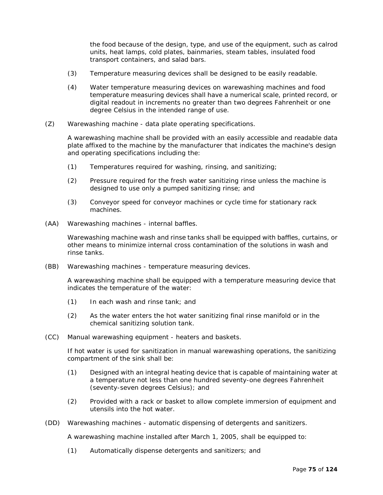the food because of the design, type, and use of the equipment, such as calrod units, heat lamps, cold plates, bainmaries, steam tables, insulated food transport containers, and salad bars.

- (3) Temperature measuring devices shall be designed to be easily readable.
- (4) Water temperature measuring devices on warewashing machines and food temperature measuring devices shall have a numerical scale, printed record, or digital readout in increments no greater than two degrees Fahrenheit or one degree Celsius in the intended range of use.
- (Z) Warewashing machine data plate operating specifications.

A warewashing machine shall be provided with an easily accessible and readable data plate affixed to the machine by the manufacturer that indicates the machine's design and operating specifications including the:

- (1) Temperatures required for washing, rinsing, and sanitizing;
- (2) Pressure required for the fresh water sanitizing rinse unless the machine is designed to use only a pumped sanitizing rinse; and
- (3) Conveyor speed for conveyor machines or cycle time for stationary rack machines.
- (AA) Warewashing machines internal baffles.

Warewashing machine wash and rinse tanks shall be equipped with baffles, curtains, or other means to minimize internal cross contamination of the solutions in wash and rinse tanks.

(BB) Warewashing machines - temperature measuring devices.

A warewashing machine shall be equipped with a temperature measuring device that indicates the temperature of the water:

- (1) In each wash and rinse tank; and
- (2) As the water enters the hot water sanitizing final rinse manifold or in the chemical sanitizing solution tank.
- (CC) Manual warewashing equipment heaters and baskets.

If hot water is used for sanitization in manual warewashing operations, the sanitizing compartment of the sink shall be:

- (1) Designed with an integral heating device that is capable of maintaining water at a temperature not less than one hundred seventy-one degrees Fahrenheit (seventy-seven degrees Celsius); and
- (2) Provided with a rack or basket to allow complete immersion of equipment and utensils into the hot water.
- (DD) Warewashing machines automatic dispensing of detergents and sanitizers.

A warewashing machine installed after March 1, 2005, shall be equipped to:

(1) Automatically dispense detergents and sanitizers; and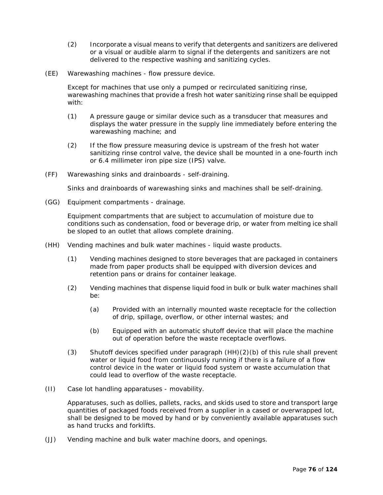- (2) Incorporate a visual means to verify that detergents and sanitizers are delivered or a visual or audible alarm to signal if the detergents and sanitizers are not delivered to the respective washing and sanitizing cycles.
- (EE) Warewashing machines flow pressure device.

Except for machines that use only a pumped or recirculated sanitizing rinse, warewashing machines that provide a fresh hot water sanitizing rinse shall be equipped with:

- (1) A pressure gauge or similar device such as a transducer that measures and displays the water pressure in the supply line immediately before entering the warewashing machine; and
- (2) If the flow pressure measuring device is upstream of the fresh hot water sanitizing rinse control valve, the device shall be mounted in a one-fourth inch or 6.4 millimeter iron pipe size (IPS) valve.
- (FF) Warewashing sinks and drainboards self-draining.

Sinks and drainboards of warewashing sinks and machines shall be self-draining.

(GG) Equipment compartments - drainage.

Equipment compartments that are subject to accumulation of moisture due to conditions such as condensation, food or beverage drip, or water from melting ice shall be sloped to an outlet that allows complete draining.

- (HH) Vending machines and bulk water machines liquid waste products.
	- (1) Vending machines designed to store beverages that are packaged in containers made from paper products shall be equipped with diversion devices and retention pans or drains for container leakage.
	- (2) Vending machines that dispense liquid food in bulk or bulk water machines shall be:
		- (a) Provided with an internally mounted waste receptacle for the collection of drip, spillage, overflow, or other internal wastes; and
		- (b) Equipped with an automatic shutoff device that will place the machine out of operation before the waste receptacle overflows.
	- (3) Shutoff devices specified under paragraph (HH)(2)(b) of this rule shall prevent water or liquid food from continuously running if there is a failure of a flow control device in the water or liquid food system or waste accumulation that could lead to overflow of the waste receptacle.
- (II) Case lot handling apparatuses movability.

Apparatuses, such as dollies, pallets, racks, and skids used to store and transport large quantities of packaged foods received from a supplier in a cased or overwrapped lot, shall be designed to be moved by hand or by conveniently available apparatuses such as hand trucks and forklifts.

(JJ) Vending machine and bulk water machine doors, and openings.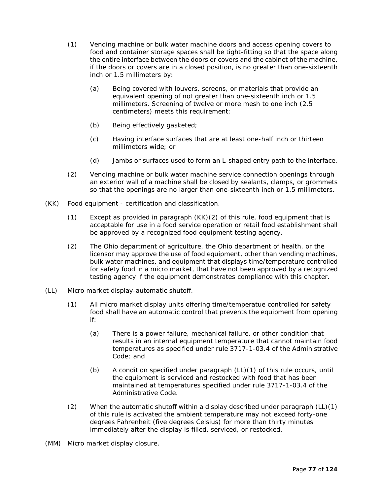- (1) Vending machine or bulk water machine doors and access opening covers to food and container storage spaces shall be tight-fitting so that the space along the entire interface between the doors or covers and the cabinet of the machine, if the doors or covers are in a closed position, is no greater than one-sixteenth inch or 1.5 millimeters by:
	- (a) Being covered with louvers, screens, or materials that provide an equivalent opening of not greater than one-sixteenth inch or 1.5 millimeters. Screening of twelve or more mesh to one inch (2.5 centimeters) meets this requirement;
	- (b) Being effectively gasketed;
	- (c) Having interface surfaces that are at least one-half inch or thirteen millimeters wide; or
	- (d) Jambs or surfaces used to form an L-shaped entry path to the interface.
- (2) Vending machine or bulk water machine service connection openings through an exterior wall of a machine shall be closed by sealants, clamps, or grommets so that the openings are no larger than one-sixteenth inch or 1.5 millimeters.
- (KK) Food equipment certification and classification.
	- (1) Except as provided in paragraph (KK)(2) of this rule, food equipment that is acceptable for use in a food service operation or retail food establishment shall be approved by a recognized food equipment testing agency.
	- (2) The Ohio department of agriculture, the Ohio department of health, or the licensor may approve the use of food equipment, other than vending machines, bulk water machines, and equipment that displays time/temperature controlled for safety food in a micro market, that have not been approved by a recognized testing agency if the equipment demonstrates compliance with this chapter.
- (LL) Micro market display-automatic shutoff.
	- (1) All micro market display units offering time/temperatue controlled for safety food shall have an automatic control that prevents the equipment from opening if:
		- (a) There is a power failure, mechanical failure, or other condition that results in an internal equipment temperature that cannot maintain food temperatures as specified under rule 3717-1-03.4 of the Administrative Code; and
		- (b) A condition specified under paragraph (LL)(1) of this rule occurs, until the equipment is serviced and restocked with food that has been maintained at temperatures specified under rule 3717-1-03.4 of the Administrative Code.
	- (2) When the automatic shutoff within a display described under paragraph (LL)(1) of this rule is activated the ambient temperature may not exceed forty-one degrees Fahrenheit (five degrees Celsius) for more than thirty minutes immediately after the display is filled, serviced, or restocked.
- (MM) Micro market display closure.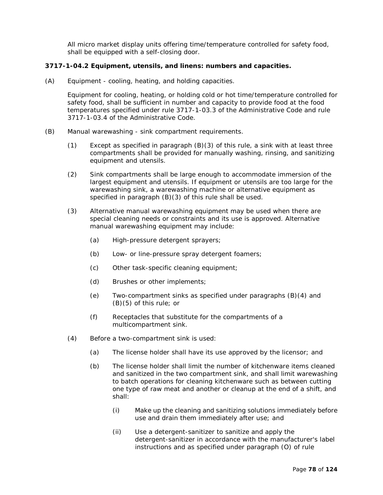All micro market display units offering time/temperature controlled for safety food, shall be equipped with a self-closing door.

## **3717-1-04.2 Equipment, utensils, and linens: numbers and capacities.**

(A) Equipment - cooling, heating, and holding capacities.

Equipment for cooling, heating, or holding cold or hot time/temperature controlled for safety food, shall be sufficient in number and capacity to provide food at the food temperatures specified under rule 3717-1-03.3 of the Administrative Code and rule 3717-1-03.4 of the Administrative Code.

- (B) Manual warewashing sink compartment requirements.
	- (1) Except as specified in paragraph (B)(3) of this rule, a sink with at least three compartments shall be provided for manually washing, rinsing, and sanitizing equipment and utensils.
	- (2) Sink compartments shall be large enough to accommodate immersion of the largest equipment and utensils. If equipment or utensils are too large for the warewashing sink, a warewashing machine or alternative equipment as specified in paragraph (B)(3) of this rule shall be used.
	- (3) Alternative manual warewashing equipment may be used when there are special cleaning needs or constraints and its use is approved. Alternative manual warewashing equipment may include:
		- (a) High-pressure detergent sprayers;
		- (b) Low- or line-pressure spray detergent foamers;
		- (c) Other task-specific cleaning equipment;
		- (d) Brushes or other implements;
		- (e) Two-compartment sinks as specified under paragraphs (B)(4) and (B)(5) of this rule; or
		- (f) Receptacles that substitute for the compartments of a multicompartment sink.
	- (4) Before a two-compartment sink is used:
		- (a) The license holder shall have its use approved by the licensor; and
		- (b) The license holder shall limit the number of kitchenware items cleaned and sanitized in the two compartment sink, and shall limit warewashing to batch operations for cleaning kitchenware such as between cutting one type of raw meat and another or cleanup at the end of a shift, and shall:
			- (i) Make up the cleaning and sanitizing solutions immediately before use and drain them immediately after use; and
			- (ii) Use a detergent-sanitizer to sanitize and apply the detergent-sanitizer in accordance with the manufacturer's label instructions and as specified under paragraph (O) of rule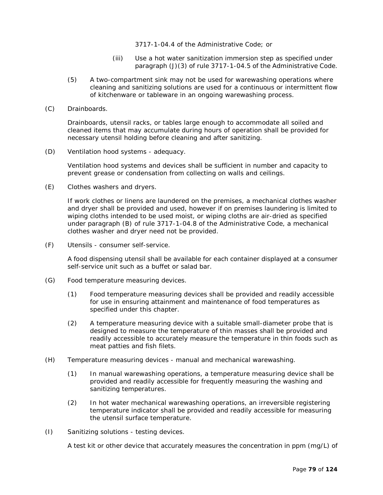3717-1-04.4 of the Administrative Code; or

- (iii) Use a hot water sanitization immersion step as specified under paragraph (J)(3) of rule 3717-1-04.5 of the Administrative Code.
- (5) A two-compartment sink may not be used for warewashing operations where cleaning and sanitizing solutions are used for a continuous or intermittent flow of kitchenware or tableware in an ongoing warewashing process.
- (C) Drainboards.

Drainboards, utensil racks, or tables large enough to accommodate all soiled and cleaned items that may accumulate during hours of operation shall be provided for necessary utensil holding before cleaning and after sanitizing.

(D) Ventilation hood systems - adequacy.

Ventilation hood systems and devices shall be sufficient in number and capacity to prevent grease or condensation from collecting on walls and ceilings.

(E) Clothes washers and dryers.

If work clothes or linens are laundered on the premises, a mechanical clothes washer and dryer shall be provided and used, however if on premises laundering is limited to wiping cloths intended to be used moist, or wiping cloths are air-dried as specified under paragraph (B) of rule 3717-1-04.8 of the Administrative Code, a mechanical clothes washer and dryer need not be provided.

(F) Utensils - consumer self-service.

A food dispensing utensil shall be available for each container displayed at a consumer self-service unit such as a buffet or salad bar.

- (G) Food temperature measuring devices.
	- (1) Food temperature measuring devices shall be provided and readily accessible for use in ensuring attainment and maintenance of food temperatures as specified under this chapter.
	- (2) A temperature measuring device with a suitable small-diameter probe that is designed to measure the temperature of thin masses shall be provided and readily accessible to accurately measure the temperature in thin foods such as meat patties and fish filets.
- (H) Temperature measuring devices manual and mechanical warewashing.
	- (1) In manual warewashing operations, a temperature measuring device shall be provided and readily accessible for frequently measuring the washing and sanitizing temperatures.
	- (2) In hot water mechanical warewashing operations, an irreversible registering temperature indicator shall be provided and readily accessible for measuring the utensil surface temperature.
- (I) Sanitizing solutions testing devices.

A test kit or other device that accurately measures the concentration in ppm (mg/L) of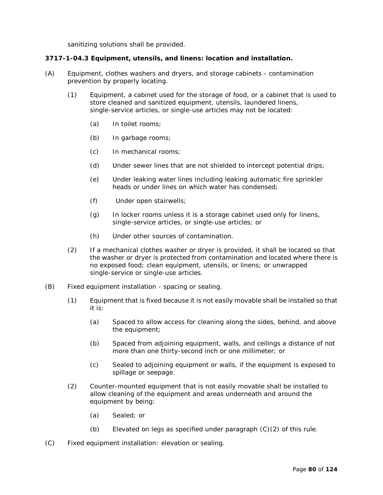sanitizing solutions shall be provided.

## **3717-1-04.3 Equipment, utensils, and linens: location and installation.**

- (A) Equipment, clothes washers and dryers, and storage cabinets contamination prevention by properly locating.
	- (1) Equipment, a cabinet used for the storage of food, or a cabinet that is used to store cleaned and sanitized equipment, utensils, laundered linens, single-service articles, or single-use articles may not be located:
		- (a) In toilet rooms;
		- (b) In garbage rooms;
		- (c) In mechanical rooms;
		- (d) Under sewer lines that are not shielded to intercept potential drips;
		- (e) Under leaking water lines including leaking automatic fire sprinkler heads or under lines on which water has condensed;
		- (f) Under open stairwells;
		- (g) In locker rooms unless it is a storage cabinet used only for linens, single-service articles, or single-use articles; or
		- (h) Under other sources of contamination.
	- (2) If a mechanical clothes washer or dryer is provided, it shall be located so that the washer or dryer is protected from contamination and located where there is no exposed food; clean equipment, utensils, or linens; or unwrapped single-service or single-use articles.
- (B) Fixed equipment installation spacing or sealing.
	- (1) Equipment that is fixed because it is not easily movable shall be installed so that it is:
		- (a) Spaced to allow access for cleaning along the sides, behind, and above the equipment;
		- (b) Spaced from adjoining equipment, walls, and ceilings a distance of not more than one thirty-second inch or one millimeter; or
		- (c) Sealed to adjoining equipment or walls, if the equipment is exposed to spillage or seepage.
	- (2) Counter-mounted equipment that is not easily movable shall be installed to allow cleaning of the equipment and areas underneath and around the equipment by being:
		- (a) Sealed; or
		- (b) Elevated on legs as specified under paragraph (C)(2) of this rule.
- (C) Fixed equipment installation: elevation or sealing.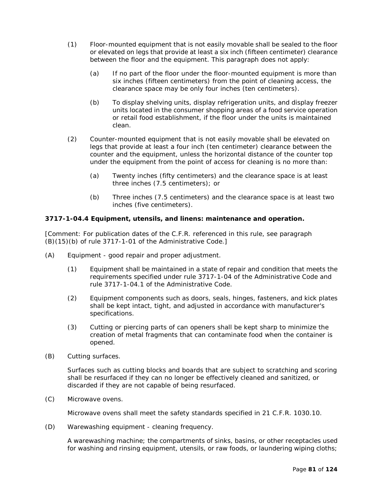- (1) Floor-mounted equipment that is not easily movable shall be sealed to the floor or elevated on legs that provide at least a six inch (fifteen centimeter) clearance between the floor and the equipment. This paragraph does not apply:
	- (a) If no part of the floor under the floor-mounted equipment is more than six inches (fifteen centimeters) from the point of cleaning access, the clearance space may be only four inches (ten centimeters).
	- (b) To display shelving units, display refrigeration units, and display freezer units located in the consumer shopping areas of a food service operation or retail food establishment, if the floor under the units is maintained clean.
- (2) Counter-mounted equipment that is not easily movable shall be elevated on legs that provide at least a four inch (ten centimeter) clearance between the counter and the equipment, unless the horizontal distance of the counter top under the equipment from the point of access for cleaning is no more than:
	- (a) Twenty inches (fifty centimeters) and the clearance space is at least three inches (7.5 centimeters); or
	- (b) Three inches (7.5 centimeters) and the clearance space is at least two inches (five centimeters).

# **3717-1-04.4 Equipment, utensils, and linens: maintenance and operation.**

[Comment: For publication dates of the C.F.R. referenced in this rule, see paragraph (B)(15)(b) of rule 3717-1-01 of the Administrative Code.]

- (A) Equipment good repair and proper adjustment.
	- (1) Equipment shall be maintained in a state of repair and condition that meets the requirements specified under rule 3717-1-04 of the Administrative Code and rule 3717-1-04.1 of the Administrative Code.
	- (2) Equipment components such as doors, seals, hinges, fasteners, and kick plates shall be kept intact, tight, and adjusted in accordance with manufacturer's specifications.
	- (3) Cutting or piercing parts of can openers shall be kept sharp to minimize the creation of metal fragments that can contaminate food when the container is opened.
- (B) Cutting surfaces.

Surfaces such as cutting blocks and boards that are subject to scratching and scoring shall be resurfaced if they can no longer be effectively cleaned and sanitized, or discarded if they are not capable of being resurfaced.

(C) Microwave ovens.

Microwave ovens shall meet the safety standards specified in 21 C.F.R. 1030.10.

(D) Warewashing equipment - cleaning frequency.

A warewashing machine; the compartments of sinks, basins, or other receptacles used for washing and rinsing equipment, utensils, or raw foods, or laundering wiping cloths;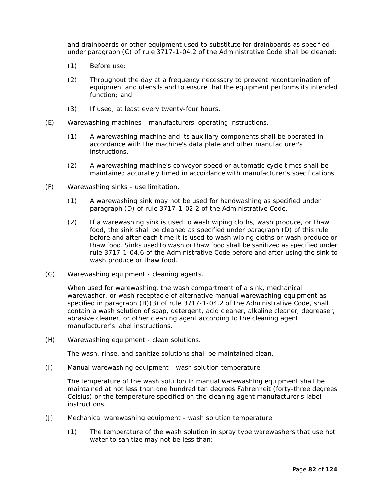and drainboards or other equipment used to substitute for drainboards as specified under paragraph (C) of rule 3717-1-04.2 of the Administrative Code shall be cleaned:

- (1) Before use;
- (2) Throughout the day at a frequency necessary to prevent recontamination of equipment and utensils and to ensure that the equipment performs its intended function; and
- (3) If used, at least every twenty-four hours.
- (E) Warewashing machines manufacturers' operating instructions.
	- (1) A warewashing machine and its auxiliary components shall be operated in accordance with the machine's data plate and other manufacturer's instructions.
	- (2) A warewashing machine's conveyor speed or automatic cycle times shall be maintained accurately timed in accordance with manufacturer's specifications.
- (F) Warewashing sinks use limitation.
	- (1) A warewashing sink may not be used for handwashing as specified under paragraph (D) of rule 3717-1-02.2 of the Administrative Code.
	- (2) If a warewashing sink is used to wash wiping cloths, wash produce, or thaw food, the sink shall be cleaned as specified under paragraph (D) of this rule before and after each time it is used to wash wiping cloths or wash produce or thaw food. Sinks used to wash or thaw food shall be sanitized as specified under rule 3717-1-04.6 of the Administrative Code before and after using the sink to wash produce or thaw food.
- (G) Warewashing equipment cleaning agents.

When used for warewashing, the wash compartment of a sink, mechanical warewasher, or wash receptacle of alternative manual warewashing equipment as specified in paragraph (B)(3) of rule 3717-1-04.2 of the Administrative Code, shall contain a wash solution of soap, detergent, acid cleaner, alkaline cleaner, degreaser, abrasive cleaner, or other cleaning agent according to the cleaning agent manufacturer's label instructions.

(H) Warewashing equipment - clean solutions.

The wash, rinse, and sanitize solutions shall be maintained clean.

(I) Manual warewashing equipment - wash solution temperature.

The temperature of the wash solution in manual warewashing equipment shall be maintained at not less than one hundred ten degrees Fahrenheit (forty-three degrees Celsius) or the temperature specified on the cleaning agent manufacturer's label instructions.

- (J) Mechanical warewashing equipment wash solution temperature.
	- (1) The temperature of the wash solution in spray type warewashers that use hot water to sanitize may not be less than: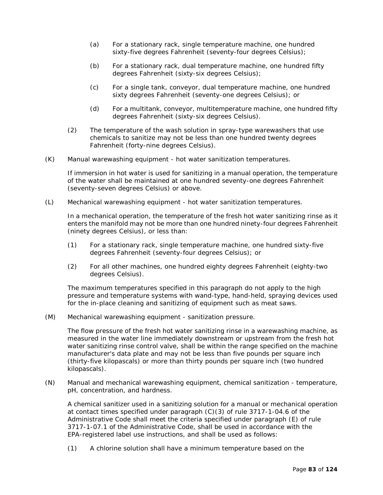- (a) For a stationary rack, single temperature machine, one hundred sixty-five degrees Fahrenheit (seventy-four degrees Celsius);
- (b) For a stationary rack, dual temperature machine, one hundred fifty degrees Fahrenheit (sixty-six degrees Celsius);
- (c) For a single tank, conveyor, dual temperature machine, one hundred sixty degrees Fahrenheit (seventy-one degrees Celsius); or
- (d) For a multitank, conveyor, multitemperature machine, one hundred fifty degrees Fahrenheit (sixty-six degrees Celsius).
- (2) The temperature of the wash solution in spray-type warewashers that use chemicals to sanitize may not be less than one hundred twenty degrees Fahrenheit (forty-nine degrees Celsius).
- (K) Manual warewashing equipment hot water sanitization temperatures.

If immersion in hot water is used for sanitizing in a manual operation, the temperature of the water shall be maintained at one hundred seventy-one degrees Fahrenheit (seventy-seven degrees Celsius) or above.

(L) Mechanical warewashing equipment - hot water sanitization temperatures.

In a mechanical operation, the temperature of the fresh hot water sanitizing rinse as it enters the manifold may not be more than one hundred ninety-four degrees Fahrenheit (ninety degrees Celsius), or less than:

- (1) For a stationary rack, single temperature machine, one hundred sixty-five degrees Fahrenheit (seventy-four degrees Celsius); or
- (2) For all other machines, one hundred eighty degrees Fahrenheit (eighty-two degrees Celsius).

The maximum temperatures specified in this paragraph do not apply to the high pressure and temperature systems with wand-type, hand-held, spraying devices used for the in-place cleaning and sanitizing of equipment such as meat saws.

(M) Mechanical warewashing equipment - sanitization pressure.

The flow pressure of the fresh hot water sanitizing rinse in a warewashing machine, as measured in the water line immediately downstream or upstream from the fresh hot water sanitizing rinse control valve, shall be within the range specified on the machine manufacturer's data plate and may not be less than five pounds per square inch (thirty-five kilopascals) or more than thirty pounds per square inch (two hundred kilopascals).

(N) Manual and mechanical warewashing equipment, chemical sanitization - temperature, pH, concentration, and hardness.

A chemical sanitizer used in a sanitizing solution for a manual or mechanical operation at contact times specified under paragraph (C)(3) of rule 3717-1-04.6 of the Administrative Code shall meet the criteria specified under paragraph (E) of rule 3717-1-07.1 of the Administrative Code, shall be used in accordance with the EPA-registered label use instructions, and shall be used as follows:

(1) A chlorine solution shall have a minimum temperature based on the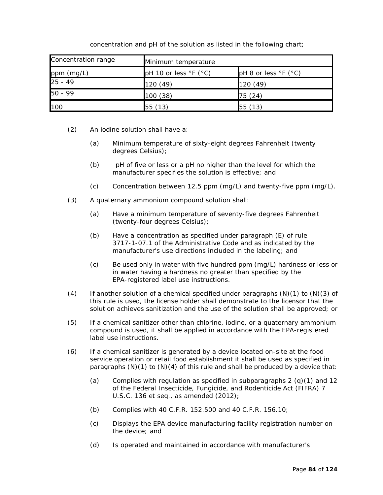| Concentration range | Minimum temperature                      |                                         |
|---------------------|------------------------------------------|-----------------------------------------|
| ppm (mg/L)          | pH 10 or less $\degree$ F ( $\degree$ C) | pH 8 or less $\degree$ F ( $\degree$ C) |
| $25 - 49$           | 120 (49)                                 | 120 (49)                                |
| $50 - 99$           | 100 (38)                                 | 75 (24)                                 |
| 100                 | 55 (13)                                  | 55 (13)                                 |

- (2) An iodine solution shall have a:
	- (a) Minimum temperature of sixty-eight degrees Fahrenheit (twenty degrees Celsius);
	- (b) pH of five or less or a pH no higher than the level for which the manufacturer specifies the solution is effective; and
	- (c) Concentration between 12.5 ppm (mg/L) and twenty-five ppm (mg/L).
- (3) A quaternary ammonium compound solution shall:
	- (a) Have a minimum temperature of seventy-five degrees Fahrenheit (twenty-four degrees Celsius);
	- (b) Have a concentration as specified under paragraph (E) of rule 3717-1-07.1 of the Administrative Code and as indicated by the manufacturer's use directions included in the labeling; and
	- (c) Be used only in water with five hundred ppm (mg/L) hardness or less or in water having a hardness no greater than specified by the EPA-registered label use instructions.
- (4) If another solution of a chemical specified under paragraphs  $(N)(1)$  to  $(N)(3)$  of this rule is used, the license holder shall demonstrate to the licensor that the solution achieves sanitization and the use of the solution shall be approved; or
- (5) If a chemical sanitizer other than chlorine, iodine, or a quaternary ammonium compound is used, it shall be applied in accordance with the EPA-registered label use instructions.
- (6) If a chemical sanitizer is generated by a device located on-site at the food service operation or retail food establishment it shall be used as specified in paragraphs  $(N)(1)$  to  $(N)(4)$  of this rule and shall be produced by a device that:
	- (a) Complies with regulation as specified in subparagraphs  $2$  (q)(1) and 12 of the Federal Insecticide, Fungicide, and Rodenticide Act (FIFRA) 7 U.S.C. 136 et seq., as amended (2012);
	- (b) Complies with 40 C.F.R. 152.500 and 40 C.F.R. 156.10;
	- (c) Displays the EPA device manufacturing facility registration number on the device; and
	- (d) Is operated and maintained in accordance with manufacturer's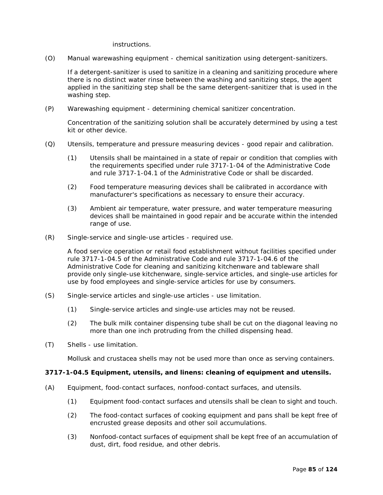#### instructions.

(O) Manual warewashing equipment - chemical sanitization using detergent-sanitizers.

If a detergent-sanitizer is used to sanitize in a cleaning and sanitizing procedure where there is no distinct water rinse between the washing and sanitizing steps, the agent applied in the sanitizing step shall be the same detergent-sanitizer that is used in the washing step.

(P) Warewashing equipment - determining chemical sanitizer concentration.

Concentration of the sanitizing solution shall be accurately determined by using a test kit or other device.

- (Q) Utensils, temperature and pressure measuring devices good repair and calibration.
	- (1) Utensils shall be maintained in a state of repair or condition that complies with the requirements specified under rule 3717-1-04 of the Administrative Code and rule 3717-1-04.1 of the Administrative Code or shall be discarded.
	- (2) Food temperature measuring devices shall be calibrated in accordance with manufacturer's specifications as necessary to ensure their accuracy.
	- (3) Ambient air temperature, water pressure, and water temperature measuring devices shall be maintained in good repair and be accurate within the intended range of use.
- (R) Single-service and single-use articles required use.

A food service operation or retail food establishment without facilities specified under rule 3717-1-04.5 of the Administrative Code and rule 3717-1-04.6 of the Administrative Code for cleaning and sanitizing kitchenware and tableware shall provide only single-use kitchenware, single-service articles, and single-use articles for use by food employees and single-service articles for use by consumers.

- (S) Single-service articles and single-use articles use limitation.
	- (1) Single-service articles and single-use articles may not be reused.
	- (2) The bulk milk container dispensing tube shall be cut on the diagonal leaving no more than one inch protruding from the chilled dispensing head.
- (T) Shells use limitation.

Mollusk and crustacea shells may not be used more than once as serving containers.

### **3717-1-04.5 Equipment, utensils, and linens: cleaning of equipment and utensils.**

- (A) Equipment, food-contact surfaces, nonfood-contact surfaces, and utensils.
	- (1) Equipment food-contact surfaces and utensils shall be clean to sight and touch.
	- (2) The food-contact surfaces of cooking equipment and pans shall be kept free of encrusted grease deposits and other soil accumulations.
	- (3) Nonfood-contact surfaces of equipment shall be kept free of an accumulation of dust, dirt, food residue, and other debris.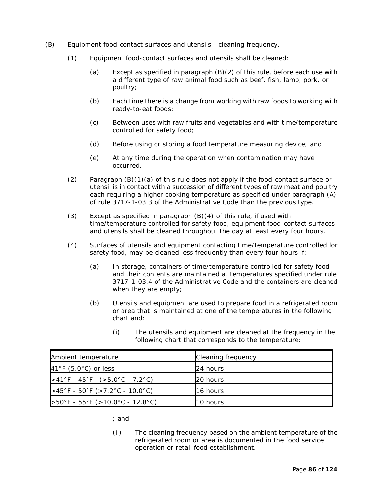- (B) Equipment food-contact surfaces and utensils cleaning frequency.
	- (1) Equipment food-contact surfaces and utensils shall be cleaned:
		- (a) Except as specified in paragraph (B)(2) of this rule, before each use with a different type of raw animal food such as beef, fish, lamb, pork, or poultry;
		- (b) Each time there is a change from working with raw foods to working with ready-to-eat foods;
		- (c) Between uses with raw fruits and vegetables and with time/temperature controlled for safety food;
		- (d) Before using or storing a food temperature measuring device; and
		- (e) At any time during the operation when contamination may have occurred.
	- (2) Paragraph (B)(1)(a) of this rule does not apply if the food-contact surface or utensil is in contact with a succession of different types of raw meat and poultry each requiring a higher cooking temperature as specified under paragraph (A) of rule 3717-1-03.3 of the Administrative Code than the previous type.
	- (3) Except as specified in paragraph (B)(4) of this rule, if used with time/temperature controlled for safety food, equipment food-contact surfaces and utensils shall be cleaned throughout the day at least every four hours.
	- (4) Surfaces of utensils and equipment contacting time/temperature controlled for safety food, may be cleaned less frequently than every four hours if:
		- (a) In storage, containers of time/temperature controlled for safety food and their contents are maintained at temperatures specified under rule 3717-1-03.4 of the Administrative Code and the containers are cleaned when they are empty;
		- (b) Utensils and equipment are used to prepare food in a refrigerated room or area that is maintained at one of the temperatures in the following chart and:
			- (i) The utensils and equipment are cleaned at the frequency in the following chart that corresponds to the temperature:

| Ambient temperature                                                       | Cleaning frequency |
|---------------------------------------------------------------------------|--------------------|
| 41°F (5.0°C) or less                                                      | 24 hours           |
| $>41^{\circ}F - 45^{\circ}F$ ( $>5.0^{\circ}C - 7.2^{\circ}C$ )           | 20 hours           |
| $>45^{\circ}$ F - 50 $^{\circ}$ F ( $>7.2^{\circ}$ C - 10.0 $^{\circ}$ C) | 16 hours           |
| $>50^{\circ}$ F - 55°F ( $>10.0^{\circ}$ C - 12.8°C)                      | 10 hours           |

; and

(ii) The cleaning frequency based on the ambient temperature of the refrigerated room or area is documented in the food service operation or retail food establishment.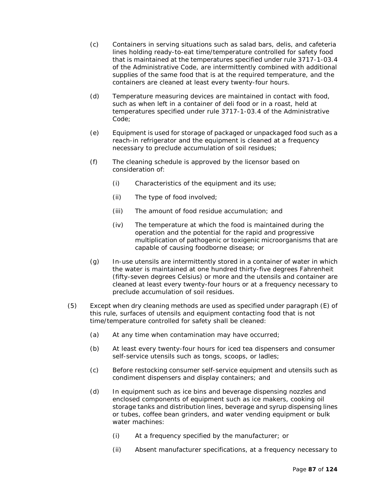- (c) Containers in serving situations such as salad bars, delis, and cafeteria lines holding ready-to-eat time/temperature controlled for safety food that is maintained at the temperatures specified under rule 3717-1-03.4 of the Administrative Code, are intermittently combined with additional supplies of the same food that is at the required temperature, and the containers are cleaned at least every twenty-four hours.
- (d) Temperature measuring devices are maintained in contact with food, such as when left in a container of deli food or in a roast, held at temperatures specified under rule 3717-1-03.4 of the Administrative Code;
- (e) Equipment is used for storage of packaged or unpackaged food such as a reach-in refrigerator and the equipment is cleaned at a frequency necessary to preclude accumulation of soil residues;
- (f) The cleaning schedule is approved by the licensor based on consideration of:
	- (i) Characteristics of the equipment and its use;
	- (ii) The type of food involved;
	- (iii) The amount of food residue accumulation; and
	- (iv) The temperature at which the food is maintained during the operation and the potential for the rapid and progressive multiplication of pathogenic or toxigenic microorganisms that are capable of causing foodborne disease; or
- (g) In-use utensils are intermittently stored in a container of water in which the water is maintained at one hundred thirty-five degrees Fahrenheit (fifty-seven degrees Celsius) or more and the utensils and container are cleaned at least every twenty-four hours or at a frequency necessary to preclude accumulation of soil residues.
- (5) Except when dry cleaning methods are used as specified under paragraph (E) of this rule, surfaces of utensils and equipment contacting food that is not time/temperature controlled for safety shall be cleaned:
	- (a) At any time when contamination may have occurred;
	- (b) At least every twenty-four hours for iced tea dispensers and consumer self-service utensils such as tongs, scoops, or ladles;
	- (c) Before restocking consumer self-service equipment and utensils such as condiment dispensers and display containers; and
	- (d) In equipment such as ice bins and beverage dispensing nozzles and enclosed components of equipment such as ice makers, cooking oil storage tanks and distribution lines, beverage and syrup dispensing lines or tubes, coffee bean grinders, and water vending equipment or bulk water machines:
		- (i) At a frequency specified by the manufacturer; or
		- (ii) Absent manufacturer specifications, at a frequency necessary to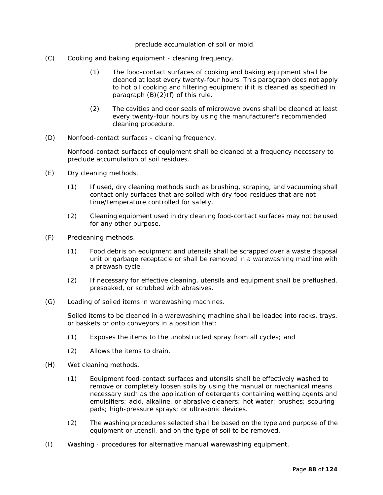preclude accumulation of soil or mold.

- (C) Cooking and baking equipment cleaning frequency.
	- (1) The food-contact surfaces of cooking and baking equipment shall be cleaned at least every twenty-four hours. This paragraph does not apply to hot oil cooking and filtering equipment if it is cleaned as specified in paragraph (B)(2)(f) of this rule.
	- (2) The cavities and door seals of microwave ovens shall be cleaned at least every twenty-four hours by using the manufacturer's recommended cleaning procedure.
- (D) Nonfood-contact surfaces cleaning frequency.

Nonfood-contact surfaces of equipment shall be cleaned at a frequency necessary to preclude accumulation of soil residues.

- (E) Dry cleaning methods.
	- (1) If used, dry cleaning methods such as brushing, scraping, and vacuuming shall contact only surfaces that are soiled with dry food residues that are not time/temperature controlled for safety.
	- (2) Cleaning equipment used in dry cleaning food-contact surfaces may not be used for any other purpose.
- (F) Precleaning methods.
	- (1) Food debris on equipment and utensils shall be scrapped over a waste disposal unit or garbage receptacle or shall be removed in a warewashing machine with a prewash cycle.
	- (2) If necessary for effective cleaning, utensils and equipment shall be preflushed, presoaked, or scrubbed with abrasives.
- (G) Loading of soiled items in warewashing machines.

Soiled items to be cleaned in a warewashing machine shall be loaded into racks, trays, or baskets or onto conveyors in a position that:

- (1) Exposes the items to the unobstructed spray from all cycles; and
- (2) Allows the items to drain.
- (H) Wet cleaning methods.
	- (1) Equipment food-contact surfaces and utensils shall be effectively washed to remove or completely loosen soils by using the manual or mechanical means necessary such as the application of detergents containing wetting agents and emulsifiers; acid, alkaline, or abrasive cleaners; hot water; brushes; scouring pads; high-pressure sprays; or ultrasonic devices.
	- (2) The washing procedures selected shall be based on the type and purpose of the equipment or utensil, and on the type of soil to be removed.
- (I) Washing procedures for alternative manual warewashing equipment.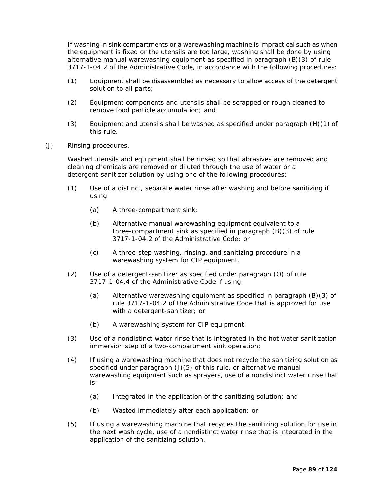If washing in sink compartments or a warewashing machine is impractical such as when the equipment is fixed or the utensils are too large, washing shall be done by using alternative manual warewashing equipment as specified in paragraph (B)(3) of rule 3717-1-04.2 of the Administrative Code, in accordance with the following procedures:

- (1) Equipment shall be disassembled as necessary to allow access of the detergent solution to all parts;
- (2) Equipment components and utensils shall be scrapped or rough cleaned to remove food particle accumulation; and
- (3) Equipment and utensils shall be washed as specified under paragraph (H)(1) of this rule.
- (J) Rinsing procedures.

Washed utensils and equipment shall be rinsed so that abrasives are removed and cleaning chemicals are removed or diluted through the use of water or a detergent-sanitizer solution by using one of the following procedures:

- (1) Use of a distinct, separate water rinse after washing and before sanitizing if using:
	- (a) A three-compartment sink;
	- (b) Alternative manual warewashing equipment equivalent to a three-compartment sink as specified in paragraph (B)(3) of rule 3717-1-04.2 of the Administrative Code; or
	- (c) A three-step washing, rinsing, and sanitizing procedure in a warewashing system for CIP equipment.
- (2) Use of a detergent-sanitizer as specified under paragraph (O) of rule 3717-1-04.4 of the Administrative Code if using:
	- (a) Alternative warewashing equipment as specified in paragraph (B)(3) of rule 3717-1-04.2 of the Administrative Code that is approved for use with a detergent-sanitizer; or
	- (b) A warewashing system for CIP equipment.
- (3) Use of a nondistinct water rinse that is integrated in the hot water sanitization immersion step of a two-compartment sink operation;
- (4) If using a warewashing machine that does not recycle the sanitizing solution as specified under paragraph (J)(5) of this rule, or alternative manual warewashing equipment such as sprayers, use of a nondistinct water rinse that is:
	- (a) Integrated in the application of the sanitizing solution; and
	- (b) Wasted immediately after each application; or
- (5) If using a warewashing machine that recycles the sanitizing solution for use in the next wash cycle, use of a nondistinct water rinse that is integrated in the application of the sanitizing solution.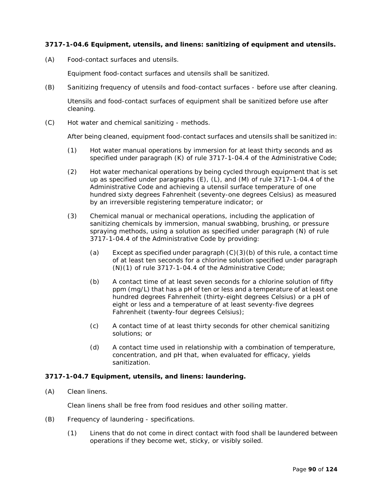## **3717-1-04.6 Equipment, utensils, and linens: sanitizing of equipment and utensils.**

(A) Food-contact surfaces and utensils.

Equipment food-contact surfaces and utensils shall be sanitized.

(B) Sanitizing frequency of utensils and food-contact surfaces - before use after cleaning.

Utensils and food-contact surfaces of equipment shall be sanitized before use after cleaning.

(C) Hot water and chemical sanitizing - methods.

After being cleaned, equipment food-contact surfaces and utensils shall be sanitized in:

- (1) Hot water manual operations by immersion for at least thirty seconds and as specified under paragraph (K) of rule 3717-1-04.4 of the Administrative Code;
- (2) Hot water mechanical operations by being cycled through equipment that is set up as specified under paragraphs (E), (L), and (M) of rule 3717-1-04.4 of the Administrative Code and achieving a utensil surface temperature of one hundred sixty degrees Fahrenheit (seventy-one degrees Celsius) as measured by an irreversible registering temperature indicator; or
- (3) Chemical manual or mechanical operations, including the application of sanitizing chemicals by immersion, manual swabbing, brushing, or pressure spraying methods, using a solution as specified under paragraph (N) of rule 3717-1-04.4 of the Administrative Code by providing:
	- (a) Except as specified under paragraph  $(C)(3)(b)$  of this rule, a contact time of at least ten seconds for a chlorine solution specified under paragraph (N)(1) of rule 3717-1-04.4 of the Administrative Code;
	- (b) A contact time of at least seven seconds for a chlorine solution of fifty ppm (mg/L) that has a pH of ten or less and a temperature of at least one hundred degrees Fahrenheit (thirty-eight degrees Celsius) or a pH of eight or less and a temperature of at least seventy-five degrees Fahrenheit (twenty-four degrees Celsius);
	- (c) A contact time of at least thirty seconds for other chemical sanitizing solutions; or
	- (d) A contact time used in relationship with a combination of temperature, concentration, and pH that, when evaluated for efficacy, yields sanitization.

### **3717-1-04.7 Equipment, utensils, and linens: laundering.**

(A) Clean linens.

Clean linens shall be free from food residues and other soiling matter.

- (B) Frequency of laundering specifications.
	- (1) Linens that do not come in direct contact with food shall be laundered between operations if they become wet, sticky, or visibly soiled.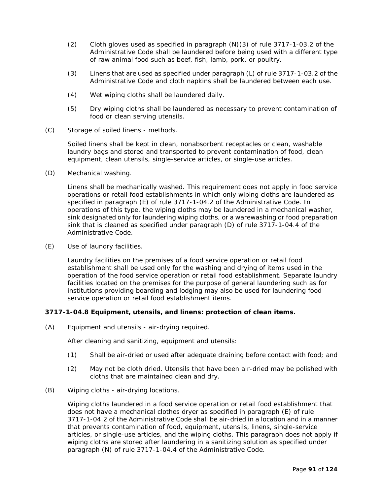- (2) Cloth gloves used as specified in paragraph (N)(3) of rule 3717-1-03.2 of the Administrative Code shall be laundered before being used with a different type of raw animal food such as beef, fish, lamb, pork, or poultry.
- (3) Linens that are used as specified under paragraph (L) of rule 3717-1-03.2 of the Administrative Code and cloth napkins shall be laundered between each use.
- (4) Wet wiping cloths shall be laundered daily.
- (5) Dry wiping cloths shall be laundered as necessary to prevent contamination of food or clean serving utensils.
- (C) Storage of soiled linens methods.

Soiled linens shall be kept in clean, nonabsorbent receptacles or clean, washable laundry bags and stored and transported to prevent contamination of food, clean equipment, clean utensils, single-service articles, or single-use articles.

(D) Mechanical washing.

Linens shall be mechanically washed. This requirement does not apply in food service operations or retail food establishments in which only wiping cloths are laundered as specified in paragraph (E) of rule 3717-1-04.2 of the Administrative Code. In operations of this type, the wiping cloths may be laundered in a mechanical washer, sink designated only for laundering wiping cloths, or a warewashing or food preparation sink that is cleaned as specified under paragraph (D) of rule 3717-1-04.4 of the Administrative Code.

(E) Use of laundry facilities.

Laundry facilities on the premises of a food service operation or retail food establishment shall be used only for the washing and drying of items used in the operation of the food service operation or retail food establishment. Separate laundry facilities located on the premises for the purpose of general laundering such as for institutions providing boarding and lodging may also be used for laundering food service operation or retail food establishment items.

### **3717-1-04.8 Equipment, utensils, and linens: protection of clean items.**

(A) Equipment and utensils - air-drying required.

After cleaning and sanitizing, equipment and utensils:

- (1) Shall be air-dried or used after adequate draining before contact with food; and
- (2) May not be cloth dried. Utensils that have been air-dried may be polished with cloths that are maintained clean and dry.
- (B) Wiping cloths air-drying locations.

Wiping cloths laundered in a food service operation or retail food establishment that does not have a mechanical clothes dryer as specified in paragraph (E) of rule 3717-1-04.2 of the Administrative Code shall be air-dried in a location and in a manner that prevents contamination of food, equipment, utensils, linens, single-service articles, or single-use articles, and the wiping cloths. This paragraph does not apply if wiping cloths are stored after laundering in a sanitizing solution as specified under paragraph (N) of rule 3717-1-04.4 of the Administrative Code.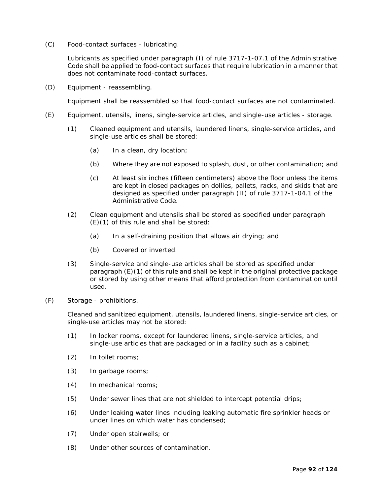(C) Food-contact surfaces - lubricating.

Lubricants as specified under paragraph (I) of rule 3717-1-07.1 of the Administrative Code shall be applied to food-contact surfaces that require lubrication in a manner that does not contaminate food-contact surfaces.

(D) Equipment - reassembling.

Equipment shall be reassembled so that food-contact surfaces are not contaminated.

- (E) Equipment, utensils, linens, single-service articles, and single-use articles storage.
	- (1) Cleaned equipment and utensils, laundered linens, single-service articles, and single-use articles shall be stored:
		- (a) In a clean, dry location;
		- (b) Where they are not exposed to splash, dust, or other contamination; and
		- (c) At least six inches (fifteen centimeters) above the floor unless the items are kept in closed packages on dollies, pallets, racks, and skids that are designed as specified under paragraph (II) of rule 3717-1-04.1 of the Administrative Code.
	- (2) Clean equipment and utensils shall be stored as specified under paragraph (E)(1) of this rule and shall be stored:
		- (a) In a self-draining position that allows air drying; and
		- (b) Covered or inverted.
	- (3) Single-service and single-use articles shall be stored as specified under paragraph  $(E)(1)$  of this rule and shall be kept in the original protective package or stored by using other means that afford protection from contamination until used.
- (F) Storage prohibitions.

Cleaned and sanitized equipment, utensils, laundered linens, single-service articles, or single-use articles may not be stored:

- (1) In locker rooms, except for laundered linens, single-service articles, and single-use articles that are packaged or in a facility such as a cabinet;
- (2) In toilet rooms;
- (3) In garbage rooms;
- (4) In mechanical rooms;
- (5) Under sewer lines that are not shielded to intercept potential drips;
- (6) Under leaking water lines including leaking automatic fire sprinkler heads or under lines on which water has condensed;
- (7) Under open stairwells; or
- (8) Under other sources of contamination.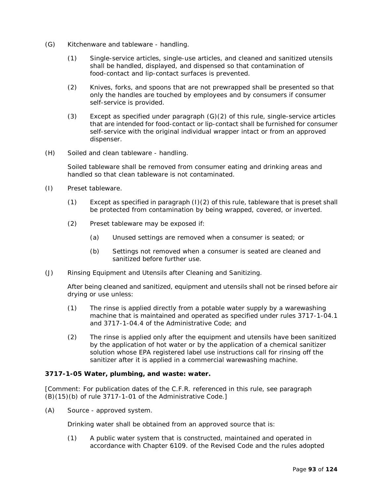- (G) Kitchenware and tableware handling.
	- (1) Single-service articles, single-use articles, and cleaned and sanitized utensils shall be handled, displayed, and dispensed so that contamination of food-contact and lip-contact surfaces is prevented.
	- (2) Knives, forks, and spoons that are not prewrapped shall be presented so that only the handles are touched by employees and by consumers if consumer self-service is provided.
	- (3) Except as specified under paragraph (G)(2) of this rule, single-service articles that are intended for food-contact or lip-contact shall be furnished for consumer self-service with the original individual wrapper intact or from an approved dispenser.
- (H) Soiled and clean tableware handling.

Soiled tableware shall be removed from consumer eating and drinking areas and handled so that clean tableware is not contaminated.

- (I) Preset tableware.
	- $(1)$  Except as specified in paragraph  $(1)(2)$  of this rule, tableware that is preset shall be protected from contamination by being wrapped, covered, or inverted.
	- (2) Preset tableware may be exposed if:
		- (a) Unused settings are removed when a consumer is seated; or
		- (b) Settings not removed when a consumer is seated are cleaned and sanitized before further use.
- (J) Rinsing Equipment and Utensils after Cleaning and Sanitizing.

After being cleaned and sanitized, equipment and utensils shall not be rinsed before air drying or use unless:

- (1) The rinse is applied directly from a potable water supply by a warewashing machine that is maintained and operated as specified under rules 3717-1-04.1 and 3717-1-04.4 of the Administrative Code; and
- (2) The rinse is applied only after the equipment and utensils have been sanitized by the application of hot water or by the application of a chemical sanitizer solution whose EPA registered label use instructions call for rinsing off the sanitizer after it is applied in a commercial warewashing machine.

## **3717-1-05 Water, plumbing, and waste: water.**

[Comment: For publication dates of the C.F.R. referenced in this rule, see paragraph (B)(15)(b) of rule 3717-1-01 of the Administrative Code.]

(A) Source - approved system.

Drinking water shall be obtained from an approved source that is:

(1) A public water system that is constructed, maintained and operated in accordance with Chapter 6109. of the Revised Code and the rules adopted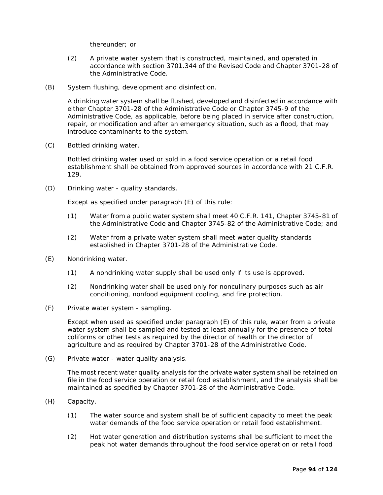thereunder; or

- (2) A private water system that is constructed, maintained, and operated in accordance with section 3701.344 of the Revised Code and Chapter 3701-28 of the Administrative Code.
- (B) System flushing, development and disinfection.

A drinking water system shall be flushed, developed and disinfected in accordance with either Chapter 3701-28 of the Administrative Code or Chapter 3745-9 of the Administrative Code, as applicable, before being placed in service after construction, repair, or modification and after an emergency situation, such as a flood, that may introduce contaminants to the system.

(C) Bottled drinking water.

Bottled drinking water used or sold in a food service operation or a retail food establishment shall be obtained from approved sources in accordance with 21 C.F.R. 129.

(D) Drinking water - quality standards.

Except as specified under paragraph (E) of this rule:

- (1) Water from a public water system shall meet 40 C.F.R. 141, Chapter 3745-81 of the Administrative Code and Chapter 3745-82 of the Administrative Code; and
- (2) Water from a private water system shall meet water quality standards established in Chapter 3701-28 of the Administrative Code.
- (E) Nondrinking water.
	- (1) A nondrinking water supply shall be used only if its use is approved.
	- (2) Nondrinking water shall be used only for nonculinary purposes such as air conditioning, nonfood equipment cooling, and fire protection.
- (F) Private water system sampling.

Except when used as specified under paragraph (E) of this rule, water from a private water system shall be sampled and tested at least annually for the presence of total coliforms or other tests as required by the director of health or the director of agriculture and as required by Chapter 3701-28 of the Administrative Code.

(G) Private water - water quality analysis.

The most recent water quality analysis for the private water system shall be retained on file in the food service operation or retail food establishment, and the analysis shall be maintained as specified by Chapter 3701-28 of the Administrative Code.

- (H) Capacity.
	- (1) The water source and system shall be of sufficient capacity to meet the peak water demands of the food service operation or retail food establishment.
	- (2) Hot water generation and distribution systems shall be sufficient to meet the peak hot water demands throughout the food service operation or retail food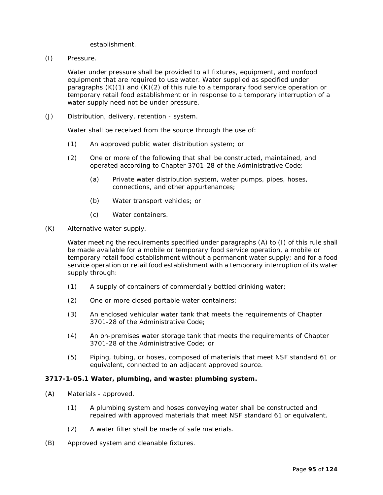establishment.

(I) Pressure.

Water under pressure shall be provided to all fixtures, equipment, and nonfood equipment that are required to use water. Water supplied as specified under paragraphs (K)(1) and (K)(2) of this rule to a temporary food service operation or temporary retail food establishment or in response to a temporary interruption of a water supply need not be under pressure.

(J) Distribution, delivery, retention - system.

Water shall be received from the source through the use of:

- (1) An approved public water distribution system; or
- (2) One or more of the following that shall be constructed, maintained, and operated according to Chapter 3701-28 of the Administrative Code:
	- (a) Private water distribution system, water pumps, pipes, hoses, connections, and other appurtenances;
	- (b) Water transport vehicles; or
	- (c) Water containers.
- (K) Alternative water supply.

Water meeting the requirements specified under paragraphs (A) to (I) of this rule shall be made available for a mobile or temporary food service operation, a mobile or temporary retail food establishment without a permanent water supply; and for a food service operation or retail food establishment with a temporary interruption of its water supply through:

- (1) A supply of containers of commercially bottled drinking water;
- (2) One or more closed portable water containers;
- (3) An enclosed vehicular water tank that meets the requirements of Chapter 3701-28 of the Administrative Code;
- (4) An on-premises water storage tank that meets the requirements of Chapter 3701-28 of the Administrative Code; or
- (5) Piping, tubing, or hoses, composed of materials that meet NSF standard 61 or equivalent, connected to an adjacent approved source.

### **3717-1-05.1 Water, plumbing, and waste: plumbing system.**

- (A) Materials approved.
	- (1) A plumbing system and hoses conveying water shall be constructed and repaired with approved materials that meet NSF standard 61 or equivalent.
	- (2) A water filter shall be made of safe materials.
- (B) Approved system and cleanable fixtures.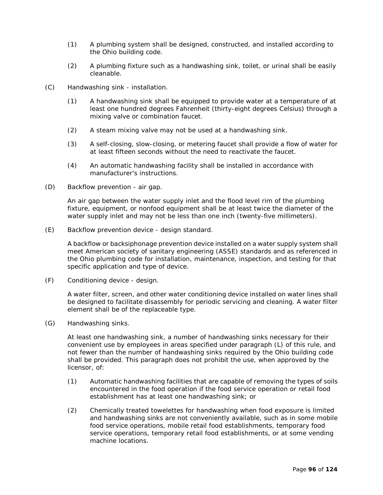- (1) A plumbing system shall be designed, constructed, and installed according to the Ohio building code.
- (2) A plumbing fixture such as a handwashing sink, toilet, or urinal shall be easily cleanable.
- (C) Handwashing sink installation.
	- (1) A handwashing sink shall be equipped to provide water at a temperature of at least one hundred degrees Fahrenheit (thirty-eight degrees Celsius) through a mixing valve or combination faucet.
	- (2) A steam mixing valve may not be used at a handwashing sink.
	- (3) A self-closing, slow-closing, or metering faucet shall provide a flow of water for at least fifteen seconds without the need to reactivate the faucet.
	- (4) An automatic handwashing facility shall be installed in accordance with manufacturer's instructions.
- (D) Backflow prevention air gap.

An air gap between the water supply inlet and the flood level rim of the plumbing fixture, equipment, or nonfood equipment shall be at least twice the diameter of the water supply inlet and may not be less than one inch (twenty-five millimeters).

(E) Backflow prevention device - design standard.

A backflow or backsiphonage prevention device installed on a water supply system shall meet American society of sanitary engineering (ASSE) standards and as referenced in the Ohio plumbing code for installation, maintenance, inspection, and testing for that specific application and type of device.

(F) Conditioning device - design.

A water filter, screen, and other water conditioning device installed on water lines shall be designed to facilitate disassembly for periodic servicing and cleaning. A water filter element shall be of the replaceable type.

(G) Handwashing sinks.

At least one handwashing sink, a number of handwashing sinks necessary for their convenient use by employees in areas specified under paragraph (L) of this rule, and not fewer than the number of handwashing sinks required by the Ohio building code shall be provided. This paragraph does not prohibit the use, when approved by the licensor, of:

- (1) Automatic handwashing facilities that are capable of removing the types of soils encountered in the food operation if the food service operation or retail food establishment has at least one handwashing sink; or
- (2) Chemically treated towelettes for handwashing when food exposure is limited and handwashing sinks are not conveniently available, such as in some mobile food service operations, mobile retail food establishments, temporary food service operations, temporary retail food establishments, or at some vending machine locations.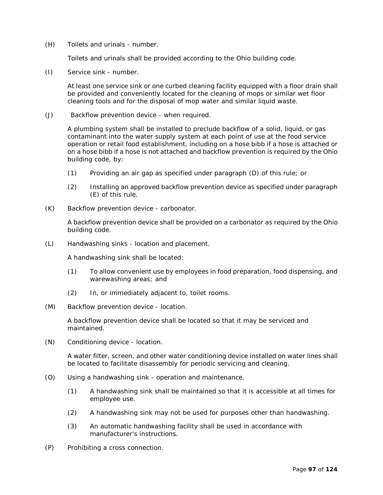(H) Toilets and urinals - number.

Toilets and urinals shall be provided according to the Ohio building code.

(I) Service sink - number.

At least one service sink or one curbed cleaning facility equipped with a floor drain shall be provided and conveniently located for the cleaning of mops or similar wet floor cleaning tools and for the disposal of mop water and similar liquid waste.

(J) Backflow prevention device - when required.

A plumbing system shall be installed to preclude backflow of a solid, liquid, or gas contaminant into the water supply system at each point of use at the food service operation or retail food establishment, including on a hose bibb if a hose is attached or on a hose bibb if a hose is not attached and backflow prevention is required by the Ohio building code, by:

- (1) Providing an air gap as specified under paragraph (D) of this rule; or
- (2) Installing an approved backflow prevention device as specified under paragraph (E) of this rule.
- (K) Backflow prevention device carbonator.

A backflow prevention device shall be provided on a carbonator as required by the Ohio building code.

(L) Handwashing sinks - location and placement.

A handwashing sink shall be located:

- (1) To allow convenient use by employees in food preparation, food dispensing, and warewashing areas; and
- (2) In, or immediately adjacent to, toilet rooms.
- (M) Backflow prevention device location.

A backflow prevention device shall be located so that it may be serviced and maintained.

(N) Conditioning device - location.

A water filter, screen, and other water conditioning device installed on water lines shall be located to facilitate disassembly for periodic servicing and cleaning.

- (O) Using a handwashing sink operation and maintenance.
	- (1) A handwashing sink shall be maintained so that it is accessible at all times for employee use.
	- (2) A handwashing sink may not be used for purposes other than handwashing.
	- (3) An automatic handwashing facility shall be used in accordance with manufacturer's instructions.
- (P) Prohibiting a cross connection.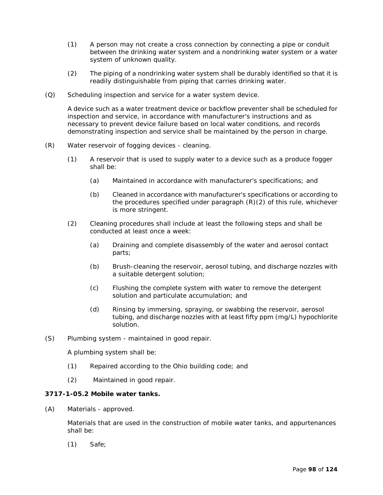- (1) A person may not create a cross connection by connecting a pipe or conduit between the drinking water system and a nondrinking water system or a water system of unknown quality.
- (2) The piping of a nondrinking water system shall be durably identified so that it is readily distinguishable from piping that carries drinking water.
- (Q) Scheduling inspection and service for a water system device.

A device such as a water treatment device or backflow preventer shall be scheduled for inspection and service, in accordance with manufacturer's instructions and as necessary to prevent device failure based on local water conditions, and records demonstrating inspection and service shall be maintained by the person in charge.

- (R) Water reservoir of fogging devices cleaning.
	- (1) A reservoir that is used to supply water to a device such as a produce fogger shall be:
		- (a) Maintained in accordance with manufacturer's specifications; and
		- (b) Cleaned in accordance with manufacturer's specifications or according to the procedures specified under paragraph (R)(2) of this rule, whichever is more stringent.
	- (2) Cleaning procedures shall include at least the following steps and shall be conducted at least once a week:
		- (a) Draining and complete disassembly of the water and aerosol contact parts;
		- (b) Brush-cleaning the reservoir, aerosol tubing, and discharge nozzles with a suitable detergent solution;
		- (c) Flushing the complete system with water to remove the detergent solution and particulate accumulation; and
		- (d) Rinsing by immersing, spraying, or swabbing the reservoir, aerosol tubing, and discharge nozzles with at least fifty ppm (mg/L) hypochlorite solution.
- (S) Plumbing system maintained in good repair.

A plumbing system shall be:

- (1) Repaired according to the Ohio building code; and
- (2) Maintained in good repair.

### **3717-1-05.2 Mobile water tanks.**

(A) Materials - approved.

Materials that are used in the construction of mobile water tanks, and appurtenances shall be:

(1) Safe;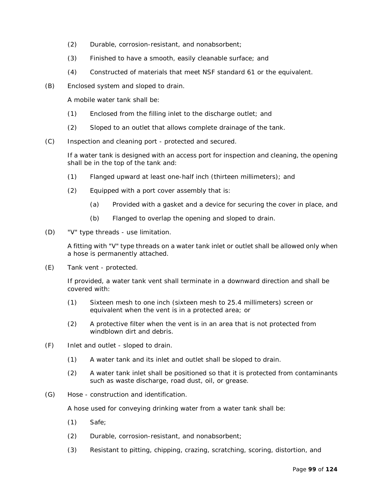- (2) Durable, corrosion-resistant, and nonabsorbent;
- (3) Finished to have a smooth, easily cleanable surface; and
- (4) Constructed of materials that meet NSF standard 61 or the equivalent.
- (B) Enclosed system and sloped to drain.

A mobile water tank shall be:

- (1) Enclosed from the filling inlet to the discharge outlet; and
- (2) Sloped to an outlet that allows complete drainage of the tank.
- (C) Inspection and cleaning port protected and secured.

If a water tank is designed with an access port for inspection and cleaning, the opening shall be in the top of the tank and:

- (1) Flanged upward at least one-half inch (thirteen millimeters); and
- (2) Equipped with a port cover assembly that is:
	- (a) Provided with a gasket and a device for securing the cover in place, and
	- (b) Flanged to overlap the opening and sloped to drain.
- (D) "V" type threads use limitation.

A fitting with "V" type threads on a water tank inlet or outlet shall be allowed only when a hose is permanently attached.

(E) Tank vent - protected.

If provided, a water tank vent shall terminate in a downward direction and shall be covered with:

- (1) Sixteen mesh to one inch (sixteen mesh to 25.4 millimeters) screen or equivalent when the vent is in a protected area; or
- (2) A protective filter when the vent is in an area that is not protected from windblown dirt and debris.
- (F) Inlet and outlet sloped to drain.
	- (1) A water tank and its inlet and outlet shall be sloped to drain.
	- (2) A water tank inlet shall be positioned so that it is protected from contaminants such as waste discharge, road dust, oil, or grease.
- (G) Hose construction and identification.

A hose used for conveying drinking water from a water tank shall be:

- (1) Safe;
- (2) Durable, corrosion-resistant, and nonabsorbent;
- (3) Resistant to pitting, chipping, crazing, scratching, scoring, distortion, and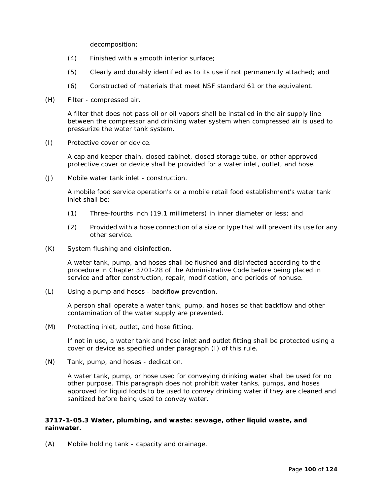decomposition;

- (4) Finished with a smooth interior surface;
- (5) Clearly and durably identified as to its use if not permanently attached; and
- (6) Constructed of materials that meet NSF standard 61 or the equivalent.
- (H) Filter compressed air.

A filter that does not pass oil or oil vapors shall be installed in the air supply line between the compressor and drinking water system when compressed air is used to pressurize the water tank system.

(I) Protective cover or device.

A cap and keeper chain, closed cabinet, closed storage tube, or other approved protective cover or device shall be provided for a water inlet, outlet, and hose.

(J) Mobile water tank inlet - construction.

A mobile food service operation's or a mobile retail food establishment's water tank inlet shall be:

- (1) Three-fourths inch (19.1 millimeters) in inner diameter or less; and
- (2) Provided with a hose connection of a size or type that will prevent its use for any other service.
- (K) System flushing and disinfection.

A water tank, pump, and hoses shall be flushed and disinfected according to the procedure in Chapter 3701-28 of the Administrative Code before being placed in service and after construction, repair, modification, and periods of nonuse.

(L) Using a pump and hoses - backflow prevention.

A person shall operate a water tank, pump, and hoses so that backflow and other contamination of the water supply are prevented.

(M) Protecting inlet, outlet, and hose fitting.

If not in use, a water tank and hose inlet and outlet fitting shall be protected using a cover or device as specified under paragraph (I) of this rule.

(N) Tank, pump, and hoses - dedication.

A water tank, pump, or hose used for conveying drinking water shall be used for no other purpose. This paragraph does not prohibit water tanks, pumps, and hoses approved for liquid foods to be used to convey drinking water if they are cleaned and sanitized before being used to convey water.

### **3717-1-05.3 Water, plumbing, and waste: sewage, other liquid waste, and rainwater.**

(A) Mobile holding tank - capacity and drainage.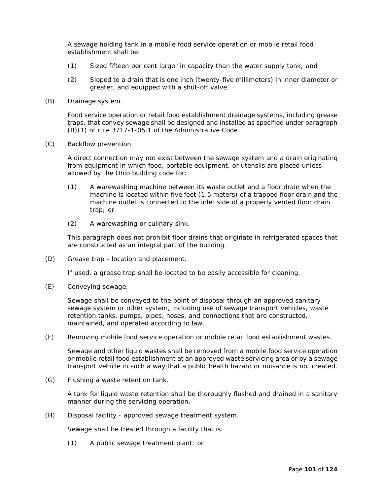A sewage holding tank in a mobile food service operation or mobile retail food establishment shall be:

- (1) Sized fifteen per cent larger in capacity than the water supply tank; and
- (2) Sloped to a drain that is one inch (twenty-five millimeters) in inner diameter or greater, and equipped with a shut-off valve.
- (B) Drainage system.

Food service operation or retail food establishment drainage systems, including grease traps, that convey sewage shall be designed and installed as specified under paragraph (B)(1) of rule 3717-1-05.1 of the Administrative Code.

(C) Backflow prevention.

A direct connection may not exist between the sewage system and a drain originating from equipment in which food, portable equipment, or utensils are placed unless allowed by the Ohio building code for:

- (1) A warewashing machine between its waste outlet and a floor drain when the machine is located within five feet (1.5 meters) of a trapped floor drain and the machine outlet is connected to the inlet side of a properly vented floor drain trap; or
- (2) A warewashing or culinary sink.

This paragraph does not prohibit floor drains that originate in refrigerated spaces that are constructed as an integral part of the building.

(D) Grease trap - location and placement.

If used, a grease trap shall be located to be easily accessible for cleaning.

(E) Conveying sewage.

Sewage shall be conveyed to the point of disposal through an approved sanitary sewage system or other system, including use of sewage transport vehicles, waste retention tanks, pumps, pipes, hoses, and connections that are constructed, maintained, and operated according to law.

(F) Removing mobile food service operation or mobile retail food establishment wastes.

Sewage and other liquid wastes shall be removed from a mobile food service operation or mobile retail food establishment at an approved waste servicing area or by a sewage transport vehicle in such a way that a public health hazard or nuisance is not created.

(G) Flushing a waste retention tank.

A tank for liquid waste retention shall be thoroughly flushed and drained in a sanitary manner during the servicing operation.

(H) Disposal facility - approved sewage treatment system.

Sewage shall be treated through a facility that is:

(1) A public sewage treatment plant; or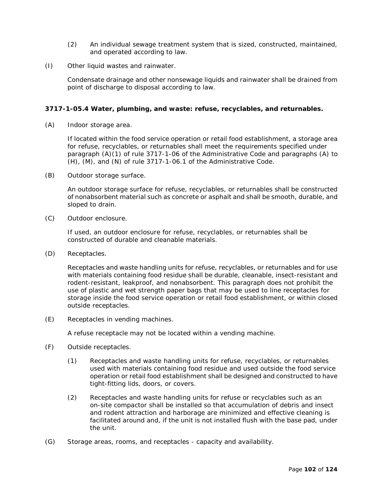- (2) An individual sewage treatment system that is sized, constructed, maintained, and operated according to law.
- (I) Other liquid wastes and rainwater.

Condensate drainage and other nonsewage liquids and rainwater shall be drained from point of discharge to disposal according to law.

### **3717-1-05.4 Water, plumbing, and waste: refuse, recyclables, and returnables.**

(A) Indoor storage area.

If located within the food service operation or retail food establishment, a storage area for refuse, recyclables, or returnables shall meet the requirements specified under paragraph (A)(1) of rule 3717-1-06 of the Administrative Code and paragraphs (A) to (H), (M), and (N) of rule 3717-1-06.1 of the Administrative Code.

(B) Outdoor storage surface.

An outdoor storage surface for refuse, recyclables, or returnables shall be constructed of nonabsorbent material such as concrete or asphalt and shall be smooth, durable, and sloped to drain.

(C) Outdoor enclosure.

If used, an outdoor enclosure for refuse, recyclables, or returnables shall be constructed of durable and cleanable materials.

(D) Receptacles.

Receptacles and waste handling units for refuse, recyclables, or returnables and for use with materials containing food residue shall be durable, cleanable, insect-resistant and rodent-resistant, leakproof, and nonabsorbent. This paragraph does not prohibit the use of plastic and wet strength paper bags that may be used to line receptacles for storage inside the food service operation or retail food establishment, or within closed outside receptacles.

(E) Receptacles in vending machines.

A refuse receptacle may not be located within a vending machine.

- (F) Outside receptacles.
	- (1) Receptacles and waste handling units for refuse, recyclables, or returnables used with materials containing food residue and used outside the food service operation or retail food establishment shall be designed and constructed to have tight-fitting lids, doors, or covers.
	- (2) Receptacles and waste handling units for refuse or recyclables such as an on-site compactor shall be installed so that accumulation of debris and insect and rodent attraction and harborage are minimized and effective cleaning is facilitated around and, if the unit is not installed flush with the base pad, under the unit.
- (G) Storage areas, rooms, and receptacles capacity and availability.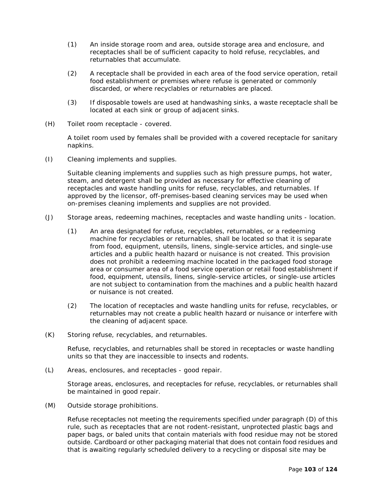- (1) An inside storage room and area, outside storage area and enclosure, and receptacles shall be of sufficient capacity to hold refuse, recyclables, and returnables that accumulate.
- (2) A receptacle shall be provided in each area of the food service operation, retail food establishment or premises where refuse is generated or commonly discarded, or where recyclables or returnables are placed.
- (3) If disposable towels are used at handwashing sinks, a waste receptacle shall be located at each sink or group of adjacent sinks.
- (H) Toilet room receptacle covered.

A toilet room used by females shall be provided with a covered receptacle for sanitary napkins.

(I) Cleaning implements and supplies.

Suitable cleaning implements and supplies such as high pressure pumps, hot water, steam, and detergent shall be provided as necessary for effective cleaning of receptacles and waste handling units for refuse, recyclables, and returnables. If approved by the licensor, off-premises-based cleaning services may be used when on-premises cleaning implements and supplies are not provided.

- (J) Storage areas, redeeming machines, receptacles and waste handling units location.
	- (1) An area designated for refuse, recyclables, returnables, or a redeeming machine for recyclables or returnables, shall be located so that it is separate from food, equipment, utensils, linens, single-service articles, and single-use articles and a public health hazard or nuisance is not created. This provision does not prohibit a redeeming machine located in the packaged food storage area or consumer area of a food service operation or retail food establishment if food, equipment, utensils, linens, single-service articles, or single-use articles are not subject to contamination from the machines and a public health hazard or nuisance is not created.
	- (2) The location of receptacles and waste handling units for refuse, recyclables, or returnables may not create a public health hazard or nuisance or interfere with the cleaning of adjacent space.
- (K) Storing refuse, recyclables, and returnables.

Refuse, recyclables, and returnables shall be stored in receptacles or waste handling units so that they are inaccessible to insects and rodents.

(L) Areas, enclosures, and receptacles - good repair.

Storage areas, enclosures, and receptacles for refuse, recyclables, or returnables shall be maintained in good repair.

(M) Outside storage prohibitions.

Refuse receptacles not meeting the requirements specified under paragraph (D) of this rule, such as receptacles that are not rodent-resistant, unprotected plastic bags and paper bags, or baled units that contain materials with food residue may not be stored outside. Cardboard or other packaging material that does not contain food residues and that is awaiting regularly scheduled delivery to a recycling or disposal site may be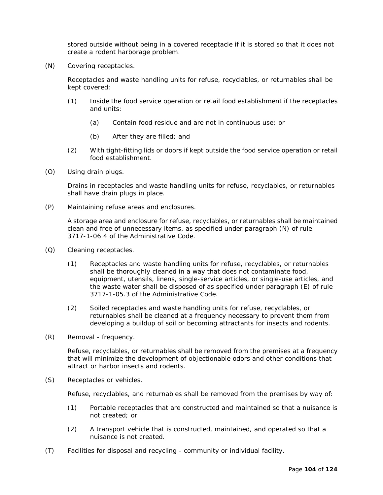stored outside without being in a covered receptacle if it is stored so that it does not create a rodent harborage problem.

(N) Covering receptacles.

Receptacles and waste handling units for refuse, recyclables, or returnables shall be kept covered:

- (1) Inside the food service operation or retail food establishment if the receptacles and units:
	- (a) Contain food residue and are not in continuous use; or
	- (b) After they are filled; and
- (2) With tight-fitting lids or doors if kept outside the food service operation or retail food establishment.
- (O) Using drain plugs.

Drains in receptacles and waste handling units for refuse, recyclables, or returnables shall have drain plugs in place.

(P) Maintaining refuse areas and enclosures.

A storage area and enclosure for refuse, recyclables, or returnables shall be maintained clean and free of unnecessary items, as specified under paragraph (N) of rule 3717-1-06.4 of the Administrative Code.

- (Q) Cleaning receptacles.
	- (1) Receptacles and waste handling units for refuse, recyclables, or returnables shall be thoroughly cleaned in a way that does not contaminate food, equipment, utensils, linens, single-service articles, or single-use articles, and the waste water shall be disposed of as specified under paragraph (E) of rule 3717-1-05.3 of the Administrative Code.
	- (2) Soiled receptacles and waste handling units for refuse, recyclables, or returnables shall be cleaned at a frequency necessary to prevent them from developing a buildup of soil or becoming attractants for insects and rodents.
- (R) Removal frequency.

Refuse, recyclables, or returnables shall be removed from the premises at a frequency that will minimize the development of objectionable odors and other conditions that attract or harbor insects and rodents.

(S) Receptacles or vehicles.

Refuse, recyclables, and returnables shall be removed from the premises by way of:

- (1) Portable receptacles that are constructed and maintained so that a nuisance is not created; or
- (2) A transport vehicle that is constructed, maintained, and operated so that a nuisance is not created.
- (T) Facilities for disposal and recycling community or individual facility.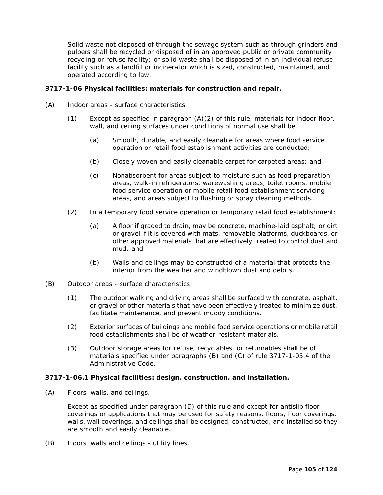Solid waste not disposed of through the sewage system such as through grinders and pulpers shall be recycled or disposed of in an approved public or private community recycling or refuse facility; or solid waste shall be disposed of in an individual refuse facility such as a landfill or incinerator which is sized, constructed, maintained, and operated according to law.

## **3717-1-06 Physical facilities: materials for construction and repair.**

- (A) Indoor areas surface characteristics
	- (1) Except as specified in paragraph (A)(2) of this rule, materials for indoor floor, wall, and ceiling surfaces under conditions of normal use shall be:
		- (a) Smooth, durable, and easily cleanable for areas where food service operation or retail food establishment activities are conducted;
		- (b) Closely woven and easily cleanable carpet for carpeted areas; and
		- (c) Nonabsorbent for areas subject to moisture such as food preparation areas, walk-in refrigerators, warewashing areas, toilet rooms, mobile food service operation or mobile retail food establishment servicing areas, and areas subject to flushing or spray cleaning methods.
	- (2) In a temporary food service operation or temporary retail food establishment:
		- (a) A floor if graded to drain, may be concrete, machine-laid asphalt; or dirt or gravel if it is covered with mats, removable platforms, duckboards, or other approved materials that are effectively treated to control dust and mud; and
		- (b) Walls and ceilings may be constructed of a material that protects the interior from the weather and windblown dust and debris.
- (B) Outdoor areas surface characteristics
	- (1) The outdoor walking and driving areas shall be surfaced with concrete, asphalt, or gravel or other materials that have been effectively treated to minimize dust, facilitate maintenance, and prevent muddy conditions.
	- (2) Exterior surfaces of buildings and mobile food service operations or mobile retail food establishments shall be of weather-resistant materials.
	- (3) Outdoor storage areas for refuse, recyclables, or returnables shall be of materials specified under paragraphs (B) and (C) of rule 3717-1-05.4 of the Administrative Code.

### **3717-1-06.1 Physical facilities: design, construction, and installation.**

(A) Floors, walls, and ceilings.

Except as specified under paragraph (D) of this rule and except for antislip floor coverings or applications that may be used for safety reasons, floors, floor coverings, walls, wall coverings, and ceilings shall be designed, constructed, and installed so they are smooth and easily cleanable.

(B) Floors, walls and ceilings - utility lines.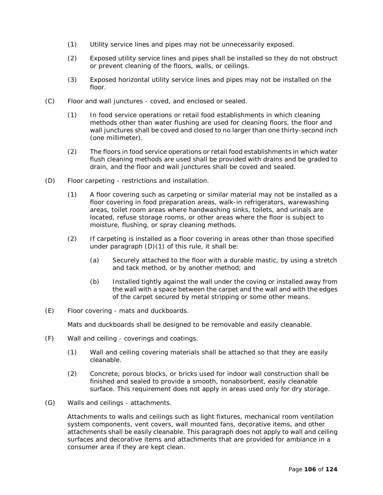- (1) Utility service lines and pipes may not be unnecessarily exposed.
- (2) Exposed utility service lines and pipes shall be installed so they do not obstruct or prevent cleaning of the floors, walls, or ceilings.
- (3) Exposed horizontal utility service lines and pipes may not be installed on the floor.
- (C) Floor and wall junctures coved, and enclosed or sealed.
	- (1) In food service operations or retail food establishments in which cleaning methods other than water flushing are used for cleaning floors, the floor and wall junctures shall be coved and closed to no larger than one thirty-second inch (one millimeter).
	- (2) The floors in food service operations or retail food establishments in which water flush cleaning methods are used shall be provided with drains and be graded to drain, and the floor and wall junctures shall be coved and sealed.
- (D) Floor carpeting restrictions and installation.
	- (1) A floor covering such as carpeting or similar material may not be installed as a floor covering in food preparation areas, walk-in refrigerators, warewashing areas, toilet room areas where handwashing sinks, toilets, and urinals are located, refuse storage rooms, or other areas where the floor is subject to moisture, flushing, or spray cleaning methods.
	- (2) If carpeting is installed as a floor covering in areas other than those specified under paragraph (D)(1) of this rule, it shall be:
		- (a) Securely attached to the floor with a durable mastic, by using a stretch and tack method, or by another method; and
		- (b) Installed tightly against the wall under the coving or installed away from the wall with a space between the carpet and the wall and with the edges of the carpet secured by metal stripping or some other means.
- (E) Floor covering mats and duckboards.

Mats and duckboards shall be designed to be removable and easily cleanable.

- (F) Wall and ceiling coverings and coatings.
	- (1) Wall and ceiling covering materials shall be attached so that they are easily cleanable.
	- (2) Concrete, porous blocks, or bricks used for indoor wall construction shall be finished and sealed to provide a smooth, nonabsorbent, easily cleanable surface. This requirement does not apply in areas used only for dry storage.
- (G) Walls and ceilings attachments.

Attachments to walls and ceilings such as light fixtures, mechanical room ventilation system components, vent covers, wall mounted fans, decorative items, and other attachments shall be easily cleanable. This paragraph does not apply to wall and ceiling surfaces and decorative items and attachments that are provided for ambiance in a consumer area if they are kept clean.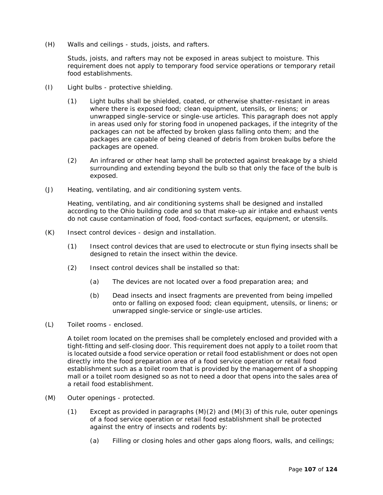(H) Walls and ceilings - studs, joists, and rafters.

Studs, joists, and rafters may not be exposed in areas subject to moisture. This requirement does not apply to temporary food service operations or temporary retail food establishments.

- (I) Light bulbs protective shielding.
	- (1) Light bulbs shall be shielded, coated, or otherwise shatter-resistant in areas where there is exposed food; clean equipment, utensils, or linens; or unwrapped single-service or single-use articles. This paragraph does not apply in areas used only for storing food in unopened packages, if the integrity of the packages can not be affected by broken glass falling onto them; and the packages are capable of being cleaned of debris from broken bulbs before the packages are opened.
	- (2) An infrared or other heat lamp shall be protected against breakage by a shield surrounding and extending beyond the bulb so that only the face of the bulb is exposed.
- (J) Heating, ventilating, and air conditioning system vents.

Heating, ventilating, and air conditioning systems shall be designed and installed according to the Ohio building code and so that make-up air intake and exhaust vents do not cause contamination of food, food-contact surfaces, equipment, or utensils.

- (K) Insect control devices design and installation.
	- (1) Insect control devices that are used to electrocute or stun flying insects shall be designed to retain the insect within the device.
	- (2) Insect control devices shall be installed so that:
		- (a) The devices are not located over a food preparation area; and
		- (b) Dead insects and insect fragments are prevented from being impelled onto or falling on exposed food; clean equipment, utensils, or linens; or unwrapped single-service or single-use articles.
- (L) Toilet rooms enclosed.

A toilet room located on the premises shall be completely enclosed and provided with a tight-fitting and self-closing door. This requirement does not apply to a toilet room that is located outside a food service operation or retail food establishment or does not open directly into the food preparation area of a food service operation or retail food establishment such as a toilet room that is provided by the management of a shopping mall or a toilet room designed so as not to need a door that opens into the sales area of a retail food establishment.

- (M) Outer openings protected.
	- (1) Except as provided in paragraphs (M)(2) and (M)(3) of this rule, outer openings of a food service operation or retail food establishment shall be protected against the entry of insects and rodents by:
		- (a) Filling or closing holes and other gaps along floors, walls, and ceilings;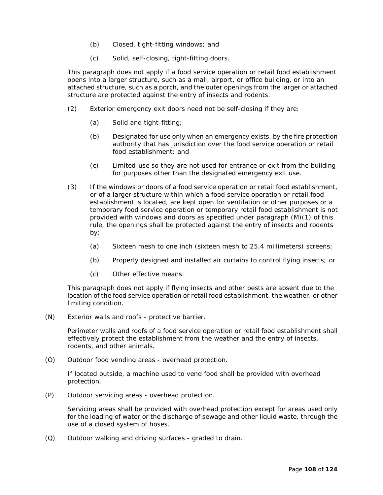- (b) Closed, tight-fitting windows; and
- (c) Solid, self-closing, tight-fitting doors.

This paragraph does not apply if a food service operation or retail food establishment opens into a larger structure, such as a mall, airport, or office building, or into an attached structure, such as a porch, and the outer openings from the larger or attached structure are protected against the entry of insects and rodents.

- (2) Exterior emergency exit doors need not be self-closing if they are:
	- (a) Solid and tight-fitting;
	- (b) Designated for use only when an emergency exists, by the fire protection authority that has jurisdiction over the food service operation or retail food establishment; and
	- (c) Limited-use so they are not used for entrance or exit from the building for purposes other than the designated emergency exit use.
- (3) If the windows or doors of a food service operation or retail food establishment, or of a larger structure within which a food service operation or retail food establishment is located, are kept open for ventilation or other purposes or a temporary food service operation or temporary retail food establishment is not provided with windows and doors as specified under paragraph (M)(1) of this rule, the openings shall be protected against the entry of insects and rodents by:
	- (a) Sixteen mesh to one inch (sixteen mesh to 25.4 millimeters) screens;
	- (b) Properly designed and installed air curtains to control flying insects; or
	- (c) Other effective means.

This paragraph does not apply if flying insects and other pests are absent due to the location of the food service operation or retail food establishment, the weather, or other limiting condition.

(N) Exterior walls and roofs - protective barrier.

Perimeter walls and roofs of a food service operation or retail food establishment shall effectively protect the establishment from the weather and the entry of insects, rodents, and other animals.

(O) Outdoor food vending areas - overhead protection.

If located outside, a machine used to vend food shall be provided with overhead protection.

(P) Outdoor servicing areas - overhead protection.

Servicing areas shall be provided with overhead protection except for areas used only for the loading of water or the discharge of sewage and other liquid waste, through the use of a closed system of hoses.

(Q) Outdoor walking and driving surfaces - graded to drain.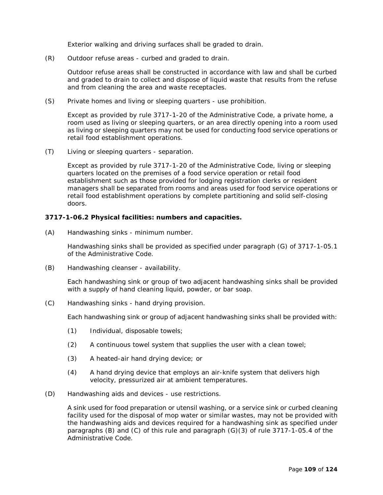Exterior walking and driving surfaces shall be graded to drain.

(R) Outdoor refuse areas - curbed and graded to drain.

Outdoor refuse areas shall be constructed in accordance with law and shall be curbed and graded to drain to collect and dispose of liquid waste that results from the refuse and from cleaning the area and waste receptacles.

(S) Private homes and living or sleeping quarters - use prohibition.

Except as provided by rule 3717-1-20 of the Administrative Code, a private home, a room used as living or sleeping quarters, or an area directly opening into a room used as living or sleeping quarters may not be used for conducting food service operations or retail food establishment operations.

(T) Living or sleeping quarters - separation.

Except as provided by rule 3717-1-20 of the Administrative Code, living or sleeping quarters located on the premises of a food service operation or retail food establishment such as those provided for lodging registration clerks or resident managers shall be separated from rooms and areas used for food service operations or retail food establishment operations by complete partitioning and solid self-closing doors.

# **3717-1-06.2 Physical facilities: numbers and capacities.**

(A) Handwashing sinks - minimum number.

Handwashing sinks shall be provided as specified under paragraph (G) of 3717-1-05.1 of the Administrative Code.

(B) Handwashing cleanser - availability.

Each handwashing sink or group of two adjacent handwashing sinks shall be provided with a supply of hand cleaning liquid, powder, or bar soap.

(C) Handwashing sinks - hand drying provision.

Each handwashing sink or group of adjacent handwashing sinks shall be provided with:

- (1) Individual, disposable towels;
- (2) A continuous towel system that supplies the user with a clean towel;
- (3) A heated-air hand drying device; or
- (4) A hand drying device that employs an air-knife system that delivers high velocity, pressurized air at ambient temperatures.
- (D) Handwashing aids and devices use restrictions.

A sink used for food preparation or utensil washing, or a service sink or curbed cleaning facility used for the disposal of mop water or similar wastes, may not be provided with the handwashing aids and devices required for a handwashing sink as specified under paragraphs (B) and (C) of this rule and paragraph (G)(3) of rule 3717-1-05.4 of the Administrative Code.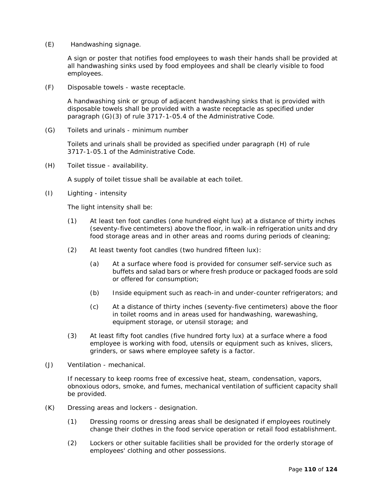(E) Handwashing signage.

A sign or poster that notifies food employees to wash their hands shall be provided at all handwashing sinks used by food employees and shall be clearly visible to food employees.

(F) Disposable towels - waste receptacle.

A handwashing sink or group of adjacent handwashing sinks that is provided with disposable towels shall be provided with a waste receptacle as specified under paragraph (G)(3) of rule 3717-1-05.4 of the Administrative Code.

(G) Toilets and urinals - minimum number

Toilets and urinals shall be provided as specified under paragraph (H) of rule 3717-1-05.1 of the Administrative Code.

(H) Toilet tissue - availability.

A supply of toilet tissue shall be available at each toilet.

(I) Lighting - intensity

The light intensity shall be:

- (1) At least ten foot candles (one hundred eight lux) at a distance of thirty inches (seventy-five centimeters) above the floor, in walk-in refrigeration units and dry food storage areas and in other areas and rooms during periods of cleaning;
- (2) At least twenty foot candles (two hundred fifteen lux):
	- (a) At a surface where food is provided for consumer self-service such as buffets and salad bars or where fresh produce or packaged foods are sold or offered for consumption;
	- (b) Inside equipment such as reach-in and under-counter refrigerators; and
	- (c) At a distance of thirty inches (seventy-five centimeters) above the floor in toilet rooms and in areas used for handwashing, warewashing, equipment storage, or utensil storage; and
- (3) At least fifty foot candles (five hundred forty lux) at a surface where a food employee is working with food, utensils or equipment such as knives, slicers, grinders, or saws where employee safety is a factor.
- (J) Ventilation mechanical.

If necessary to keep rooms free of excessive heat, steam, condensation, vapors, obnoxious odors, smoke, and fumes, mechanical ventilation of sufficient capacity shall be provided.

- (K) Dressing areas and lockers designation.
	- (1) Dressing rooms or dressing areas shall be designated if employees routinely change their clothes in the food service operation or retail food establishment.
	- (2) Lockers or other suitable facilities shall be provided for the orderly storage of employees' clothing and other possessions.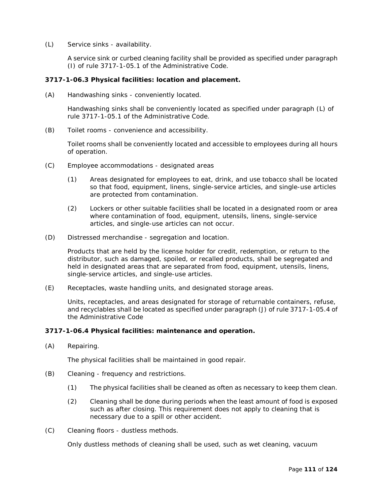(L) Service sinks - availability.

A service sink or curbed cleaning facility shall be provided as specified under paragraph (I) of rule 3717-1-05.1 of the Administrative Code.

## **3717-1-06.3 Physical facilities: location and placement.**

(A) Handwashing sinks - conveniently located.

Handwashing sinks shall be conveniently located as specified under paragraph (L) of rule 3717-1-05.1 of the Administrative Code.

(B) Toilet rooms - convenience and accessibility.

Toilet rooms shall be conveniently located and accessible to employees during all hours of operation.

- (C) Employee accommodations designated areas
	- (1) Areas designated for employees to eat, drink, and use tobacco shall be located so that food, equipment, linens, single-service articles, and single-use articles are protected from contamination.
	- (2) Lockers or other suitable facilities shall be located in a designated room or area where contamination of food, equipment, utensils, linens, single-service articles, and single-use articles can not occur.
- (D) Distressed merchandise segregation and location.

Products that are held by the license holder for credit, redemption, or return to the distributor, such as damaged, spoiled, or recalled products, shall be segregated and held in designated areas that are separated from food, equipment, utensils, linens, single-service articles, and single-use articles.

(E) Receptacles, waste handling units, and designated storage areas.

Units, receptacles, and areas designated for storage of returnable containers, refuse, and recyclables shall be located as specified under paragraph (J) of rule 3717-1-05.4 of the Administrative Code

# **3717-1-06.4 Physical facilities: maintenance and operation.**

(A) Repairing.

The physical facilities shall be maintained in good repair.

- (B) Cleaning frequency and restrictions.
	- (1) The physical facilities shall be cleaned as often as necessary to keep them clean.
	- (2) Cleaning shall be done during periods when the least amount of food is exposed such as after closing. This requirement does not apply to cleaning that is necessary due to a spill or other accident.
- (C) Cleaning floors dustless methods.

Only dustless methods of cleaning shall be used, such as wet cleaning, vacuum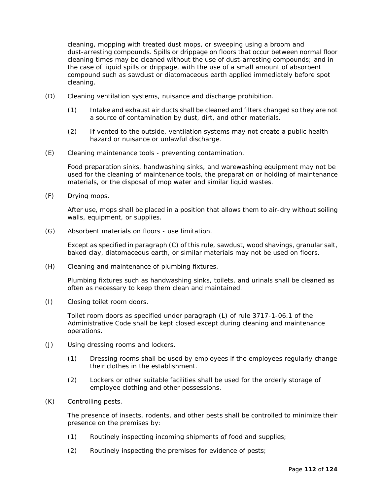cleaning, mopping with treated dust mops, or sweeping using a broom and dust-arresting compounds. Spills or drippage on floors that occur between normal floor cleaning times may be cleaned without the use of dust-arresting compounds; and in the case of liquid spills or drippage, with the use of a small amount of absorbent compound such as sawdust or diatomaceous earth applied immediately before spot cleaning.

- (D) Cleaning ventilation systems, nuisance and discharge prohibition.
	- (1) Intake and exhaust air ducts shall be cleaned and filters changed so they are not a source of contamination by dust, dirt, and other materials.
	- (2) If vented to the outside, ventilation systems may not create a public health hazard or nuisance or unlawful discharge.
- (E) Cleaning maintenance tools preventing contamination.

Food preparation sinks, handwashing sinks, and warewashing equipment may not be used for the cleaning of maintenance tools, the preparation or holding of maintenance materials, or the disposal of mop water and similar liquid wastes.

(F) Drying mops.

After use, mops shall be placed in a position that allows them to air-dry without soiling walls, equipment, or supplies.

(G) Absorbent materials on floors - use limitation.

Except as specified in paragraph (C) of this rule, sawdust, wood shavings, granular salt, baked clay, diatomaceous earth, or similar materials may not be used on floors.

(H) Cleaning and maintenance of plumbing fixtures.

Plumbing fixtures such as handwashing sinks, toilets, and urinals shall be cleaned as often as necessary to keep them clean and maintained.

(I) Closing toilet room doors.

Toilet room doors as specified under paragraph (L) of rule 3717-1-06.1 of the Administrative Code shall be kept closed except during cleaning and maintenance operations.

- (J) Using dressing rooms and lockers.
	- (1) Dressing rooms shall be used by employees if the employees regularly change their clothes in the establishment.
	- (2) Lockers or other suitable facilities shall be used for the orderly storage of employee clothing and other possessions.
- (K) Controlling pests.

The presence of insects, rodents, and other pests shall be controlled to minimize their presence on the premises by:

- (1) Routinely inspecting incoming shipments of food and supplies;
- (2) Routinely inspecting the premises for evidence of pests;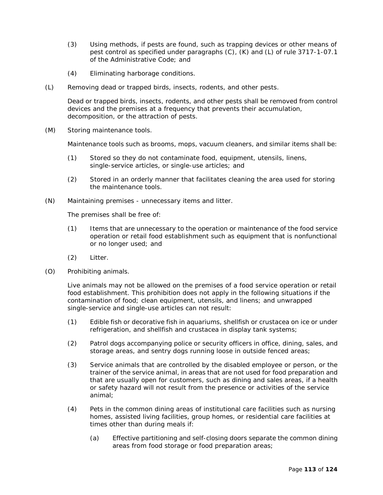- (3) Using methods, if pests are found, such as trapping devices or other means of pest control as specified under paragraphs (C), (K) and (L) of rule 3717-1-07.1 of the Administrative Code; and
- (4) Eliminating harborage conditions.
- (L) Removing dead or trapped birds, insects, rodents, and other pests.

Dead or trapped birds, insects, rodents, and other pests shall be removed from control devices and the premises at a frequency that prevents their accumulation, decomposition, or the attraction of pests.

(M) Storing maintenance tools.

Maintenance tools such as brooms, mops, vacuum cleaners, and similar items shall be:

- (1) Stored so they do not contaminate food, equipment, utensils, linens, single-service articles, or single-use articles; and
- (2) Stored in an orderly manner that facilitates cleaning the area used for storing the maintenance tools.
- (N) Maintaining premises unnecessary items and litter.

The premises shall be free of:

- (1) Items that are unnecessary to the operation or maintenance of the food service operation or retail food establishment such as equipment that is nonfunctional or no longer used; and
- (2) Litter.
- (O) Prohibiting animals.

Live animals may not be allowed on the premises of a food service operation or retail food establishment. This prohibition does not apply in the following situations if the contamination of food; clean equipment, utensils, and linens; and unwrapped single-service and single-use articles can not result:

- (1) Edible fish or decorative fish in aquariums, shellfish or crustacea on ice or under refrigeration, and shellfish and crustacea in display tank systems;
- (2) Patrol dogs accompanying police or security officers in office, dining, sales, and storage areas, and sentry dogs running loose in outside fenced areas;
- (3) Service animals that are controlled by the disabled employee or person, or the trainer of the service animal, in areas that are not used for food preparation and that are usually open for customers, such as dining and sales areas, if a health or safety hazard will not result from the presence or activities of the service animal;
- (4) Pets in the common dining areas of institutional care facilities such as nursing homes, assisted living facilities, group homes, or residential care facilities at times other than during meals if:
	- (a) Effective partitioning and self-closing doors separate the common dining areas from food storage or food preparation areas;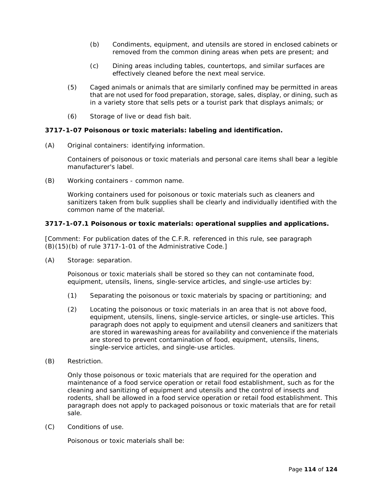- (b) Condiments, equipment, and utensils are stored in enclosed cabinets or removed from the common dining areas when pets are present; and
- (c) Dining areas including tables, countertops, and similar surfaces are effectively cleaned before the next meal service.
- (5) Caged animals or animals that are similarly confined may be permitted in areas that are not used for food preparation, storage, sales, display, or dining, such as in a variety store that sells pets or a tourist park that displays animals; or
- (6) Storage of live or dead fish bait.

# **3717-1-07 Poisonous or toxic materials: labeling and identification.**

(A) Original containers: identifying information.

Containers of poisonous or toxic materials and personal care items shall bear a legible manufacturer's label.

(B) Working containers - common name.

Working containers used for poisonous or toxic materials such as cleaners and sanitizers taken from bulk supplies shall be clearly and individually identified with the common name of the material.

## **3717-1-07.1 Poisonous or toxic materials: operational supplies and applications.**

[Comment: For publication dates of the C.F.R. referenced in this rule, see paragraph (B)(15)(b) of rule 3717-1-01 of the Administrative Code.]

(A) Storage: separation.

Poisonous or toxic materials shall be stored so they can not contaminate food, equipment, utensils, linens, single-service articles, and single-use articles by:

- (1) Separating the poisonous or toxic materials by spacing or partitioning; and
- (2) Locating the poisonous or toxic materials in an area that is not above food, equipment, utensils, linens, single-service articles, or single-use articles. This paragraph does not apply to equipment and utensil cleaners and sanitizers that are stored in warewashing areas for availability and convenience if the materials are stored to prevent contamination of food, equipment, utensils, linens, single-service articles, and single-use articles.
- (B) Restriction.

Only those poisonous or toxic materials that are required for the operation and maintenance of a food service operation or retail food establishment, such as for the cleaning and sanitizing of equipment and utensils and the control of insects and rodents, shall be allowed in a food service operation or retail food establishment. This paragraph does not apply to packaged poisonous or toxic materials that are for retail sale.

(C) Conditions of use.

Poisonous or toxic materials shall be: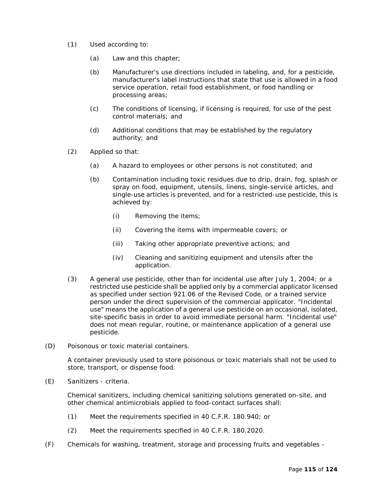- (1) Used according to:
	- (a) Law and this chapter;
	- (b) Manufacturer's use directions included in labeling, and, for a pesticide, manufacturer's label instructions that state that use is allowed in a food service operation, retail food establishment, or food handling or processing areas;
	- (c) The conditions of licensing, if licensing is required, for use of the pest control materials; and
	- (d) Additional conditions that may be established by the regulatory authority; and
- (2) Applied so that:
	- (a) A hazard to employees or other persons is not constituted; and
	- (b) Contamination including toxic residues due to drip, drain, fog, splash or spray on food, equipment, utensils, linens, single-service articles, and single-use articles is prevented, and for a restricted-use pesticide, this is achieved by:
		- (i) Removing the items;
		- (ii) Covering the items with impermeable covers; or
		- (iii) Taking other appropriate preventive actions; and
		- (iv) Cleaning and sanitizing equipment and utensils after the application.
- (3) A general use pesticide, other than for incidental use after July 1, 2004; or a restricted use pesticide shall be applied only by a commercial applicator licensed as specified under section 921.06 of the Revised Code, or a trained service person under the direct supervision of the commercial applicator. "Incidental use" means the application of a general use pesticide on an occasional, isolated, site-specific basis in order to avoid immediate personal harm. "Incidental use" does not mean regular, routine, or maintenance application of a general use pesticide.
- (D) Poisonous or toxic material containers.

A container previously used to store poisonous or toxic materials shall not be used to store, transport, or dispense food.

(E) Sanitizers - criteria.

Chemical sanitizers, including chemical sanitizing solutions generated on-site, and other chemical antimicrobials applied to food-contact surfaces shall:

- (1) Meet the requirements specified in 40 C.F.R. 180.940; or
- (2) Meet the requirements specified in 40 C.F.R. 180.2020.
- (F) Chemicals for washing, treatment, storage and processing fruits and vegetables -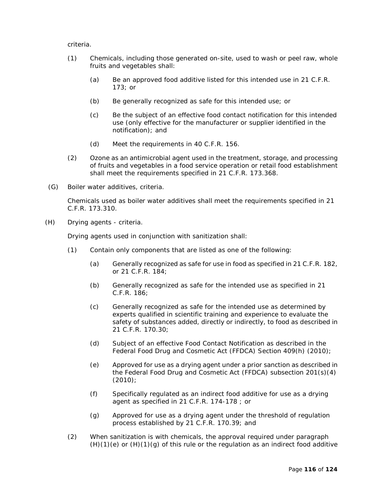criteria.

- (1) Chemicals, including those generated on-site, used to wash or peel raw, whole fruits and vegetables shall:
	- (a) Be an approved food additive listed for this intended use in 21 C.F.R. 173; or
	- (b) Be generally recognized as safe for this intended use; or
	- (c) Be the subject of an effective food contact notification for this intended use (only effective for the manufacturer or supplier identified in the notification); and
	- (d) Meet the requirements in 40 C.F.R. 156.
- (2) Ozone as an antimicrobial agent used in the treatment, storage, and processing of fruits and vegetables in a food service operation or retail food establishment shall meet the requirements specified in 21 C.F.R. 173.368.
- (G) Boiler water additives, criteria.

Chemicals used as boiler water additives shall meet the requirements specified in 21 C.F.R. 173.310.

(H) Drying agents - criteria.

Drying agents used in conjunction with sanitization shall:

- (1) Contain only components that are listed as one of the following:
	- (a) Generally recognized as safe for use in food as specified in 21 C.F.R. 182, or 21 C.F.R. 184;
	- (b) Generally recognized as safe for the intended use as specified in 21 C.F.R. 186;
	- (c) Generally recognized as safe for the intended use as determined by experts qualified in scientific training and experience to evaluate the safety of substances added, directly or indirectly, to food as described in 21 C.F.R. 170.30;
	- (d) Subject of an effective Food Contact Notification as described in the Federal Food Drug and Cosmetic Act (FFDCA) Section 409(h) (2010);
	- (e) Approved for use as a drying agent under a prior sanction as described in the Federal Food Drug and Cosmetic Act (FFDCA) subsection 201(s)(4) (2010);
	- (f) Specifically regulated as an indirect food additive for use as a drying agent as specified in 21 C.F.R. 174-178 ; or
	- (g) Approved for use as a drying agent under the threshold of regulation process established by 21 C.F.R. 170.39; and
- (2) When sanitization is with chemicals, the approval required under paragraph  $(H)(1)(e)$  or  $(H)(1)(g)$  of this rule or the regulation as an indirect food additive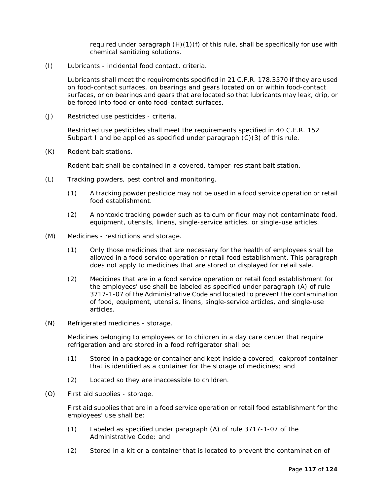required under paragraph  $(H)(1)(f)$  of this rule, shall be specifically for use with chemical sanitizing solutions.

(I) Lubricants - incidental food contact, criteria.

Lubricants shall meet the requirements specified in 21 C.F.R. 178.3570 if they are used on food-contact surfaces, on bearings and gears located on or within food-contact surfaces, or on bearings and gears that are located so that lubricants may leak, drip, or be forced into food or onto food-contact surfaces.

(J) Restricted use pesticides - criteria.

Restricted use pesticides shall meet the requirements specified in 40 C.F.R. 152 Subpart I and be applied as specified under paragraph (C)(3) of this rule.

(K) Rodent bait stations.

Rodent bait shall be contained in a covered, tamper-resistant bait station.

- (L) Tracking powders, pest control and monitoring.
	- (1) A tracking powder pesticide may not be used in a food service operation or retail food establishment.
	- (2) A nontoxic tracking powder such as talcum or flour may not contaminate food, equipment, utensils, linens, single-service articles, or single-use articles.
- (M) Medicines restrictions and storage.
	- (1) Only those medicines that are necessary for the health of employees shall be allowed in a food service operation or retail food establishment. This paragraph does not apply to medicines that are stored or displayed for retail sale.
	- (2) Medicines that are in a food service operation or retail food establishment for the employees' use shall be labeled as specified under paragraph (A) of rule 3717-1-07 of the Administrative Code and located to prevent the contamination of food, equipment, utensils, linens, single-service articles, and single-use articles.
- (N) Refrigerated medicines storage.

Medicines belonging to employees or to children in a day care center that require refrigeration and are stored in a food refrigerator shall be:

- (1) Stored in a package or container and kept inside a covered, leakproof container that is identified as a container for the storage of medicines; and
- (2) Located so they are inaccessible to children.
- (O) First aid supplies storage.

First aid supplies that are in a food service operation or retail food establishment for the employees' use shall be:

- (1) Labeled as specified under paragraph (A) of rule 3717-1-07 of the Administrative Code; and
- (2) Stored in a kit or a container that is located to prevent the contamination of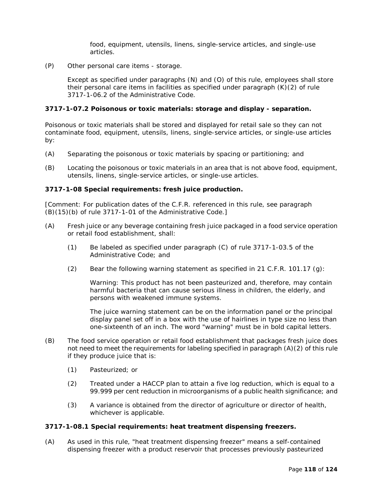food, equipment, utensils, linens, single-service articles, and single-use articles.

(P) Other personal care items - storage.

Except as specified under paragraphs (N) and (O) of this rule, employees shall store their personal care items in facilities as specified under paragraph  $(K)(2)$  of rule 3717-1-06.2 of the Administrative Code.

#### **3717-1-07.2 Poisonous or toxic materials: storage and display - separation.**

Poisonous or toxic materials shall be stored and displayed for retail sale so they can not contaminate food, equipment, utensils, linens, single-service articles, or single-use articles by:

- (A) Separating the poisonous or toxic materials by spacing or partitioning; and
- (B) Locating the poisonous or toxic materials in an area that is not above food, equipment, utensils, linens, single-service articles, or single-use articles.

#### **3717-1-08 Special requirements: fresh juice production.**

[Comment: For publication dates of the C.F.R. referenced in this rule, see paragraph (B)(15)(b) of rule 3717-1-01 of the Administrative Code.]

- (A) Fresh juice or any beverage containing fresh juice packaged in a food service operation or retail food establishment, shall:
	- (1) Be labeled as specified under paragraph (C) of rule 3717-1-03.5 of the Administrative Code; and
	- (2) Bear the following warning statement as specified in 21 C.F.R. 101.17 (g):

Warning: This product has not been pasteurized and, therefore, may contain harmful bacteria that can cause serious illness in children, the elderly, and persons with weakened immune systems.

The juice warning statement can be on the information panel or the principal display panel set off in a box with the use of hairlines in type size no less than one-sixteenth of an inch. The word "warning" must be in bold capital letters.

- (B) The food service operation or retail food establishment that packages fresh juice does not need to meet the requirements for labeling specified in paragraph (A)(2) of this rule if they produce juice that is:
	- (1) Pasteurized; or
	- (2) Treated under a HACCP plan to attain a five log reduction, which is equal to a 99.999 per cent reduction in microorganisms of a public health significance; and
	- (3) A variance is obtained from the director of agriculture or director of health, whichever is applicable.

#### **3717-1-08.1 Special requirements: heat treatment dispensing freezers.**

(A) As used in this rule, "heat treatment dispensing freezer" means a self-contained dispensing freezer with a product reservoir that processes previously pasteurized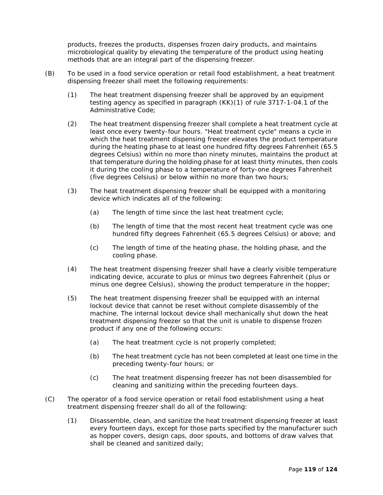products, freezes the products, dispenses frozen dairy products, and maintains microbiological quality by elevating the temperature of the product using heating methods that are an integral part of the dispensing freezer.

- (B) To be used in a food service operation or retail food establishment, a heat treatment dispensing freezer shall meet the following requirements:
	- (1) The heat treatment dispensing freezer shall be approved by an equipment testing agency as specified in paragraph (KK)(1) of rule 3717-1-04.1 of the Administrative Code;
	- (2) The heat treatment dispensing freezer shall complete a heat treatment cycle at least once every twenty-four hours. "Heat treatment cycle" means a cycle in which the heat treatment dispensing freezer elevates the product temperature during the heating phase to at least one hundred fifty degrees Fahrenheit (65.5 degrees Celsius) within no more than ninety minutes, maintains the product at that temperature during the holding phase for at least thirty minutes, then cools it during the cooling phase to a temperature of forty-one degrees Fahrenheit (five degrees Celsius) or below within no more than two hours;
	- (3) The heat treatment dispensing freezer shall be equipped with a monitoring device which indicates all of the following:
		- (a) The length of time since the last heat treatment cycle;
		- (b) The length of time that the most recent heat treatment cycle was one hundred fifty degrees Fahrenheit (65.5 degrees Celsius) or above; and
		- (c) The length of time of the heating phase, the holding phase, and the cooling phase.
	- (4) The heat treatment dispensing freezer shall have a clearly visible temperature indicating device, accurate to plus or minus two degrees Fahrenheit (plus or minus one degree Celsius), showing the product temperature in the hopper;
	- (5) The heat treatment dispensing freezer shall be equipped with an internal lockout device that cannot be reset without complete disassembly of the machine. The internal lockout device shall mechanically shut down the heat treatment dispensing freezer so that the unit is unable to dispense frozen product if any one of the following occurs:
		- (a) The heat treatment cycle is not properly completed;
		- (b) The heat treatment cycle has not been completed at least one time in the preceding twenty-four hours; or
		- (c) The heat treatment dispensing freezer has not been disassembled for cleaning and sanitizing within the preceding fourteen days.
- (C) The operator of a food service operation or retail food establishment using a heat treatment dispensing freezer shall do all of the following:
	- (1) Disassemble, clean, and sanitize the heat treatment dispensing freezer at least every fourteen days, except for those parts specified by the manufacturer such as hopper covers, design caps, door spouts, and bottoms of draw valves that shall be cleaned and sanitized daily;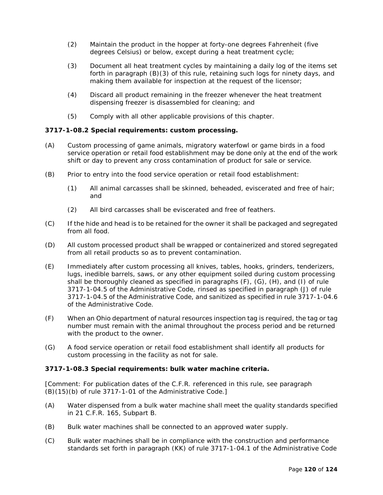- (2) Maintain the product in the hopper at forty-one degrees Fahrenheit (five degrees Celsius) or below, except during a heat treatment cycle;
- (3) Document all heat treatment cycles by maintaining a daily log of the items set forth in paragraph (B)(3) of this rule, retaining such logs for ninety days, and making them available for inspection at the request of the licensor;
- (4) Discard all product remaining in the freezer whenever the heat treatment dispensing freezer is disassembled for cleaning; and
- (5) Comply with all other applicable provisions of this chapter.

# **3717-1-08.2 Special requirements: custom processing.**

- (A) Custom processing of game animals, migratory waterfowl or game birds in a food service operation or retail food establishment may be done only at the end of the work shift or day to prevent any cross contamination of product for sale or service.
- (B) Prior to entry into the food service operation or retail food establishment:
	- (1) All animal carcasses shall be skinned, beheaded, eviscerated and free of hair; and
	- (2) All bird carcasses shall be eviscerated and free of feathers.
- (C) If the hide and head is to be retained for the owner it shall be packaged and segregated from all food.
- (D) All custom processed product shall be wrapped or containerized and stored segregated from all retail products so as to prevent contamination.
- (E) Immediately after custom processing all knives, tables, hooks, grinders, tenderizers, lugs, inedible barrels, saws, or any other equipment soiled during custom processing shall be thoroughly cleaned as specified in paragraphs (F), (G), (H), and (I) of rule 3717-1-04.5 of the Administrative Code, rinsed as specified in paragraph (J) of rule 3717-1-04.5 of the Administrative Code, and sanitized as specified in rule 3717-1-04.6 of the Administrative Code.
- (F) When an Ohio department of natural resources inspection tag is required, the tag or tag number must remain with the animal throughout the process period and be returned with the product to the owner.
- (G) A food service operation or retail food establishment shall identify all products for custom processing in the facility as not for sale.

# **3717-1-08.3 Special requirements: bulk water machine criteria.**

[Comment: For publication dates of the C.F.R. referenced in this rule, see paragraph (B)(15)(b) of rule 3717-1-01 of the Administrative Code.]

- (A) Water dispensed from a bulk water machine shall meet the quality standards specified in 21 C.F.R. 165, Subpart B.
- (B) Bulk water machines shall be connected to an approved water supply.
- (C) Bulk water machines shall be in compliance with the construction and performance standards set forth in paragraph (KK) of rule 3717-1-04.1 of the Administrative Code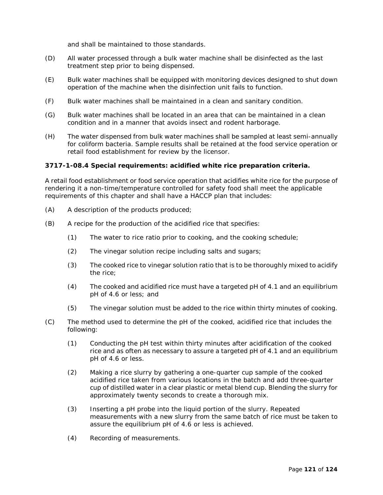and shall be maintained to those standards.

- (D) All water processed through a bulk water machine shall be disinfected as the last treatment step prior to being dispensed.
- (E) Bulk water machines shall be equipped with monitoring devices designed to shut down operation of the machine when the disinfection unit fails to function.
- (F) Bulk water machines shall be maintained in a clean and sanitary condition.
- (G) Bulk water machines shall be located in an area that can be maintained in a clean condition and in a manner that avoids insect and rodent harborage.
- (H) The water dispensed from bulk water machines shall be sampled at least semi-annually for coliform bacteria. Sample results shall be retained at the food service operation or retail food establishment for review by the licensor.

## **3717-1-08.4 Special requirements: acidified white rice preparation criteria.**

A retail food establishment or food service operation that acidifies white rice for the purpose of rendering it a non-time/temperature controlled for safety food shall meet the applicable requirements of this chapter and shall have a HACCP plan that includes:

- (A) A description of the products produced;
- (B) A recipe for the production of the acidified rice that specifies:
	- (1) The water to rice ratio prior to cooking, and the cooking schedule;
	- (2) The vinegar solution recipe including salts and sugars;
	- (3) The cooked rice to vinegar solution ratio that is to be thoroughly mixed to acidify the rice;
	- (4) The cooked and acidified rice must have a targeted pH of 4.1 and an equilibrium pH of 4.6 or less; and
	- (5) The vinegar solution must be added to the rice within thirty minutes of cooking.
- (C) The method used to determine the pH of the cooked, acidified rice that includes the following:
	- (1) Conducting the pH test within thirty minutes after acidification of the cooked rice and as often as necessary to assure a targeted pH of 4.1 and an equilibrium pH of 4.6 or less.
	- (2) Making a rice slurry by gathering a one-quarter cup sample of the cooked acidified rice taken from various locations in the batch and add three-quarter cup of distilled water in a clear plastic or metal blend cup. Blending the slurry for approximately twenty seconds to create a thorough mix.
	- (3) Inserting a pH probe into the liquid portion of the slurry. Repeated measurements with a new slurry from the same batch of rice must be taken to assure the equilibrium pH of 4.6 or less is achieved.
	- (4) Recording of measurements.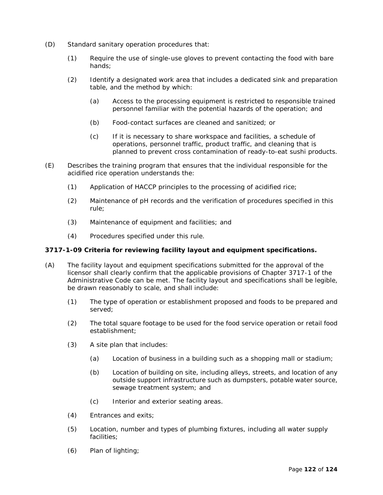- (D) Standard sanitary operation procedures that:
	- (1) Require the use of single-use gloves to prevent contacting the food with bare hands;
	- (2) Identify a designated work area that includes a dedicated sink and preparation table, and the method by which:
		- (a) Access to the processing equipment is restricted to responsible trained personnel familiar with the potential hazards of the operation; and
		- (b) Food-contact surfaces are cleaned and sanitized; or
		- (c) If it is necessary to share workspace and facilities, a schedule of operations, personnel traffic, product traffic, and cleaning that is planned to prevent cross contamination of ready-to-eat sushi products.
- (E) Describes the training program that ensures that the individual responsible for the acidified rice operation understands the:
	- (1) Application of HACCP principles to the processing of acidified rice;
	- (2) Maintenance of pH records and the verification of procedures specified in this rule;
	- (3) Maintenance of equipment and facilities; and
	- (4) Procedures specified under this rule.

#### **3717-1-09 Criteria for reviewing facility layout and equipment specifications.**

- (A) The facility layout and equipment specifications submitted for the approval of the licensor shall clearly confirm that the applicable provisions of Chapter 3717-1 of the Administrative Code can be met. The facility layout and specifications shall be legible, be drawn reasonably to scale, and shall include:
	- (1) The type of operation or establishment proposed and foods to be prepared and served;
	- (2) The total square footage to be used for the food service operation or retail food establishment;
	- (3) A site plan that includes:
		- (a) Location of business in a building such as a shopping mall or stadium;
		- (b) Location of building on site, including alleys, streets, and location of any outside support infrastructure such as dumpsters, potable water source, sewage treatment system; and
		- (c) Interior and exterior seating areas.
	- (4) Entrances and exits;
	- (5) Location, number and types of plumbing fixtures, including all water supply facilities;
	- (6) Plan of lighting;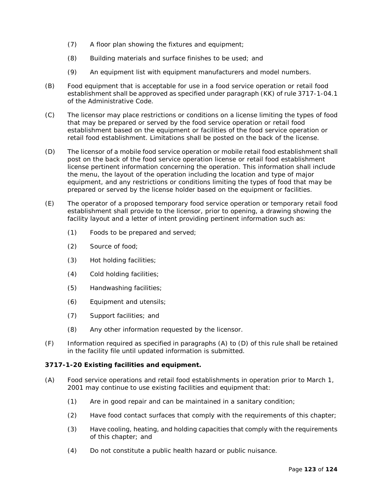- (7) A floor plan showing the fixtures and equipment;
- (8) Building materials and surface finishes to be used; and
- (9) An equipment list with equipment manufacturers and model numbers.
- (B) Food equipment that is acceptable for use in a food service operation or retail food establishment shall be approved as specified under paragraph (KK) of rule 3717-1-04.1 of the Administrative Code.
- (C) The licensor may place restrictions or conditions on a license limiting the types of food that may be prepared or served by the food service operation or retail food establishment based on the equipment or facilities of the food service operation or retail food establishment. Limitations shall be posted on the back of the license.
- (D) The licensor of a mobile food service operation or mobile retail food establishment shall post on the back of the food service operation license or retail food establishment license pertinent information concerning the operation. This information shall include the menu, the layout of the operation including the location and type of major equipment, and any restrictions or conditions limiting the types of food that may be prepared or served by the license holder based on the equipment or facilities.
- (E) The operator of a proposed temporary food service operation or temporary retail food establishment shall provide to the licensor, prior to opening, a drawing showing the facility layout and a letter of intent providing pertinent information such as:
	- (1) Foods to be prepared and served;
	- (2) Source of food;
	- (3) Hot holding facilities;
	- (4) Cold holding facilities;
	- (5) Handwashing facilities;
	- (6) Equipment and utensils;
	- (7) Support facilities; and
	- (8) Any other information requested by the licensor.
- (F) Information required as specified in paragraphs (A) to (D) of this rule shall be retained in the facility file until updated information is submitted.

# **3717-1-20 Existing facilities and equipment.**

- (A) Food service operations and retail food establishments in operation prior to March 1, 2001 may continue to use existing facilities and equipment that:
	- (1) Are in good repair and can be maintained in a sanitary condition;
	- (2) Have food contact surfaces that comply with the requirements of this chapter;
	- (3) Have cooling, heating, and holding capacities that comply with the requirements of this chapter; and
	- (4) Do not constitute a public health hazard or public nuisance.